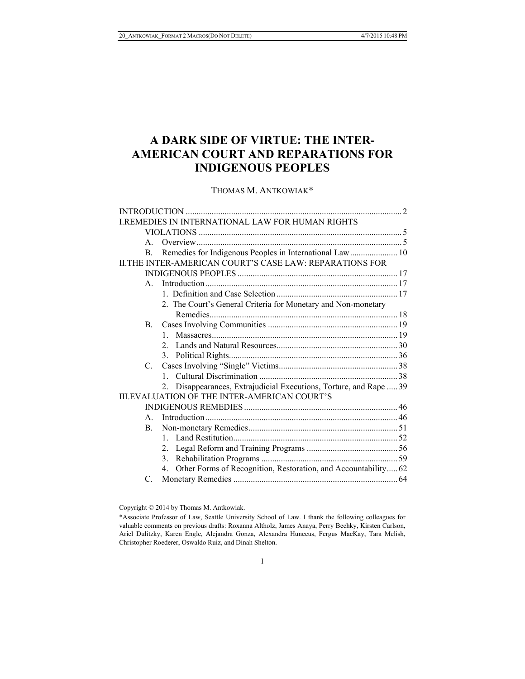# **A DARK SIDE OF VIRTUE: THE INTER-AMERICAN COURT AND REPARATIONS FOR INDIGENOUS PEOPLES**

### THOMAS M. ANTKOWIAK\*

|               | <b>I.REMEDIES IN INTERNATIONAL LAW FOR HUMAN RIGHTS</b>              |  |
|---------------|----------------------------------------------------------------------|--|
|               |                                                                      |  |
| $\mathbf{A}$  |                                                                      |  |
| B.            | Remedies for Indigenous Peoples in International Law 10              |  |
|               | HE INTER-AMERICAN COURT'S CASE LAW: REPARATIONS FOR                  |  |
|               |                                                                      |  |
| $\mathsf{A}$  |                                                                      |  |
|               |                                                                      |  |
|               | 2. The Court's General Criteria for Monetary and Non-monetary        |  |
|               |                                                                      |  |
| <b>B.</b>     |                                                                      |  |
|               | $\mathbf{1}$                                                         |  |
|               | $2^{\circ}$                                                          |  |
|               | 3.                                                                   |  |
| $C_{\cdot}$   |                                                                      |  |
|               | $\mathbf{1}$                                                         |  |
|               | Disappearances, Extrajudicial Executions, Torture, and Rape  39      |  |
|               | <b>III.EVALUATION OF THE INTER-AMERICAN COURT'S</b>                  |  |
|               |                                                                      |  |
| $\mathsf{A}$  |                                                                      |  |
| B.            |                                                                      |  |
|               | $1 \quad$                                                            |  |
|               | $2_{-}$                                                              |  |
|               | 3.                                                                   |  |
|               | Other Forms of Recognition, Restoration, and Accountability 62<br>4. |  |
| $\mathcal{C}$ |                                                                      |  |
|               |                                                                      |  |

Copyright © 2014 by Thomas M. Antkowiak.

<sup>\*</sup>Associate Professor of Law, Seattle University School of Law. I thank the following colleagues for valuable comments on previous drafts: Roxanna Altholz, James Anaya, Perry Bechky, Kirsten Carlson, Ariel Dulitzky, Karen Engle, Alejandra Gonza, Alexandra Huneeus, Fergus MacKay, Tara Melish, Christopher Roederer, Oswaldo Ruiz, and Dinah Shelton.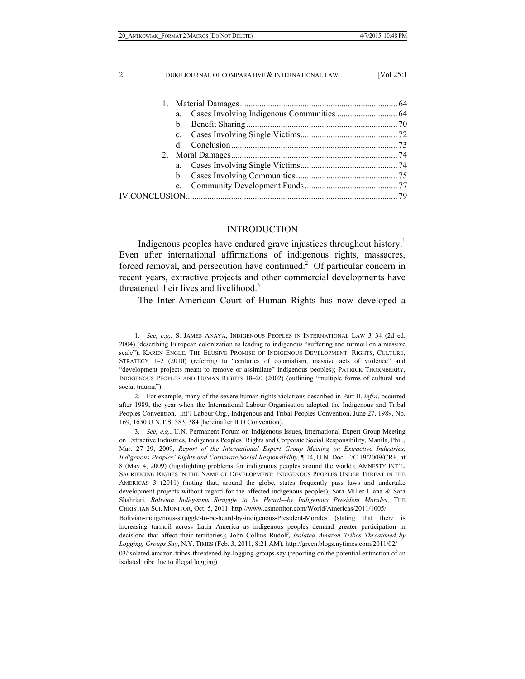| a.          |  |
|-------------|--|
|             |  |
|             |  |
| $d_{\cdot}$ |  |
|             |  |
|             |  |
|             |  |
|             |  |
|             |  |
|             |  |

#### INTRODUCTION

Indigenous peoples have endured grave injustices throughout history.<sup>1</sup> Even after international affirmations of indigenous rights, massacres, forced removal, and persecution have continued.<sup>2</sup> Of particular concern in recent years, extractive projects and other commercial developments have threatened their lives and livelihood.<sup>3</sup>

The Inter-American Court of Human Rights has now developed a

 <sup>1.</sup> *See, e.g.*, S. JAMES ANAYA, INDIGENOUS PEOPLES IN INTERNATIONAL LAW 3–34 (2d ed. 2004) (describing European colonization as leading to indigenous "suffering and turmoil on a massive scale"); KAREN ENGLE, THE ELUSIVE PROMISE OF INDIGENOUS DEVELOPMENT: RIGHTS, CULTURE, STRATEGY 1–2 (2010) (referring to "centuries of colonialism, massive acts of violence" and "development projects meant to remove or assimilate" indigenous peoples); PATRICK THORNBERRY, INDIGENOUS PEOPLES AND HUMAN RIGHTS 18–20 (2002) (outlining "multiple forms of cultural and social trauma").

 <sup>2.</sup> For example, many of the severe human rights violations described in Part II, *infra*, occurred after 1989, the year when the International Labour Organisation adopted the Indigenous and Tribal Peoples Convention. Int'l Labour Org., Indigenous and Tribal Peoples Convention, June 27, 1989, No. 169, 1650 U.N.T.S. 383, 384 [hereinafter ILO Convention].

 <sup>3.</sup> *See, e.g.*, U.N. Permanent Forum on Indigenous Issues, International Expert Group Meeting on Extractive Industries, Indigenous Peoples' Rights and Corporate Social Responsibility, Manila, Phil., Mar. 27–29, 2009, *Report of the International Expert Group Meeting on Extractive Industries, Indigenous Peoples' Rights and Corporate Social Responsibility*, ¶ 14, U.N. Doc. E/C.19/2009/CRP, at 8 (May 4, 2009) (highlighting problems for indigenous peoples around the world); AMNESTY INT'L, SACRIFICING RIGHTS IN THE NAME OF DEVELOPMENT: INDIGENOUS PEOPLES UNDER THREAT IN THE AMERICAS 3 (2011) (noting that, around the globe, states frequently pass laws and undertake development projects without regard for the affected indigenous peoples); Sara Miller Llana & Sara Shahriari, *Bolivian Indigenous Struggle to be Heard—by Indigenous President Morales*, THE CHRISTIAN SCI. MONITOR, Oct. 5, 2011, http://www.csmonitor.com/World/Americas/2011/1005/

Bolivian-indigenous-struggle-to-be-heard-by-indigenous-President-Morales (stating that there is increasing turmoil across Latin America as indigenous peoples demand greater participation in decisions that affect their territories); John Collins Rudolf, *Isolated Amazon Tribes Threatened by Logging, Groups Say*, N.Y. TIMES (Feb. 3, 2011, 8:21 AM), http://green.blogs.nytimes.com/2011/02/

<sup>03/</sup>isolated-amazon-tribes-threatened-by-logging-groups-say (reporting on the potential extinction of an isolated tribe due to illegal logging).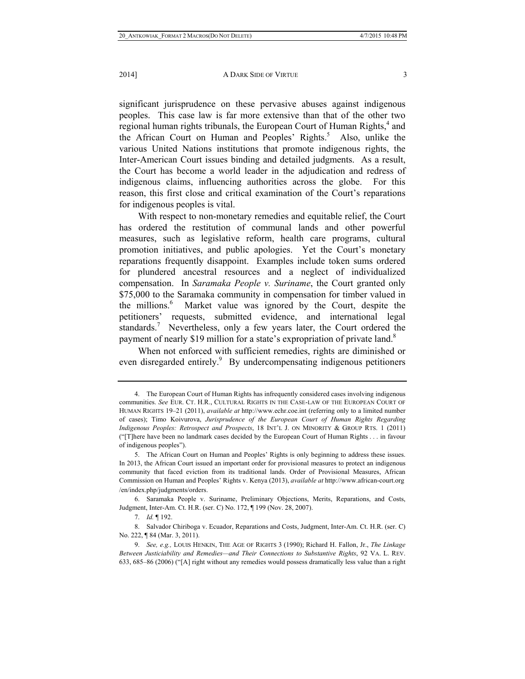2014] **A DARK SIDE OF VIRTUE** 3

significant jurisprudence on these pervasive abuses against indigenous peoples. This case law is far more extensive than that of the other two regional human rights tribunals, the European Court of Human Rights,<sup>4</sup> and the African Court on Human and Peoples' Rights.<sup>5</sup> Also, unlike the various United Nations institutions that promote indigenous rights, the Inter-American Court issues binding and detailed judgments. As a result, the Court has become a world leader in the adjudication and redress of indigenous claims, influencing authorities across the globe. For this reason, this first close and critical examination of the Court's reparations for indigenous peoples is vital.

With respect to non-monetary remedies and equitable relief, the Court has ordered the restitution of communal lands and other powerful measures, such as legislative reform, health care programs, cultural promotion initiatives, and public apologies. Yet the Court's monetary reparations frequently disappoint. Examples include token sums ordered for plundered ancestral resources and a neglect of individualized compensation. In *Saramaka People v. Suriname*, the Court granted only \$75,000 to the Saramaka community in compensation for timber valued in the millions. $<sup>6</sup>$ </sup> Market value was ignored by the Court, despite the petitioners' requests, submitted evidence, and international legal standards.<sup>7</sup> Nevertheless, only a few years later, the Court ordered the payment of nearly \$19 million for a state's expropriation of private land.<sup>8</sup>

When not enforced with sufficient remedies, rights are diminished or even disregarded entirely.<sup>9</sup> By undercompensating indigenous petitioners

 <sup>4.</sup> The European Court of Human Rights has infrequently considered cases involving indigenous communities. *See* EUR. CT. H.R., CULTURAL RIGHTS IN THE CASE-LAW OF THE EUROPEAN COURT OF HUMAN RIGHTS 19–21 (2011), *available at* http://www.echr.coe.int (referring only to a limited number of cases); Timo Koivurova, *Jurisprudence of the European Court of Human Rights Regarding Indigenous Peoples: Retrospect and Prospects*, 18 INT'L J. ON MINORITY & GROUP RTS. 1 (2011) ("[T]here have been no landmark cases decided by the European Court of Human Rights . . . in favour of indigenous peoples").

 <sup>5.</sup> The African Court on Human and Peoples' Rights is only beginning to address these issues. In 2013, the African Court issued an important order for provisional measures to protect an indigenous community that faced eviction from its traditional lands. Order of Provisional Measures, African Commission on Human and Peoples' Rights v. Kenya (2013), *available at* http://www.african-court.org /en/index.php/judgments/orders.

 <sup>6.</sup> Saramaka People v. Suriname, Preliminary Objections, Merits, Reparations, and Costs, Judgment, Inter-Am. Ct. H.R. (ser. C) No. 172, ¶ 199 (Nov. 28, 2007).

 <sup>7.</sup> *Id.* ¶ 192.

 <sup>8.</sup> Salvador Chiriboga v. Ecuador, Reparations and Costs, Judgment, Inter-Am. Ct. H.R. (ser. C) No. 222, ¶ 84 (Mar. 3, 2011).

 <sup>9.</sup> *See, e.g.,* LOUIS HENKIN, THE AGE OF RIGHTS 3 (1990); Richard H. Fallon, Jr., *The Linkage Between Justiciability and Remedies—and Their Connections to Substantive Rights*, 92 VA. L. REV. 633, 685–86 (2006) ("[A] right without any remedies would possess dramatically less value than a right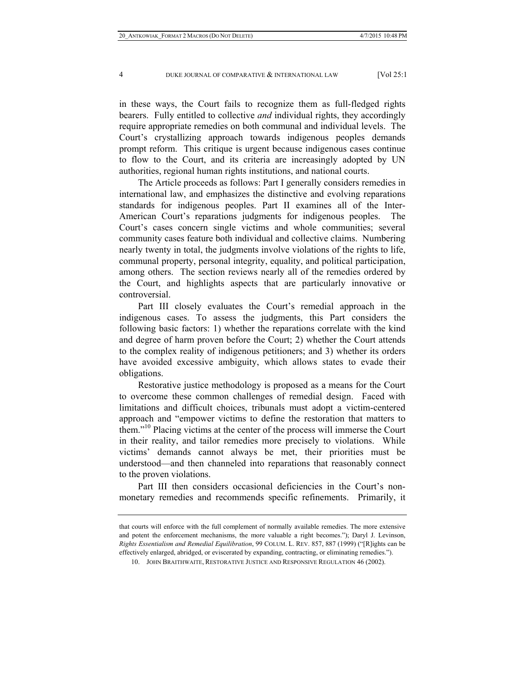in these ways, the Court fails to recognize them as full-fledged rights bearers. Fully entitled to collective *and* individual rights, they accordingly require appropriate remedies on both communal and individual levels. The Court's crystallizing approach towards indigenous peoples demands prompt reform. This critique is urgent because indigenous cases continue to flow to the Court, and its criteria are increasingly adopted by UN authorities, regional human rights institutions, and national courts.

The Article proceeds as follows: Part I generally considers remedies in international law, and emphasizes the distinctive and evolving reparations standards for indigenous peoples. Part II examines all of the Inter-American Court's reparations judgments for indigenous peoples. The Court's cases concern single victims and whole communities; several community cases feature both individual and collective claims. Numbering nearly twenty in total, the judgments involve violations of the rights to life, communal property, personal integrity, equality, and political participation, among others. The section reviews nearly all of the remedies ordered by the Court, and highlights aspects that are particularly innovative or controversial.

Part III closely evaluates the Court's remedial approach in the indigenous cases. To assess the judgments, this Part considers the following basic factors: 1) whether the reparations correlate with the kind and degree of harm proven before the Court; 2) whether the Court attends to the complex reality of indigenous petitioners; and 3) whether its orders have avoided excessive ambiguity, which allows states to evade their obligations.

Restorative justice methodology is proposed as a means for the Court to overcome these common challenges of remedial design. Faced with limitations and difficult choices, tribunals must adopt a victim-centered approach and "empower victims to define the restoration that matters to them."<sup>10</sup> Placing victims at the center of the process will immerse the Court in their reality, and tailor remedies more precisely to violations. While victims' demands cannot always be met, their priorities must be understood—and then channeled into reparations that reasonably connect to the proven violations.

Part III then considers occasional deficiencies in the Court's nonmonetary remedies and recommends specific refinements. Primarily, it

that courts will enforce with the full complement of normally available remedies. The more extensive and potent the enforcement mechanisms, the more valuable a right becomes."); Daryl J. Levinson, *Rights Essentialism and Remedial Equilibration*, 99 COLUM. L. REV. 857, 887 (1999) ("[R]ights can be effectively enlarged, abridged, or eviscerated by expanding, contracting, or eliminating remedies.").

 <sup>10.</sup> JOHN BRAITHWAITE, RESTORATIVE JUSTICE AND RESPONSIVE REGULATION 46 (2002).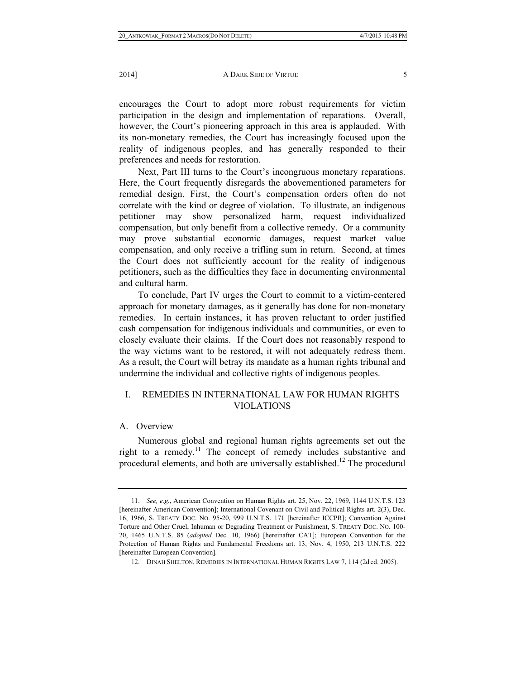encourages the Court to adopt more robust requirements for victim participation in the design and implementation of reparations. Overall, however, the Court's pioneering approach in this area is applauded. With its non-monetary remedies, the Court has increasingly focused upon the reality of indigenous peoples, and has generally responded to their preferences and needs for restoration.

Next, Part III turns to the Court's incongruous monetary reparations. Here, the Court frequently disregards the abovementioned parameters for remedial design. First, the Court's compensation orders often do not correlate with the kind or degree of violation. To illustrate, an indigenous petitioner may show personalized harm, request individualized compensation, but only benefit from a collective remedy. Or a community may prove substantial economic damages, request market value compensation, and only receive a trifling sum in return. Second, at times the Court does not sufficiently account for the reality of indigenous petitioners, such as the difficulties they face in documenting environmental and cultural harm.

To conclude, Part IV urges the Court to commit to a victim-centered approach for monetary damages, as it generally has done for non-monetary remedies. In certain instances, it has proven reluctant to order justified cash compensation for indigenous individuals and communities, or even to closely evaluate their claims. If the Court does not reasonably respond to the way victims want to be restored, it will not adequately redress them. As a result, the Court will betray its mandate as a human rights tribunal and undermine the individual and collective rights of indigenous peoples.

# I. REMEDIES IN INTERNATIONAL LAW FOR HUMAN RIGHTS VIOLATIONS

# A. Overview

Numerous global and regional human rights agreements set out the right to a remedy.11 The concept of remedy includes substantive and procedural elements, and both are universally established.<sup>12</sup> The procedural

 <sup>11.</sup> *See, e.g.*, American Convention on Human Rights art. 25, Nov. 22, 1969, 1144 U.N.T.S. 123 [hereinafter American Convention]; International Covenant on Civil and Political Rights art. 2(3), Dec. 16, 1966, S. TREATY DOC. NO. 95-20, 999 U.N.T.S. 171 [hereinafter ICCPR]; Convention Against Torture and Other Cruel, Inhuman or Degrading Treatment or Punishment, S. TREATY DOC. NO. 100- 20, 1465 U.N.T.S. 85 (*adopted* Dec. 10, 1966) [hereinafter CAT]; European Convention for the Protection of Human Rights and Fundamental Freedoms art. 13, Nov. 4, 1950, 213 U.N.T.S. 222 [hereinafter European Convention].

 <sup>12.</sup> DINAH SHELTON, REMEDIES IN INTERNATIONAL HUMAN RIGHTS LAW 7, 114 (2d ed. 2005).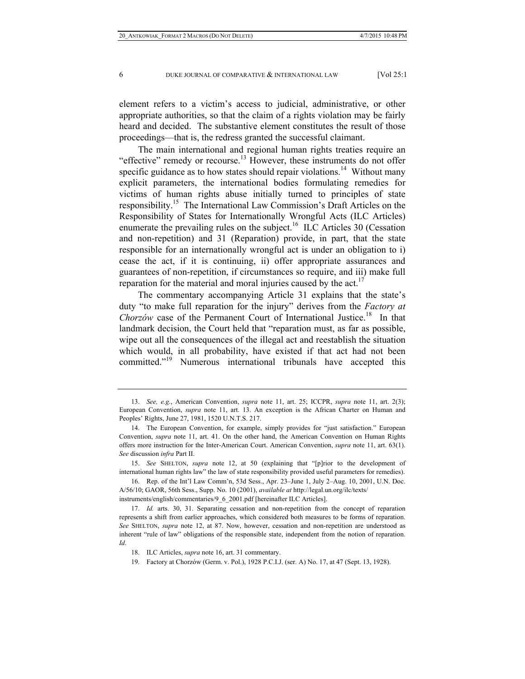element refers to a victim's access to judicial, administrative, or other appropriate authorities, so that the claim of a rights violation may be fairly heard and decided. The substantive element constitutes the result of those proceedings—that is, the redress granted the successful claimant.

The main international and regional human rights treaties require an "effective" remedy or recourse.<sup>13</sup> However, these instruments do not offer specific guidance as to how states should repair violations.<sup>14</sup> Without many explicit parameters, the international bodies formulating remedies for victims of human rights abuse initially turned to principles of state responsibility.15 The International Law Commission's Draft Articles on the Responsibility of States for Internationally Wrongful Acts (ILC Articles) enumerate the prevailing rules on the subject.<sup>16</sup> ILC Articles 30 (Cessation and non-repetition) and 31 (Reparation) provide, in part, that the state responsible for an internationally wrongful act is under an obligation to i) cease the act, if it is continuing, ii) offer appropriate assurances and guarantees of non-repetition, if circumstances so require, and iii) make full reparation for the material and moral injuries caused by the  $act.$ <sup>[7]</sup>

The commentary accompanying Article 31 explains that the state's duty "to make full reparation for the injury" derives from the *Factory at Chorzów* case of the Permanent Court of International Justice.<sup>18</sup> In that landmark decision, the Court held that "reparation must, as far as possible, wipe out all the consequences of the illegal act and reestablish the situation which would, in all probability, have existed if that act had not been committed."19 Numerous international tribunals have accepted this

 <sup>13.</sup> *See, e.g.*, American Convention, *supra* note 11, art. 25; ICCPR, *supra* note 11, art. 2(3); European Convention, *supra* note 11, art. 13. An exception is the African Charter on Human and Peoples' Rights, June 27, 1981, 1520 U.N.T.S. 217.

 <sup>14.</sup> The European Convention, for example, simply provides for "just satisfaction." European Convention, *supra* note 11, art. 41. On the other hand, the American Convention on Human Rights offers more instruction for the Inter-American Court. American Convention, *supra* note 11, art. 63(1). *See* discussion *infra* Part II.

 <sup>15.</sup> *See* SHELTON, *supra* note 12, at 50 (explaining that "[p]rior to the development of international human rights law" the law of state responsibility provided useful parameters for remedies).

 <sup>16.</sup> Rep. of the Int'l Law Comm'n, 53d Sess., Apr. 23–June 1, July 2–Aug. 10, 2001, U.N. Doc. A/56/10; GAOR, 56th Sess., Supp. No. 10 (2001), *available at* http://legal.un.org/ilc/texts/ instruments/english/commentaries/9\_6\_2001.pdf [hereinafter ILC Articles].

 <sup>17.</sup> *Id.* arts. 30, 31. Separating cessation and non-repetition from the concept of reparation represents a shift from earlier approaches, which considered both measures to be forms of reparation. *See* SHELTON, *supra* note 12, at 87. Now, however, cessation and non-repetition are understood as inherent "rule of law" obligations of the responsible state, independent from the notion of reparation. *Id*.

 <sup>18.</sup> ILC Articles, *supra* note 16, art. 31 commentary.

 <sup>19.</sup> Factory at Chorzów (Germ. v. Pol.), 1928 P.C.I.J. (ser. A) No. 17, at 47 (Sept. 13, 1928).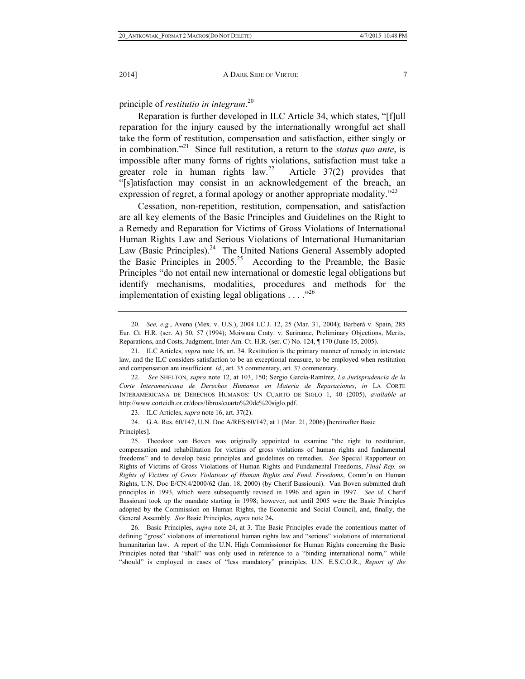principle of *restitutio in integrum*. 20

Reparation is further developed in ILC Article 34, which states, "[f]ull reparation for the injury caused by the internationally wrongful act shall take the form of restitution, compensation and satisfaction, either singly or in combination."21 Since full restitution, a return to the *status quo ante*, is impossible after many forms of rights violations, satisfaction must take a greater role in human rights  $\int_0^{22}$  Article 37(2) provides that "[s]atisfaction may consist in an acknowledgement of the breach, an expression of regret, a formal apology or another appropriate modality.<sup>723</sup>

Cessation, non-repetition, restitution, compensation, and satisfaction are all key elements of the Basic Principles and Guidelines on the Right to a Remedy and Reparation for Victims of Gross Violations of International Human Rights Law and Serious Violations of International Humanitarian Law (Basic Principles).<sup>24</sup> The United Nations General Assembly adopted the Basic Principles in  $2005.<sup>25</sup>$  According to the Preamble, the Basic Principles "do not entail new international or domestic legal obligations but identify mechanisms, modalities, procedures and methods for the implementation of existing legal obligations  $\dots$ ."<sup>26</sup>

 24. G.A. Res. 60/147, U.N. Doc A/RES/60/147, at 1 (Mar. 21, 2006) [hereinafter Basic Principles].

 <sup>20.</sup> *See, e.g.*, Avena (Mex. v. U.S.), 2004 I.C.J. 12, 25 (Mar. 31, 2004); Barberà v. Spain, 285 Eur. Ct. H.R. (ser. A) 50, 57 (1994); Moiwana Cmty. v. Suriname, Preliminary Objections, Merits, Reparations, and Costs, Judgment, Inter-Am. Ct. H.R. (ser. C) No. 124, ¶ 170 (June 15, 2005).

 <sup>21.</sup> ILC Articles, *supra* note 16, art. 34. Restitution is the primary manner of remedy in interstate law, and the ILC considers satisfaction to be an exceptional measure, to be employed when restitution and compensation are insufficient. *Id.*, art. 35 commentary, art. 37 commentary.

 <sup>22.</sup> *See* SHELTON, *supra* note 12, at 103, 150; Sergio García-Ramírez, *La Jurisprudencia de la Corte Interamericana de Derechos Humanos en Materia de Reparaciones*, *in* LA CORTE INTERAMERICANA DE DERECHOS HUMANOS: UN CUARTO DE SIGLO 1, 40 (2005), *available at* http://www.corteidh.or.cr/docs/libros/cuarto%20de%20siglo.pdf.

 <sup>23.</sup> ILC Articles, *supra* note 16, art. 37(2).

 <sup>25.</sup> Theodoor van Boven was originally appointed to examine "the right to restitution, compensation and rehabilitation for victims of gross violations of human rights and fundamental freedoms" and to develop basic principles and guidelines on remedies.*See* Special Rapporteur on Rights of Victims of Gross Violations of Human Rights and Fundamental Freedoms, *Final Rep. on Rights of Victims of Gross Violations of Human Rights and Fund. Freedoms*, Comm'n on Human Rights, U.N. Doc E/CN.4/2000/62 (Jan. 18, 2000) (by Cherif Bassiouni). Van Boven submitted draft principles in 1993, which were subsequently revised in 1996 and again in 1997.*See id*. Cherif Bassiouni took up the mandate starting in 1998; however, not until 2005 were the Basic Principles adopted by the Commission on Human Rights, the Economic and Social Council, and, finally, the General Assembly. *See* Basic Principles, *supra* note 24**.** 

 <sup>26.</sup> Basic Principles, *supra* note 24, at 3. The Basic Principles evade the contentious matter of defining "gross" violations of international human rights law and "serious" violations of international humanitarian law. A report of the U.N. High Commissioner for Human Rights concerning the Basic Principles noted that "shall" was only used in reference to a "binding international norm," while "should" is employed in cases of "less mandatory" principles. U.N. E.S.C.O.R., *Report of the*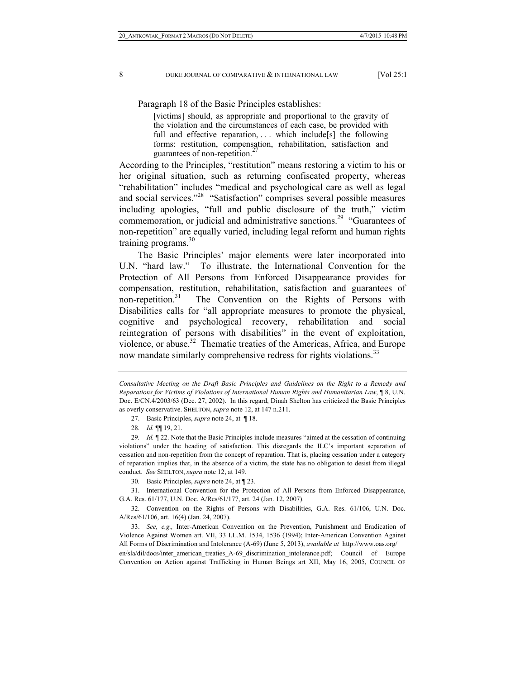Paragraph 18 of the Basic Principles establishes:

[victims] should, as appropriate and proportional to the gravity of the violation and the circumstances of each case, be provided with full and effective reparation, ... which include [s] the following forms: restitution, compensation, rehabilitation, satisfaction and guarantees of non-repetition.<sup>27</sup>

According to the Principles, "restitution" means restoring a victim to his or her original situation, such as returning confiscated property, whereas "rehabilitation" includes "medical and psychological care as well as legal and social services."28 "Satisfaction" comprises several possible measures including apologies, "full and public disclosure of the truth," victim commemoration, or judicial and administrative sanctions.<sup>29</sup> "Guarantees of non-repetition" are equally varied, including legal reform and human rights training programs. $30$ 

The Basic Principles' major elements were later incorporated into U.N. "hard law." To illustrate, the International Convention for the Protection of All Persons from Enforced Disappearance provides for compensation, restitution, rehabilitation, satisfaction and guarantees of non-repetition.<sup>31</sup> The Convention on the Rights of Persons with Disabilities calls for "all appropriate measures to promote the physical, cognitive and psychological recovery, rehabilitation and social reintegration of persons with disabilities" in the event of exploitation, violence, or abuse.<sup>32</sup> Thematic treaties of the Americas, Africa, and Europe now mandate similarly comprehensive redress for rights violations.<sup>33</sup>

 31. International Convention for the Protection of All Persons from Enforced Disappearance, G.A. Res. 61/177, U.N. Doc. A/Res/61/177, art. 24 (Jan. 12, 2007).

 32. Convention on the Rights of Persons with Disabilities, G.A. Res. 61/106, U.N. Doc. A/Res/61/106, art. 16(4) (Jan. 24, 2007).

 33. *See, e.g.,* Inter-American Convention on the Prevention, Punishment and Eradication of Violence Against Women art. VII, 33 I.L.M. 1534, 1536 (1994); Inter-American Convention Against All Forms of Discrimination and Intolerance (A-69) (June 5, 2013), *available at* http://www.oas.org/

en/sla/dil/docs/inter\_american\_treaties\_A-69\_discrimination\_intolerance.pdf; Council of Europe Convention on Action against Trafficking in Human Beings art XII, May 16, 2005, COUNCIL OF

*Consultative Meeting on the Draft Basic Principles and Guidelines on the Right to a Remedy and Reparations for Victims of Violations of International Human Rights and Humanitarian Law*, ¶ 8, U.N. Doc. E/CN.4/2003/63 (Dec. 27, 2002). In this regard, Dinah Shelton has criticized the Basic Principles as overly conservative. SHELTON, *supra* note 12, at 147 n.211.

 <sup>27.</sup> Basic Principles, *supra* note 24, at ¶ 18.

<sup>28</sup>*. Id.* ¶¶ 19, 21.

<sup>29</sup>*. Id.* ¶ 22. Note that the Basic Principles include measures "aimed at the cessation of continuing violations" under the heading of satisfaction. This disregards the ILC's important separation of cessation and non-repetition from the concept of reparation. That is, placing cessation under a category of reparation implies that, in the absence of a victim, the state has no obligation to desist from illegal conduct. *See* SHELTON, *supra* note 12, at 149.

<sup>30</sup>*.* Basic Principles, *supra* note 24, at ¶ 23.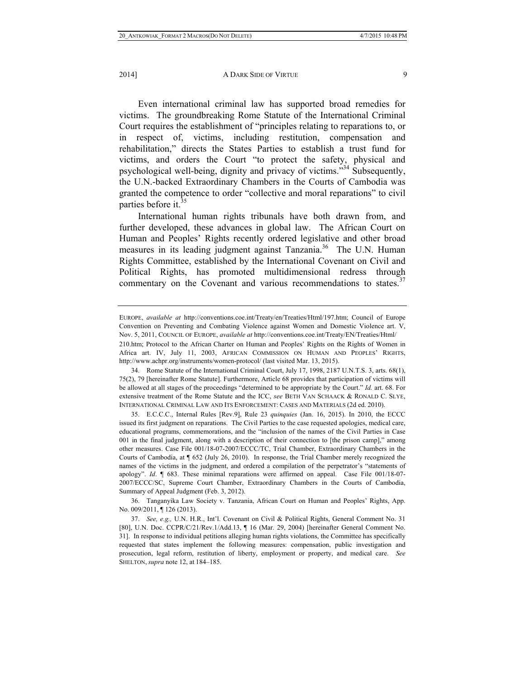2014] **A DARK SIDE OF VIRTUE** 9

Even international criminal law has supported broad remedies for victims. The groundbreaking Rome Statute of the International Criminal Court requires the establishment of "principles relating to reparations to, or in respect of, victims, including restitution, compensation and rehabilitation," directs the States Parties to establish a trust fund for victims, and orders the Court "to protect the safety, physical and psychological well-being, dignity and privacy of victims."34 Subsequently, the U.N.-backed Extraordinary Chambers in the Courts of Cambodia was granted the competence to order "collective and moral reparations" to civil parties before it.<sup>35</sup>

International human rights tribunals have both drawn from, and further developed, these advances in global law. The African Court on Human and Peoples' Rights recently ordered legislative and other broad measures in its leading judgment against Tanzania.<sup>36</sup> The U.N. Human Rights Committee, established by the International Covenant on Civil and Political Rights, has promoted multidimensional redress through commentary on the Covenant and various recommendations to states.<sup>37</sup>

EUROPE, *available at* http://conventions.coe.int/Treaty/en/Treaties/Html/197.htm; Council of Europe Convention on Preventing and Combating Violence against Women and Domestic Violence art. V, Nov. 5, 2011, COUNCIL OF EUROPE, *available at* http://conventions.coe.int/Treaty/EN/Treaties/Html/

<sup>210.</sup>htm; Protocol to the African Charter on Human and Peoples' Rights on the Rights of Women in Africa art. IV, July 11, 2003, AFRICAN COMMISSION ON HUMAN AND PEOPLES' RIGHTS, http://www.achpr.org/instruments/women-protocol/ (last visited Mar. 13, 2015).

 <sup>34.</sup> Rome Statute of the International Criminal Court, July 17, 1998, 2187 U.N.T.S. 3, arts. 68(1), 75(2), 79 [hereinafter Rome Statute]. Furthermore, Article 68 provides that participation of victims will be allowed at all stages of the proceedings "determined to be appropriate by the Court." *Id.* art. 68. For extensive treatment of the Rome Statute and the ICC, *see* BETH VAN SCHAACK & RONALD C. SLYE, INTERNATIONAL CRIMINAL LAW AND ITS ENFORCEMENT: CASES AND MATERIALS (2d ed. 2010).

 <sup>35.</sup> E.C.C.C., Internal Rules [Rev.9], Rule 23 *quinquies* (Jan. 16, 2015). In 2010, the ECCC issued its first judgment on reparations. The Civil Parties to the case requested apologies, medical care, educational programs, commemorations, and the "inclusion of the names of the Civil Parties in Case 001 in the final judgment, along with a description of their connection to [the prison camp]," among other measures. Case File 001/18-07-2007/ECCC/TC, Trial Chamber, Extraordinary Chambers in the Courts of Cambodia, at ¶ 652 (July 26, 2010). In response, the Trial Chamber merely recognized the names of the victims in the judgment, and ordered a compilation of the perpetrator's "statements of apology". *Id*. ¶ 683. These minimal reparations were affirmed on appeal. Case File 001/18-07- 2007/ECCC/SC, Supreme Court Chamber, Extraordinary Chambers in the Courts of Cambodia, Summary of Appeal Judgment (Feb. 3, 2012).

 <sup>36.</sup> Tanganyika Law Society v. Tanzania, African Court on Human and Peoples' Rights, App. No. 009/2011, ¶ 126 (2013).

 <sup>37.</sup> *See, e.g.,* U.N. H.R., Int'l. Covenant on Civil & Political Rights, General Comment No. 31 [80], U.N. Doc. CCPR/C/21/Rev.1/Add.13, ¶ 16 (Mar. 29, 2004) [hereinafter General Comment No. 31]. In response to individual petitions alleging human rights violations, the Committee has specifically requested that states implement the following measures: compensation, public investigation and prosecution, legal reform, restitution of liberty, employment or property, and medical care. *See* SHELTON, *supra* note 12, at 184–185.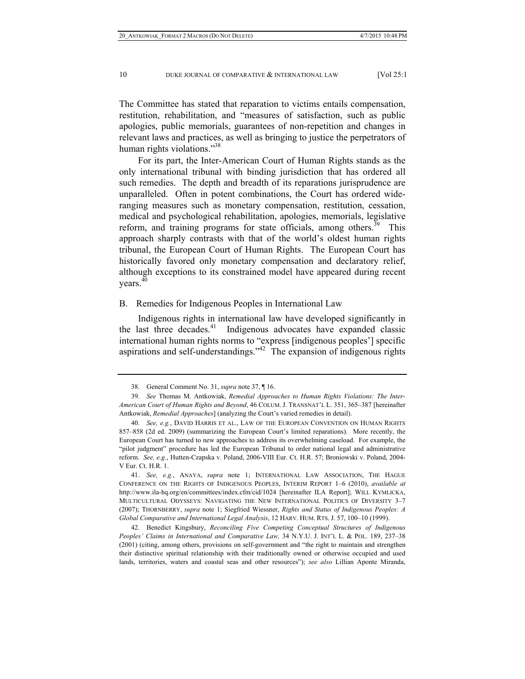The Committee has stated that reparation to victims entails compensation, restitution, rehabilitation, and "measures of satisfaction, such as public apologies, public memorials, guarantees of non-repetition and changes in relevant laws and practices, as well as bringing to justice the perpetrators of human rights violations."<sup>38</sup>

For its part, the Inter-American Court of Human Rights stands as the only international tribunal with binding jurisdiction that has ordered all such remedies. The depth and breadth of its reparations jurisprudence are unparalleled. Often in potent combinations, the Court has ordered wideranging measures such as monetary compensation, restitution, cessation, medical and psychological rehabilitation, apologies, memorials, legislative reform, and training programs for state officials, among others.<sup>39</sup> This approach sharply contrasts with that of the world's oldest human rights tribunal, the European Court of Human Rights. The European Court has historically favored only monetary compensation and declaratory relief, although exceptions to its constrained model have appeared during recent years.<sup>40</sup>

#### B. Remedies for Indigenous Peoples in International Law

Indigenous rights in international law have developed significantly in the last three decades.<sup>41</sup> Indigenous advocates have expanded classic international human rights norms to "express [indigenous peoples'] specific aspirations and self-understandings.<sup>342</sup> The expansion of indigenous rights

 41. *See, e.g.*, ANAYA, *supra* note 1; INTERNATIONAL LAW ASSOCIATION, THE HAGUE CONFERENCE ON THE RIGHTS OF INDIGENOUS PEOPLES, INTERIM REPORT 1–6 (2010), *available at* http://www.ila-hq.org/en/committees/index.cfm/cid/1024 [hereinafter ILA Report]; WILL KYMLICKA, MULTICULTURAL ODYSSEYS: NAVIGATING THE NEW INTERNATIONAL POLITICS OF DIVERSITY 3–7 (2007); THORNBERRY, *supra* note 1; Siegfried Wiessner, *Rights and Status of Indigenous Peoples: A Global Comparative and International Legal Analysis*, 12 HARV. HUM. RTS. J. 57, 100–10 (1999).

 42. Benedict Kingsbury, *Reconciling Five Competing Conceptual Structures of Indigenous Peoples' Claims in International and Comparative Law,* 34 N.Y.U. J. INT'L L. & POL. 189, 237–38 (2001) (citing, among others, provisions on self-government and "the right to maintain and strengthen their distinctive spiritual relationship with their traditionally owned or otherwise occupied and used lands, territories, waters and coastal seas and other resources"); *see also* Lillian Aponte Miranda,

 <sup>38.</sup> General Comment No. 31, *supra* note 37, ¶ 16.

 <sup>39.</sup> *See* Thomas M. Antkowiak, *Remedial Approaches to Human Rights Violations: The Inter-American Court of Human Rights and Beyond*, 46 COLUM. J. TRANSNAT'L L. 351, 365–387 [hereinafter Antkowiak, *Remedial Approaches*] (analyzing the Court's varied remedies in detail).

 <sup>40.</sup> *See, e.g.*, DAVID HARRIS ET AL., LAW OF THE EUROPEAN CONVENTION ON HUMAN RIGHTS 857–858 (2d ed. 2009) (summarizing the European Court's limited reparations). More recently, the European Court has turned to new approaches to address its overwhelming caseload. For example, the "pilot judgment" procedure has led the European Tribunal to order national legal and administrative reform. *See, e.g*., Hutten-Czapska v. Poland, 2006-VIII Eur. Ct. H.R. 57; Broniowski v. Poland, 2004- V Eur. Ct. H.R. 1.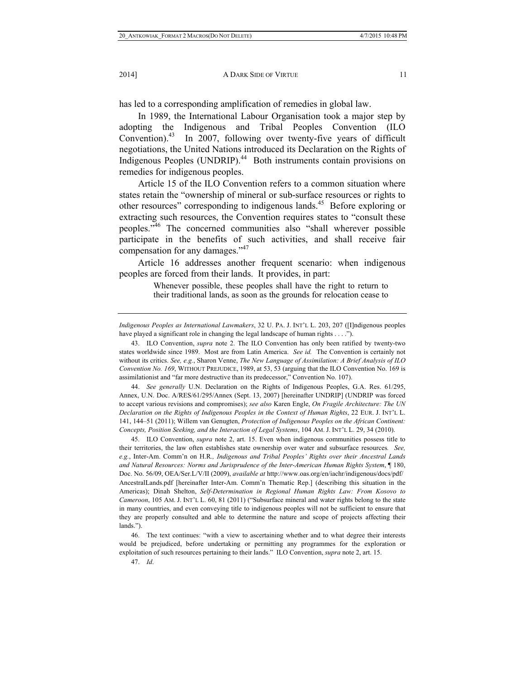has led to a corresponding amplification of remedies in global law.

In 1989, the International Labour Organisation took a major step by adopting the Indigenous and Tribal Peoples Convention (ILO Convention).<sup>43</sup> In 2007, following over twenty-five years of difficult negotiations, the United Nations introduced its Declaration on the Rights of Indigenous Peoples (UNDRIP).<sup>44</sup> Both instruments contain provisions on remedies for indigenous peoples.

Article 15 of the ILO Convention refers to a common situation where states retain the "ownership of mineral or sub-surface resources or rights to other resources" corresponding to indigenous lands.<sup>45</sup> Before exploring or extracting such resources, the Convention requires states to "consult these peoples."46 The concerned communities also "shall wherever possible participate in the benefits of such activities, and shall receive fair compensation for any damages."<sup>47</sup>

Article 16 addresses another frequent scenario: when indigenous peoples are forced from their lands. It provides, in part:

> Whenever possible, these peoples shall have the right to return to their traditional lands, as soon as the grounds for relocation cease to

 44. *See generally* U.N. Declaration on the Rights of Indigenous Peoples, G.A. Res. 61/295, Annex, U.N. Doc. A/RES/61/295/Annex (Sept. 13, 2007) [hereinafter UNDRIP] (UNDRIP was forced to accept various revisions and compromises); *see also* Karen Engle, *On Fragile Architecture: The UN Declaration on the Rights of Indigenous Peoples in the Context of Human Rights*, 22 EUR. J. INT'L L. 141, 144–51 (2011); Willem van Genugten, *Protection of Indigenous Peoples on the African Continent: Concepts, Position Seeking, and the Interaction of Legal Systems*, 104 AM. J. INT'L L. 29, 34 (2010).

 45. ILO Convention, *supra* note 2, art. 15. Even when indigenous communities possess title to their territories, the law often establishes state ownership over water and subsurface resources*. See, e.g.*, Inter-Am. Comm'n on H.R*., Indigenous and Tribal Peoples' Rights over their Ancestral Lands and Natural Resources: Norms and Jurisprudence of the Inter-American Human Rights System*, ¶ 180, Doc. No. 56/09, OEA/Ser.L/V/II (2009), *available at* http://www.oas.org/en/iachr/indigenous/docs/pdf/ AncestralLands.pdf [hereinafter Inter-Am. Comm'n Thematic Rep.] (describing this situation in the Americas); Dinah Shelton, *Self-Determination in Regional Human Rights Law: From Kosovo to Cameroon*, 105 AM. J. INT'L L. 60, 81 (2011) ("Subsurface mineral and water rights belong to the state in many countries, and even conveying title to indigenous peoples will not be sufficient to ensure that they are properly consulted and able to determine the nature and scope of projects affecting their lands.").

 46. The text continues: "with a view to ascertaining whether and to what degree their interests would be prejudiced, before undertaking or permitting any programmes for the exploration or exploitation of such resources pertaining to their lands." ILO Convention, *supra* note 2, art. 15.

47. *Id*.

*Indigenous Peoples as International Lawmakers*, 32 U. PA. J. INT'L L. 203, 207 ([I]ndigenous peoples have played a significant role in changing the legal landscape of human rights . . . .").

 <sup>43.</sup> ILO Convention, *supra* note 2. The ILO Convention has only been ratified by twenty-two states worldwide since 1989. Most are from Latin America. *See id.* The Convention is certainly not without its critics. *See, e.g.*, Sharon Venne, *The New Language of Assimilation: A Brief Analysis of ILO Convention No. 169*, WITHOUT PREJUDICE, 1989, at 53, 53 (arguing that the ILO Convention No. 169 is assimilationist and "far more destructive than its predecessor," Convention No. 107).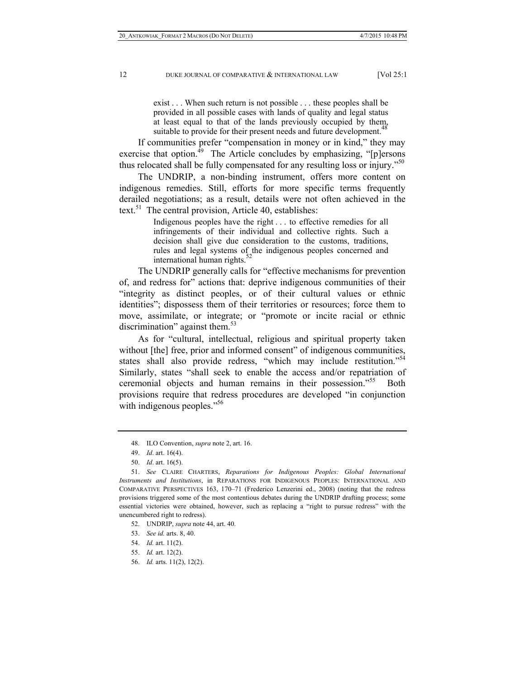exist . . . When such return is not possible . . . these peoples shall be provided in all possible cases with lands of quality and legal status at least equal to that of the lands previously occupied by them, suitable to provide for their present needs and future development.<sup>48</sup>

If communities prefer "compensation in money or in kind," they may exercise that option. $^{49}$  The Article concludes by emphasizing, "[p]ersons thus relocated shall be fully compensated for any resulting loss or injury.<sup>50</sup>

The UNDRIP, a non-binding instrument, offers more content on indigenous remedies. Still, efforts for more specific terms frequently derailed negotiations; as a result, details were not often achieved in the text.<sup>51</sup> The central provision, Article 40, establishes:

> Indigenous peoples have the right . . . to effective remedies for all infringements of their individual and collective rights. Such a decision shall give due consideration to the customs, traditions, rules and legal systems of the indigenous peoples concerned and international human rights. $52$

The UNDRIP generally calls for "effective mechanisms for prevention of, and redress for" actions that: deprive indigenous communities of their "integrity as distinct peoples, or of their cultural values or ethnic identities"; dispossess them of their territories or resources; force them to move, assimilate, or integrate; or "promote or incite racial or ethnic discrimination" against them. $53$ 

As for "cultural, intellectual, religious and spiritual property taken without [the] free, prior and informed consent" of indigenous communities, states shall also provide redress, "which may include restitution."<sup>54</sup> Similarly, states "shall seek to enable the access and/or repatriation of ceremonial objects and human remains in their possession."<sup>55</sup> Both provisions require that redress procedures are developed "in conjunction with indigenous peoples."<sup>56</sup>

56. *Id.* arts. 11(2), 12(2).

 <sup>48.</sup> ILO Convention, *supra* note 2, art. 16.

 <sup>49.</sup> *Id*. art. 16(4).

 <sup>50.</sup> *Id*. art. 16(5).

 <sup>51.</sup> *See* CLAIRE CHARTERS, *Reparations for Indigenous Peoples: Global International Instruments and Institutions*, in REPARATIONS FOR INDIGENOUS PEOPLES: INTERNATIONAL AND COMPARATIVE PERSPECTIVES 163, 170–71 (Frederico Lenzerini ed., 2008) (noting that the redress provisions triggered some of the most contentious debates during the UNDRIP drafting process; some essential victories were obtained, however, such as replacing a "right to pursue redress" with the unencumbered right to redress).

 <sup>52.</sup> UNDRIP, *supra* note 44, art. 40.

 <sup>53.</sup> *See id.* arts. 8, 40.

 <sup>54.</sup> *Id.* art. 11(2).

 <sup>55.</sup> *Id.* art. 12(2).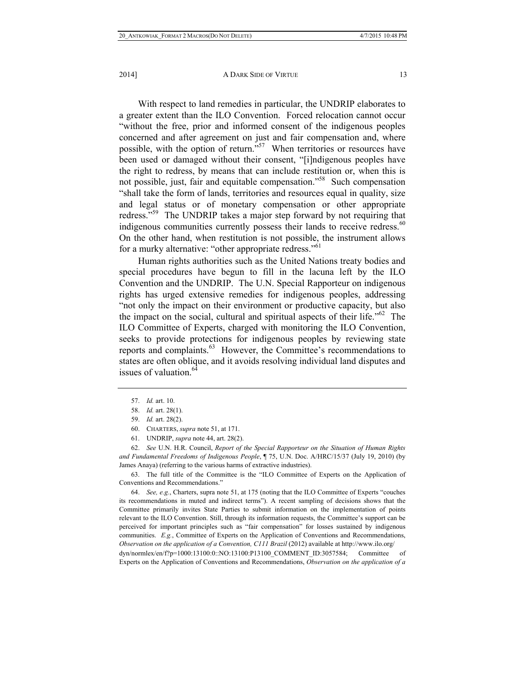With respect to land remedies in particular, the UNDRIP elaborates to a greater extent than the ILO Convention. Forced relocation cannot occur "without the free, prior and informed consent of the indigenous peoples concerned and after agreement on just and fair compensation and, where possible, with the option of return."57 When territories or resources have been used or damaged without their consent, "[i]ndigenous peoples have the right to redress, by means that can include restitution or, when this is not possible, just, fair and equitable compensation."58 Such compensation "shall take the form of lands, territories and resources equal in quality, size and legal status or of monetary compensation or other appropriate redress."59 The UNDRIP takes a major step forward by not requiring that indigenous communities currently possess their lands to receive redress.<sup>60</sup> On the other hand, when restitution is not possible, the instrument allows for a murky alternative: "other appropriate redress."<sup>61</sup>

Human rights authorities such as the United Nations treaty bodies and special procedures have begun to fill in the lacuna left by the ILO Convention and the UNDRIP. The U.N. Special Rapporteur on indigenous rights has urged extensive remedies for indigenous peoples, addressing "not only the impact on their environment or productive capacity, but also the impact on the social, cultural and spiritual aspects of their life.<sup> $562$ </sup> The ILO Committee of Experts, charged with monitoring the ILO Convention, seeks to provide protections for indigenous peoples by reviewing state reports and complaints.<sup>63</sup> However, the Committee's recommendations to states are often oblique, and it avoids resolving individual land disputes and issues of valuation.<sup>64</sup>

60. CHARTERS, *supra* note 51, at 171.

 62. *See* U.N. H.R. Council, *Report of the Special Rapporteur on the Situation of Human Rights and Fundamental Freedoms of Indigenous People*, ¶ 75, U.N. Doc. A/HRC/15/37 (July 19, 2010) (by James Anaya) (referring to the various harms of extractive industries).

 63. The full title of the Committee is the "ILO Committee of Experts on the Application of Conventions and Recommendations."

 64. *See, e.g.*, Charters, supra note 51, at 175 (noting that the ILO Committee of Experts "couches its recommendations in muted and indirect terms"). A recent sampling of decisions shows that the Committee primarily invites State Parties to submit information on the implementation of points relevant to the ILO Convention. Still, through its information requests, the Committee's support can be perceived for important principles such as "fair compensation" for losses sustained by indigenous communities. *E.g.*, Committee of Experts on the Application of Conventions and Recommendations, *Observation on the application of a Convention, C111 Brazil* (2012) available at http://www.ilo.org/

dyn/normlex/en/f?p=1000:13100:0::NO:13100:P13100\_COMMENT\_ID:3057584; Committee of Experts on the Application of Conventions and Recommendations, *Observation on the application of a*

 <sup>57.</sup> *Id.* art. 10.

 <sup>58.</sup> *Id.* art. 28(1).

 <sup>59.</sup> *Id.* art. 28(2).

 <sup>61.</sup> UNDRIP, *supra* note 44, art. 28(2).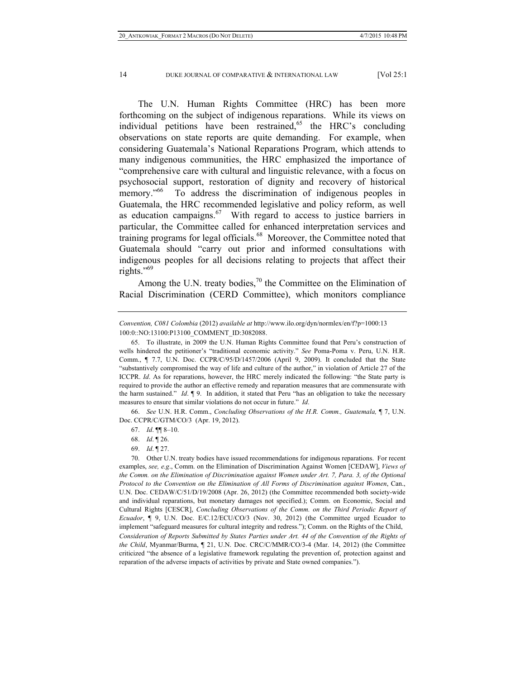The U.N. Human Rights Committee (HRC) has been more forthcoming on the subject of indigenous reparations. While its views on individual petitions have been restrained,  $65$  the HRC's concluding observations on state reports are quite demanding. For example, when considering Guatemala's National Reparations Program, which attends to many indigenous communities, the HRC emphasized the importance of "comprehensive care with cultural and linguistic relevance, with a focus on psychosocial support, restoration of dignity and recovery of historical memory.<sup>"66</sup> To address the discrimination of indigenous peoples in Guatemala, the HRC recommended legislative and policy reform, as well as education campaigns. $67$  With regard to access to justice barriers in particular, the Committee called for enhanced interpretation services and training programs for legal officials.<sup>68</sup> Moreover, the Committee noted that Guatemala should "carry out prior and informed consultations with indigenous peoples for all decisions relating to projects that affect their rights."<sup>69</sup>

Among the U.N. treaty bodies, $^{70}$  the Committee on the Elimination of Racial Discrimination (CERD Committee), which monitors compliance

 66. *See* U.N. H.R. Comm., *Concluding Observations of the H.R. Comm., Guatemala,* ¶ 7, U.N. Doc. CCPR/C/GTM/CO/3 (Apr. 19, 2012).

69. *Id*. ¶ 27.

*Convention, C081 Colombia* (2012) *available at* http://www.ilo.org/dyn/normlex/en/f?p=1000:13 100:0::NO:13100:P13100\_COMMENT\_ID:3082088.

 <sup>65.</sup> To illustrate, in 2009 the U.N. Human Rights Committee found that Peru's construction of wells hindered the petitioner's "traditional economic activity." *See* Poma-Poma v. Peru, U.N. H.R. Comm., ¶ 7.7, U.N. Doc. CCPR/C/95/D/1457/2006 (April 9, 2009). It concluded that the State "substantively compromised the way of life and culture of the author," in violation of Article 27 of the ICCPR. *Id*. As for reparations, however, the HRC merely indicated the following: "the State party is required to provide the author an effective remedy and reparation measures that are commensurate with the harm sustained." *Id*. ¶ 9. In addition, it stated that Peru "has an obligation to take the necessary measures to ensure that similar violations do not occur in future." *Id*.

 <sup>67.</sup> *Id*. ¶¶ 8–10.

 <sup>68.</sup> *Id*. ¶ 26.

 <sup>70.</sup> Other U.N. treaty bodies have issued recommendations for indigenous reparations. For recent examples, *see, e.g*., Comm. on the Elimination of Discrimination Against Women [CEDAW], *Views of the Comm. on the Elimination of Discrimination against Women under Art. 7, Para. 3, of the Optional Protocol to the Convention on the Elimination of All Forms of Discrimination against Women*, Can., U.N. Doc. CEDAW/C/51/D/19/2008 (Apr. 26, 2012) (the Committee recommended both society-wide and individual reparations, but monetary damages not specified.); Comm. on Economic, Social and Cultural Rights [CESCR], *Concluding Observations of the Comm. on the Third Periodic Report of Ecuador*, ¶ 9, U.N. Doc. E/C.12/ECU/CO/3 (Nov. 30, 2012) (the Committee urged Ecuador to implement "safeguard measures for cultural integrity and redress."); Comm. on the Rights of the Child, *Consideration of Reports Submitted by States Parties under Art. 44 of the Convention of the Rights of the Child*, Myanmar/Burma, ¶ 21, U.N. Doc. CRC/C/MMR/CO/3-4 (Mar. 14, 2012) (the Committee criticized "the absence of a legislative framework regulating the prevention of, protection against and reparation of the adverse impacts of activities by private and State owned companies.").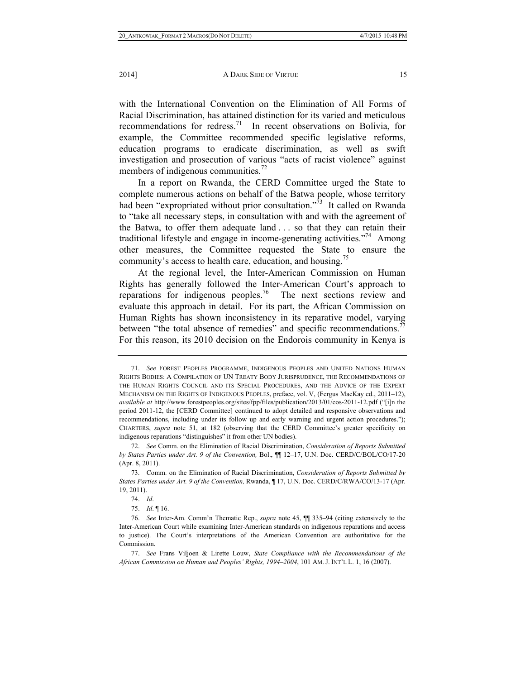with the International Convention on the Elimination of All Forms of Racial Discrimination, has attained distinction for its varied and meticulous recommendations for redress.<sup>71</sup> In recent observations on Bolivia, for example, the Committee recommended specific legislative reforms, education programs to eradicate discrimination, as well as swift investigation and prosecution of various "acts of racist violence" against members of indigenous communities.<sup>72</sup>

In a report on Rwanda, the CERD Committee urged the State to complete numerous actions on behalf of the Batwa people, whose territory had been "expropriated without prior consultation."<sup>73</sup> It called on Rwanda to "take all necessary steps, in consultation with and with the agreement of the Batwa, to offer them adequate land . . . so that they can retain their traditional lifestyle and engage in income-generating activities.<sup> $774$ </sup> Among other measures, the Committee requested the State to ensure the community's access to health care, education, and housing.<sup>15</sup>

At the regional level, the Inter-American Commission on Human Rights has generally followed the Inter-American Court's approach to reparations for indigenous peoples.76 The next sections review and evaluate this approach in detail. For its part, the African Commission on Human Rights has shown inconsistency in its reparative model, varying between "the total absence of remedies" and specific recommendations.<sup>77</sup> For this reason, its 2010 decision on the Endorois community in Kenya is

 <sup>71.</sup> *See* FOREST PEOPLES PROGRAMME, INDIGENOUS PEOPLES AND UNITED NATIONS HUMAN RIGHTS BODIES: A COMPILATION OF UN TREATY BODY JURISPRUDENCE, THE RECOMMENDATIONS OF THE HUMAN RIGHTS COUNCIL AND ITS SPECIAL PROCEDURES, AND THE ADVICE OF THE EXPERT MECHANISM ON THE RIGHTS OF INDIGENOUS PEOPLES, preface, vol. V, (Fergus MacKay ed., 2011–12), *available at* http://www.forestpeoples.org/sites/fpp/files/publication/2013/01/cos-2011-12.pdf ("[i]n the period 2011-12, the [CERD Committee] continued to adopt detailed and responsive observations and recommendations, including under its follow up and early warning and urgent action procedures."); CHARTERS, *supra* note 51, at 182 (observing that the CERD Committee's greater specificity on indigenous reparations "distinguishes" it from other UN bodies).

 <sup>72.</sup> *See* Comm. on the Elimination of Racial Discrimination, *Consideration of Reports Submitted by States Parties under Art. 9 of the Convention,* Bol., ¶¶ 12‒17, U.N. Doc. CERD/C/BOL/CO/17-20 (Apr. 8, 2011).

 <sup>73.</sup> Comm. on the Elimination of Racial Discrimination, *Consideration of Reports Submitted by States Parties under Art. 9 of the Convention,* Rwanda, ¶ 17, U.N. Doc. CERD/C/RWA/CO/13-17 (Apr. 19, 2011).

 <sup>74.</sup> *Id*.

 <sup>75.</sup> *Id*. ¶ 16.

 <sup>76.</sup> *See* Inter-Am. Comm'n Thematic Rep., *supra* note 45, ¶¶ 335–94 (citing extensively to the Inter-American Court while examining Inter-American standards on indigenous reparations and access to justice). The Court's interpretations of the American Convention are authoritative for the Commission.

 <sup>77.</sup> *See* Frans Viljoen & Lirette Louw, *State Compliance with the Recommendations of the African Commission on Human and Peoples' Rights, 1994‒2004*, 101 AM. J. INT'L L. 1, 16 (2007).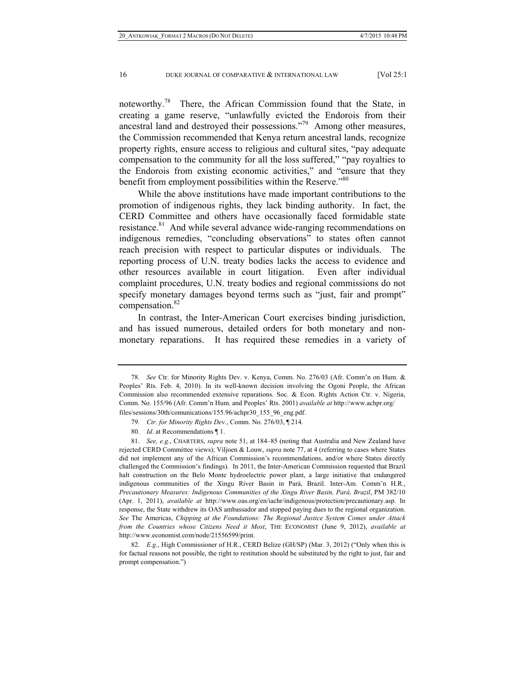noteworthy.<sup>78</sup> There, the African Commission found that the State, in creating a game reserve, "unlawfully evicted the Endorois from their ancestral land and destroyed their possessions."79 Among other measures, the Commission recommended that Kenya return ancestral lands, recognize property rights, ensure access to religious and cultural sites, "pay adequate compensation to the community for all the loss suffered," "pay royalties to the Endorois from existing economic activities," and "ensure that they benefit from employment possibilities within the Reserve."<sup>80</sup>

While the above institutions have made important contributions to the promotion of indigenous rights, they lack binding authority. In fact, the CERD Committee and others have occasionally faced formidable state resistance.<sup>81</sup> And while several advance wide-ranging recommendations on indigenous remedies, "concluding observations" to states often cannot reach precision with respect to particular disputes or individuals. The reporting process of U.N. treaty bodies lacks the access to evidence and other resources available in court litigation. Even after individual complaint procedures, U.N. treaty bodies and regional commissions do not specify monetary damages beyond terms such as "just, fair and prompt" compensation.<sup>82</sup>

In contrast, the Inter-American Court exercises binding jurisdiction, and has issued numerous, detailed orders for both monetary and nonmonetary reparations. It has required these remedies in a variety of

 <sup>78.</sup> *See* Ctr. for Minority Rights Dev. v. Kenya, Comm. No. 276/03 (Afr. Comm'n on Hum. & Peoples' Rts. Feb. 4, 2010). In its well-known decision involving the Ogoni People, the African Commission also recommended extensive reparations. Soc. & Econ. Rights Action Ctr. v. Nigeria, Comm. No. 155/96 (Afr. Comm'n Hum. and Peoples' Rts. 2001) *available at* http://www.achpr.org/ files/sessions/30th/comunications/155.96/achpr30\_155\_96\_eng.pdf.

 <sup>79.</sup> *Ctr. for Minority Rights Dev.*, Comm. No. 276/03, ¶ 214.

 <sup>80.</sup> *Id*. at Recommendations ¶ 1.

 <sup>81.</sup> *See, e.g.*, CHARTERS, *supra* note 51, at 184–85 (noting that Australia and New Zealand have rejected CERD Committee views); Viljoen & Louw, *supra* note 77, at 4 (referring to cases where States did not implement any of the African Commission's recommendations, and/or where States directly challenged the Commission's findings). In 2011, the Inter-American Commission requested that Brazil halt construction on the Belo Monte hydroelectric power plant, a large initiative that endangered indigenous communities of the Xingu River Basin in Pará, Brazil. Inter-Am. Comm'n H.R., *Precautionary Measures: Indigenous Communities of the Xingu River Basin, Pará, Brazil*, PM 382/10 (Apr. 1, 2011), *available at* http://www.oas.org/en/iachr/indigenous/protection/precautionary.asp. In response, the State withdrew its OAS ambassador and stopped paying dues to the regional organization. *See* The Americas, *Chipping at the Foundations: The Regional Justice System Comes under Attack from the Countries whose Citizens Need it Most*, THE ECONOMIST (June 9, 2012), *available at*  http://www.economist.com/node/21556599/print.

 <sup>82.</sup> *E.g.*, High Commissioner of H.R., CERD Belize (GH/SP) (Mar. 3, 2012) ("Only when this is for factual reasons not possible, the right to restitution should be substituted by the right to just, fair and prompt compensation.")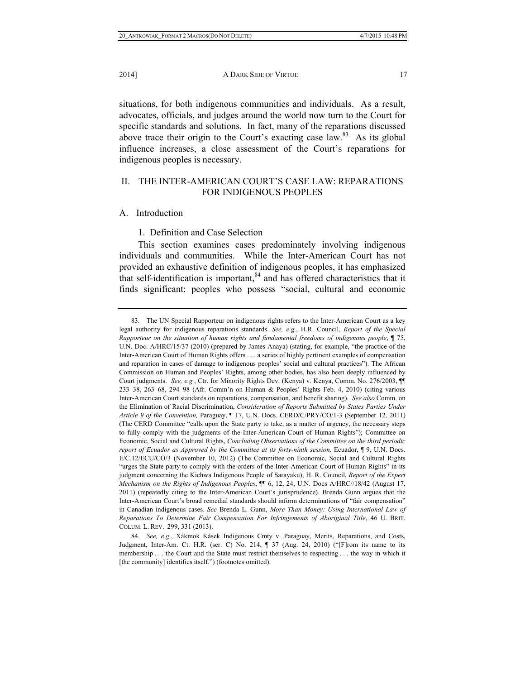situations, for both indigenous communities and individuals. As a result, advocates, officials, and judges around the world now turn to the Court for specific standards and solutions. In fact, many of the reparations discussed above trace their origin to the Court's exacting case  $law$ .<sup>83</sup> As its global influence increases, a close assessment of the Court's reparations for indigenous peoples is necessary.

# II. THE INTER-AMERICAN COURT'S CASE LAW: REPARATIONS FOR INDIGENOUS PEOPLES

### A. Introduction

### 1. Definition and Case Selection

This section examines cases predominately involving indigenous individuals and communities. While the Inter-American Court has not provided an exhaustive definition of indigenous peoples, it has emphasized that self-identification is important,<sup>84</sup> and has offered characteristics that it finds significant: peoples who possess "social, cultural and economic

 <sup>83.</sup> The UN Special Rapporteur on indigenous rights refers to the Inter-American Court as a key legal authority for indigenous reparations standards. *See, e.g.*, H.R. Council, *Report of the Special Rapporteur on the situation of human rights and fundamental freedoms of indigenous people*, ¶ 75, U.N. Doc. A/HRC/15/37 (2010) (prepared by James Anaya) (stating, for example, "the practice of the Inter-American Court of Human Rights offers . . . a series of highly pertinent examples of compensation and reparation in cases of damage to indigenous peoples' social and cultural practices"). The African Commission on Human and Peoples' Rights, among other bodies, has also been deeply influenced by Court judgments. *See, e.g.*, Ctr. for Minority Rights Dev. (Kenya) v. Kenya, Comm. No. 276/2003, ¶¶ 233–38, 263–68, 294–98 (Afr. Comm'n on Human & Peoples' Rights Feb. 4, 2010) (citing various Inter-American Court standards on reparations, compensation, and benefit sharing). *See also* Comm. on the Elimination of Racial Discrimination, *Consideration of Reports Submitted by States Parties Under Article 9 of the Convention,* Paraguay, ¶ 17, U.N. Docs. CERD/C/PRY/CO/1-3 (September 12, 2011) (The CERD Committee "calls upon the State party to take, as a matter of urgency, the necessary steps to fully comply with the judgments of the Inter-American Court of Human Rights"); Committee on Economic, Social and Cultural Rights, *Concluding Observations of the Committee on the third periodic report of Ecuador as Approved by the Committee at its forty-ninth session,* Ecuador, ¶ 9, U.N. Docs. E/C.12/ECU/CO/3 (November 10, 2012) (The Committee on Economic, Social and Cultural Rights "urges the State party to comply with the orders of the Inter-American Court of Human Rights" in its judgment concerning the Kichwa Indigenous People of Sarayaku); H. R. Council, *Report of the Expert Mechanism on the Rights of Indigenous Peoples*, ¶¶ 6, 12, 24, U.N. Docs A/HRC//18/42 (August 17, 2011) (repeatedly citing to the Inter-American Court's jurisprudence). Brenda Gunn argues that the Inter-American Court's broad remedial standards should inform determinations of "fair compensation" in Canadian indigenous cases. *See* Brenda L. Gunn, *More Than Money: Using International Law of Reparations To Determine Fair Compensation For Infringements of Aboriginal Title*, 46 U. BRIT. COLUM. L. REV. 299, 331 (2013).

 <sup>84.</sup> *See, e.g.*, Xákmok Kásek Indigenous Cmty v. Paraguay, Merits, Reparations, and Costs, Judgment, Inter-Am. Ct. H.R. (ser. C) No. 214, ¶ 37 (Aug. 24, 2010) ("[F]rom its name to its membership . . . the Court and the State must restrict themselves to respecting . . . the way in which it [the community] identifies itself.") (footnotes omitted).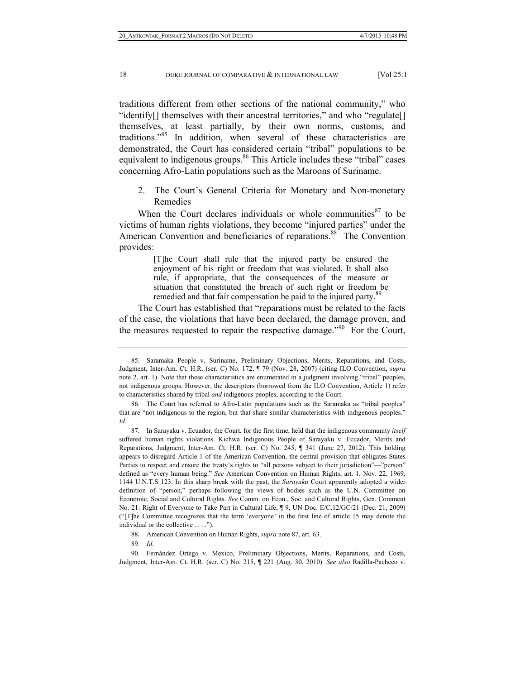traditions different from other sections of the national community," who "identify[] themselves with their ancestral territories," and who "regulate[] themselves, at least partially, by their own norms, customs, and traditions."85 In addition, when several of these characteristics are demonstrated, the Court has considered certain "tribal" populations to be equivalent to indigenous groups.<sup>86</sup> This Article includes these "tribal" cases concerning Afro-Latin populations such as the Maroons of Suriname.

2. The Court's General Criteria for Monetary and Non-monetary Remedies

When the Court declares individuals or whole communities  $87$  to be victims of human rights violations, they become "injured parties" under the American Convention and beneficiaries of reparations.<sup>88</sup> The Convention provides:

> [T]he Court shall rule that the injured party be ensured the enjoyment of his right or freedom that was violated. It shall also rule, if appropriate, that the consequences of the measure or situation that constituted the breach of such right or freedom be remedied and that fair compensation be paid to the injured party.<sup>89</sup>

The Court has established that "reparations must be related to the facts of the case, the violations that have been declared, the damage proven, and the measures requested to repair the respective damage."<sup>90</sup> For the Court,

88. American Convention on Human Rights, *supra* note 87, art. 63.

89. *Id.*

 90. Fernández Ortega v. Mexico, Preliminary Objections, Merits, Reparations, and Costs, Judgment, Inter-Am. Ct. H.R. (ser. C) No. 215, ¶ 221 (Aug. 30, 2010). *See also* Radilla-Pacheco v.

 <sup>85.</sup> Saramaka People v. Suriname, Preliminary Objections, Merits, Reparations, and Costs, Judgment, Inter-Am. Ct. H.R. (ser. C) No. 172, ¶ 79 (Nov. 28, 2007) (citing ILO Convention, *supra* note 2, art. 1). Note that these characteristics are enumerated in a judgment involving "tribal" peoples, not indigenous groups. However, the descriptors (borrowed from the ILO Convention, Article 1) refer to characteristics shared by tribal *and* indigenous peoples, according to the Court.

 <sup>86.</sup> The Court has referred to Afro-Latin populations such as the Saramaka as "tribal peoples" that are "not indigenous to the region, but that share similar characteristics with indigenous peoples." *Id.* 

 <sup>87.</sup> In Sarayaku v. Ecuador, the Court, for the first time, held that the indigenous community *itself* suffered human rights violations. Kichwa Indigenous People of Sarayaku v. Ecuador, Merits and Reparations, Judgment, Inter-Am. Ct. H.R. (ser. C) No. 245, ¶ 341 (June 27, 2012). This holding appears to disregard Article 1 of the American Convention, the central provision that obligates States Parties to respect and ensure the treaty's rights to "all persons subject to their jurisdiction"—"person" defined as "every human being." *See* American Convention on Human Rights, art. 1, Nov. 22, 1969, 1144 U.N.T.S 123. In this sharp break with the past, the *Sarayaku* Court apparently adopted a wider definition of "person," perhaps following the views of bodies such as the U.N. Committee on Economic, Social and Cultural Rights. *See* Comm. on Econ., Soc. and Cultural Rights, Gen. Comment No. 21: Right of Everyone to Take Part in Cultural Life, ¶ 9, UN Doc. E/C.12/GC/21 (Dec. 21, 2009) ("[T]he Committee recognizes that the term 'everyone' in the first line of article 15 may denote the individual or the collective . . . .").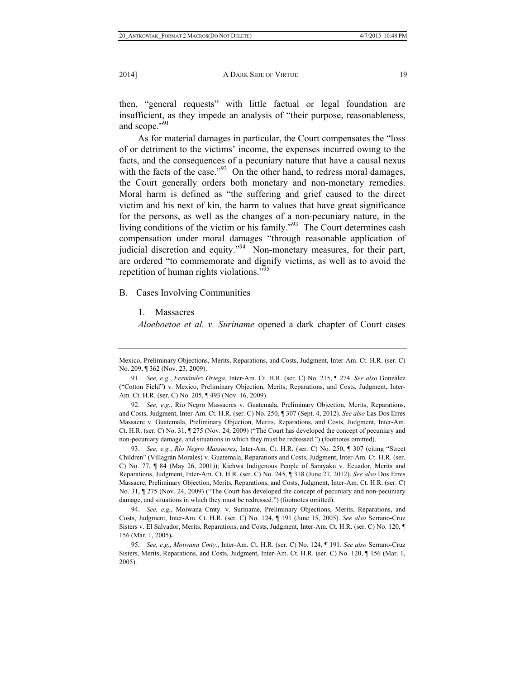then, "general requests" with little factual or legal foundation are insufficient, as they impede an analysis of "their purpose, reasonableness, and scope."<sup>91</sup>

As for material damages in particular, the Court compensates the "loss of or detriment to the victims' income, the expenses incurred owing to the facts, and the consequences of a pecuniary nature that have a causal nexus with the facts of the case." $^{92}$  On the other hand, to redress moral damages, the Court generally orders both monetary and non-monetary remedies. Moral harm is defined as "the suffering and grief caused to the direct victim and his next of kin, the harm to values that have great significance for the persons, as well as the changes of a non-pecuniary nature, in the living conditions of the victim or his family."93 The Court determines cash compensation under moral damages "through reasonable application of judicial discretion and equity."<sup>94</sup> Non-monetary measures, for their part, are ordered "to commemorate and dignify victims, as well as to avoid the repetition of human rights violations."<sup>95</sup>

#### B. Cases Involving Communities

1. Massacres

*Aloeboetoe et al. v. Suriname* opened a dark chapter of Court cases

 93. *See, e.g.*, *Río Negro Massacres*, Inter-Am. Ct. H.R. (ser. C) No. 250, ¶ 307 (citing "Street Children" (Villagrán Morales) v. Guatemala, Reparations and Costs, Judgment, Inter-Am. Ct. H.R. (ser. C) No. 77, ¶ 84 (May 26, 2001)); Kichwa Indigenous People of Sarayaku v. Ecuador, Merits and Reparations, Judgment, Inter-Am. Ct. H.R. (ser. C) No. 245, ¶ 318 (June 27, 2012). *See also* Dos Erres Massacre, Preliminary Objection, Merits, Reparations, and Costs, Judgment, Inter-Am. Ct. H.R. (ser. C) No. 31, ¶ 275 (Nov. 24, 2009) ("The Court has developed the concept of pecuniary and non-pecuniary damage, and situations in which they must be redressed.") (footnotes omitted).

 94. *See, e.g.*, Moiwana Cmty. v. Suriname, Preliminary Objections, Merits, Reparations, and Costs, Judgment, Inter-Am. Ct. H.R. (ser. C) No. 124, ¶ 191 (June 15, 2005). *See also* Serrano-Cruz Sisters v. El Salvador, Merits, Reparations, and Costs, Judgment, Inter-Am. Ct. H.R. (ser. C) No. 120, ¶ 156 (Mar. 1, 2005)**.**

Mexico, Preliminary Objections, Merits, Reparations, and Costs, Judgment, Inter-Am. Ct. H.R. (ser. C) No. 209, ¶ 362 (Nov. 23, 2009).

 <sup>91.</sup> *See, e.g.*, *Fernández Ortega*, Inter-Am. Ct. H.R. (ser. C) No. 215, ¶ 274. *See also* González ("Cotton Field") v. Mexico, Preliminary Objection, Merits, Reparations, and Costs, Judgment, Inter-Am. Ct. H.R. (ser. C) No. 205, ¶ 493 (Nov. 16, 2009).

 <sup>92.</sup> *See, e.g.*, Río Negro Massacres v. Guatemala, Preliminary Objection, Merits, Reparations, and Costs, Judgment, Inter-Am. Ct. H.R. (ser. C) No. 250, ¶ 307 (Sept. 4, 2012). *See also* Las Dos Erres Massacre v. Guatemala, Preliminary Objection, Merits, Reparations, and Costs, Judgment, Inter-Am. Ct. H.R. (ser. C) No. 31, ¶ 275 (Nov. 24, 2009) ("The Court has developed the concept of pecuniary and non-pecuniary damage, and situations in which they must be redressed.") (footnotes omitted).

 <sup>95.</sup> *See, e.g.*, *Moiwana Cmty.*, Inter-Am. Ct. H.R. (ser. C) No. 124, ¶ 191. *See also* Serrano-Cruz Sisters, Merits, Reparations, and Costs, Judgment, Inter-Am. Ct. H.R. (ser. C) No. 120, ¶ 156 (Mar. 1, 2005).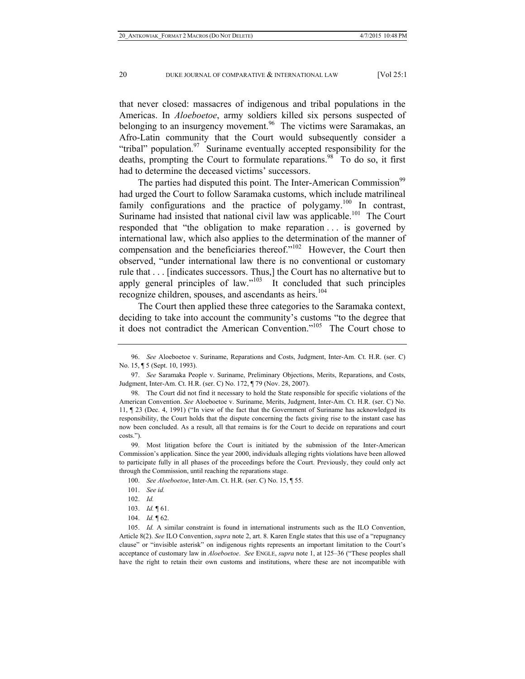that never closed: massacres of indigenous and tribal populations in the Americas. In *Aloeboetoe*, army soldiers killed six persons suspected of belonging to an insurgency movement.<sup>96</sup> The victims were Saramakas, an Afro-Latin community that the Court would subsequently consider a "tribal" population. $97$  Suriname eventually accepted responsibility for the deaths, prompting the Court to formulate reparations. $98\degree$  To do so, it first had to determine the deceased victims' successors.

The parties had disputed this point. The Inter-American Commission<sup>99</sup> had urged the Court to follow Saramaka customs, which include matrilineal family configurations and the practice of polygamy.<sup>100</sup> In contrast, Suriname had insisted that national civil law was applicable.<sup>101</sup> The Court responded that "the obligation to make reparation . . . is governed by international law, which also applies to the determination of the manner of compensation and the beneficiaries thereof."<sup>102</sup> However, the Court then observed, "under international law there is no conventional or customary rule that . . . [indicates successors. Thus,] the Court has no alternative but to apply general principles of law."<sup>103</sup> It concluded that such principles recognize children, spouses, and ascendants as heirs.<sup>104</sup>

The Court then applied these three categories to the Saramaka context, deciding to take into account the community's customs "to the degree that it does not contradict the American Convention."105 The Court chose to

 <sup>96.</sup> *See* Aloeboetoe v. Suriname, Reparations and Costs, Judgment, Inter-Am. Ct. H.R. (ser. C) No. 15, ¶ 5 (Sept. 10, 1993).

 <sup>97.</sup> *See* Saramaka People v. Suriname, Preliminary Objections, Merits, Reparations, and Costs, Judgment, Inter-Am. Ct. H.R. (ser. C) No. 172, ¶ 79 (Nov. 28, 2007).

 <sup>98.</sup> The Court did not find it necessary to hold the State responsible for specific violations of the American Convention. *See* Aloeboetoe v. Suriname, Merits, Judgment, Inter-Am. Ct. H.R. (ser. C) No. 11, ¶ 23 (Dec. 4, 1991) ("In view of the fact that the Government of Suriname has acknowledged its responsibility, the Court holds that the dispute concerning the facts giving rise to the instant case has now been concluded. As a result, all that remains is for the Court to decide on reparations and court costs.").

 <sup>99.</sup> Most litigation before the Court is initiated by the submission of the Inter-American Commission's application. Since the year 2000, individuals alleging rights violations have been allowed to participate fully in all phases of the proceedings before the Court. Previously, they could only act through the Commission, until reaching the reparations stage.

 <sup>100.</sup> *See Aloeboetoe*, Inter-Am. Ct. H.R. (ser. C) No. 15, ¶ 55.

 <sup>101.</sup> *See id.*

 <sup>102.</sup> *Id.*

 <sup>103.</sup> *Id.* ¶ 61.

 <sup>104.</sup> *Id.* ¶ 62.

 <sup>105.</sup> *Id.* A similar constraint is found in international instruments such as the ILO Convention, Article 8(2). *See* ILO Convention, *supra* note 2, art. 8. Karen Engle states that this use of a "repugnancy clause" or "invisible asterisk" on indigenous rights represents an important limitation to the Court's acceptance of customary law in *Aloeboetoe*. *See* ENGLE, *supra* note 1, at 125–36 ("These peoples shall have the right to retain their own customs and institutions, where these are not incompatible with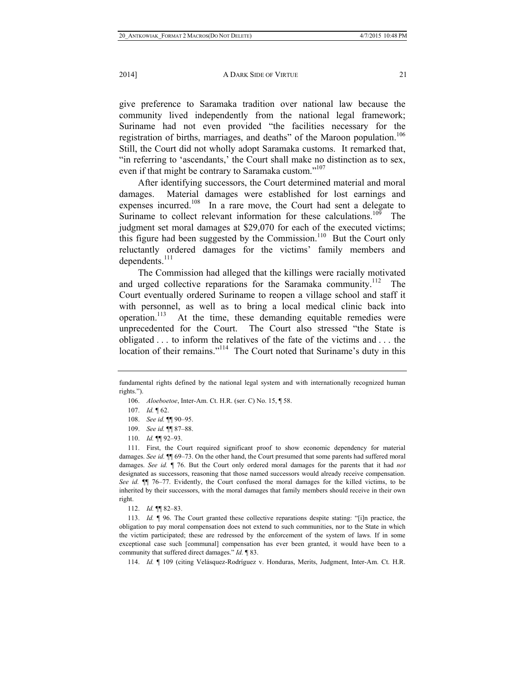give preference to Saramaka tradition over national law because the community lived independently from the national legal framework; Suriname had not even provided "the facilities necessary for the registration of births, marriages, and deaths" of the Maroon population.<sup>106</sup> Still, the Court did not wholly adopt Saramaka customs. It remarked that, "in referring to 'ascendants,' the Court shall make no distinction as to sex, even if that might be contrary to Saramaka custom."<sup>107</sup>

After identifying successors, the Court determined material and moral damages. Material damages were established for lost earnings and expenses incurred.<sup>108</sup> In a rare move, the Court had sent a delegate to Suriname to collect relevant information for these calculations.<sup>109</sup> The judgment set moral damages at \$29,070 for each of the executed victims; this figure had been suggested by the Commission.<sup>110</sup> But the Court only reluctantly ordered damages for the victims' family members and dependents.<sup>111</sup>

The Commission had alleged that the killings were racially motivated and urged collective reparations for the Saramaka community.<sup>112</sup> The Court eventually ordered Suriname to reopen a village school and staff it with personnel, as well as to bring a local medical clinic back into operation.<sup>113</sup> At the time, these demanding equitable remedies were unprecedented for the Court. The Court also stressed "the State is obligated . . . to inform the relatives of the fate of the victims and . . . the location of their remains."<sup>114</sup> The Court noted that Suriname's duty in this

106. *Aloeboetoe*, Inter-Am. Ct. H.R. (ser. C) No. 15, ¶ 58.

- 108. *See id.* ¶¶ 90–95.
- 109. *See id.* ¶¶ 87–88.
- 110. *Id.* ¶¶ 92–93.

112. *Id.* ¶¶ 82–83.

 113. *Id.* ¶ 96. The Court granted these collective reparations despite stating: "[i]n practice, the obligation to pay moral compensation does not extend to such communities, nor to the State in which the victim participated; these are redressed by the enforcement of the system of laws. If in some exceptional case such [communal] compensation has ever been granted, it would have been to a community that suffered direct damages." *Id.* ¶ 83.

114. *Id.* ¶ 109 (citing Velásquez-Rodríguez v. Honduras, Merits, Judgment, Inter-Am. Ct. H.R.

fundamental rights defined by the national legal system and with internationally recognized human rights.").

 <sup>107.</sup> *Id.* ¶ 62.

 <sup>111.</sup> First, the Court required significant proof to show economic dependency for material damages. *See id.* ¶¶ 69–73. On the other hand, the Court presumed that some parents had suffered moral damages. *See id.* ¶ 76. But the Court only ordered moral damages for the parents that it had *not* designated as successors, reasoning that those named successors would already receive compensation. *See id.* ¶¶ 76–77. Evidently, the Court confused the moral damages for the killed victims, to be inherited by their successors, with the moral damages that family members should receive in their own right.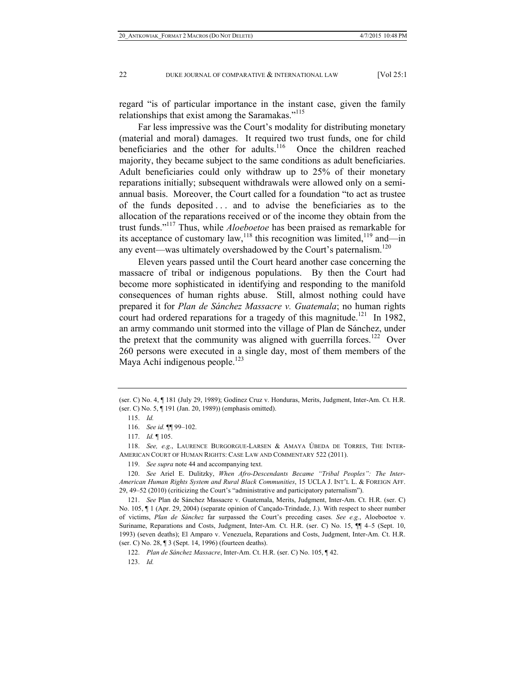regard "is of particular importance in the instant case, given the family relationships that exist among the Saramakas."<sup>115</sup>

Far less impressive was the Court's modality for distributing monetary (material and moral) damages. It required two trust funds, one for child beneficiaries and the other for adults.<sup>116</sup> Once the children reached majority, they became subject to the same conditions as adult beneficiaries. Adult beneficiaries could only withdraw up to 25% of their monetary reparations initially; subsequent withdrawals were allowed only on a semiannual basis. Moreover, the Court called for a foundation "to act as trustee of the funds deposited . . . and to advise the beneficiaries as to the allocation of the reparations received or of the income they obtain from the trust funds."117 Thus, while *Aloeboetoe* has been praised as remarkable for its acceptance of customary law,<sup>118</sup> this recognition was limited,<sup>119</sup> and—in any event—was ultimately overshadowed by the Court's paternalism.<sup>120</sup>

Eleven years passed until the Court heard another case concerning the massacre of tribal or indigenous populations. By then the Court had become more sophisticated in identifying and responding to the manifold consequences of human rights abuse. Still, almost nothing could have prepared it for *Plan de Sánchez Massacre v. Guatemala*; no human rights court had ordered reparations for a tragedy of this magnitude.<sup>121</sup> In 1982, an army commando unit stormed into the village of Plan de Sánchez, under the pretext that the community was aligned with guerrilla forces.<sup>122</sup> Over 260 persons were executed in a single day, most of them members of the Maya Achí indigenous people. $123$ 

 118. *See, e.g.*, LAURENCE BURGORGUE-LARSEN & AMAYA ÚBEDA DE TORRES, THE INTER-AMERICAN COURT OF HUMAN RIGHTS: CASE LAW AND COMMENTARY 522 (2011).

119. *See supra* note 44 and accompanying text.

123. *Id.*

<sup>(</sup>ser. C) No. 4, ¶ 181 (July 29, 1989); Godínez Cruz v. Honduras, Merits, Judgment, Inter-Am. Ct. H.R. (ser. C) No. 5, ¶ 191 (Jan. 20, 1989)) (emphasis omitted).

 <sup>115.</sup> *Id.*

 <sup>116.</sup> *See id.* ¶¶ 99–102.

 <sup>117.</sup> *Id.* ¶ 105.

 <sup>120.</sup> *See* Ariel E. Dulitzky, *When Afro-Descendants Became "Tribal Peoples": The Inter-American Human Rights System and Rural Black Communities*, 15 UCLA J. INT'L L. & FOREIGN AFF. 29, 49–52 (2010) (criticizing the Court's "administrative and participatory paternalism").

 <sup>121.</sup> *See* Plan de Sánchez Massacre v. Guatemala, Merits, Judgment, Inter-Am. Ct. H.R. (ser. C) No. 105,  $\P$  1 (Apr. 29, 2004) (separate opinion of Cançado-Trindade, J.). With respect to sheer number of victims, *Plan de Sánchez* far surpassed the Court's preceding cases. *See e.g.*, Aloeboetoe v. Suriname, Reparations and Costs, Judgment, Inter-Am. Ct. H.R. (ser. C) No. 15, ¶¶ 4–5 (Sept. 10, 1993) (seven deaths); El Amparo v. Venezuela, Reparations and Costs, Judgment, Inter-Am. Ct. H.R. (ser. C) No. 28, ¶ 3 (Sept. 14, 1996) (fourteen deaths).

 <sup>122.</sup> *Plan de Sánchez Massacre*, Inter-Am. Ct. H.R. (ser. C) No. 105, ¶ 42.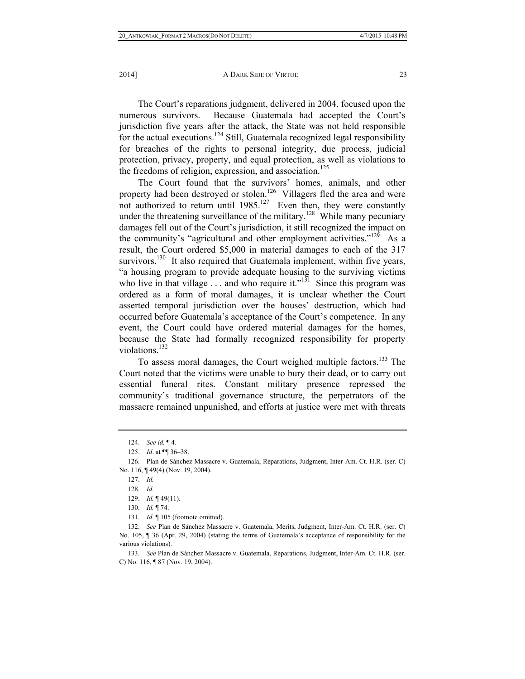The Court's reparations judgment, delivered in 2004, focused upon the numerous survivors. Because Guatemala had accepted the Court's jurisdiction five years after the attack, the State was not held responsible for the actual executions.<sup>124</sup> Still, Guatemala recognized legal responsibility for breaches of the rights to personal integrity, due process, judicial protection, privacy, property, and equal protection, as well as violations to the freedoms of religion, expression, and association.<sup>125</sup>

The Court found that the survivors' homes, animals, and other property had been destroyed or stolen.<sup>126</sup> Villagers fled the area and were not authorized to return until 1985.<sup>127</sup> Even then, they were constantly under the threatening surveillance of the military.<sup>128</sup> While many pecuniary damages fell out of the Court's jurisdiction, it still recognized the impact on the community's "agricultural and other employment activities."129 As a result, the Court ordered \$5,000 in material damages to each of the 317 survivors.<sup>130</sup> It also required that Guatemala implement, within five years, "a housing program to provide adequate housing to the surviving victims who live in that village  $\ldots$  and who require it."<sup>131</sup> Since this program was ordered as a form of moral damages, it is unclear whether the Court asserted temporal jurisdiction over the houses' destruction, which had occurred before Guatemala's acceptance of the Court's competence. In any event, the Court could have ordered material damages for the homes, because the State had formally recognized responsibility for property violations.<sup>132</sup>

To assess moral damages, the Court weighed multiple factors.<sup>133</sup> The Court noted that the victims were unable to bury their dead, or to carry out essential funeral rites. Constant military presence repressed the community's traditional governance structure, the perpetrators of the massacre remained unpunished, and efforts at justice were met with threats

 133. *See* Plan de Sánchez Massacre v. Guatemala, Reparations, Judgment, Inter-Am. Ct. H.R. (ser. C) No. 116, ¶ 87 (Nov. 19, 2004).

 <sup>124.</sup> *See id.* ¶ 4.

 <sup>125.</sup> *Id*. at ¶¶ 36–38.

 <sup>126.</sup> Plan de Sánchez Massacre v. Guatemala, Reparations, Judgment, Inter-Am. Ct. H.R. (ser. C) No. 116, ¶ 49(4) (Nov. 19, 2004).

 <sup>127.</sup> *Id.*

 <sup>128.</sup> *Id.*

 <sup>129.</sup> *Id.* ¶ 49(11).

 <sup>130.</sup> *Id.* ¶ 74.

 <sup>131.</sup> *Id.* ¶ 105 (footnote omitted).

 <sup>132.</sup> *See* Plan de Sánchez Massacre v. Guatemala, Merits, Judgment, Inter-Am. Ct. H.R. (ser. C) No. 105, ¶ 36 (Apr. 29, 2004) (stating the terms of Guatemala's acceptance of responsibility for the various violations).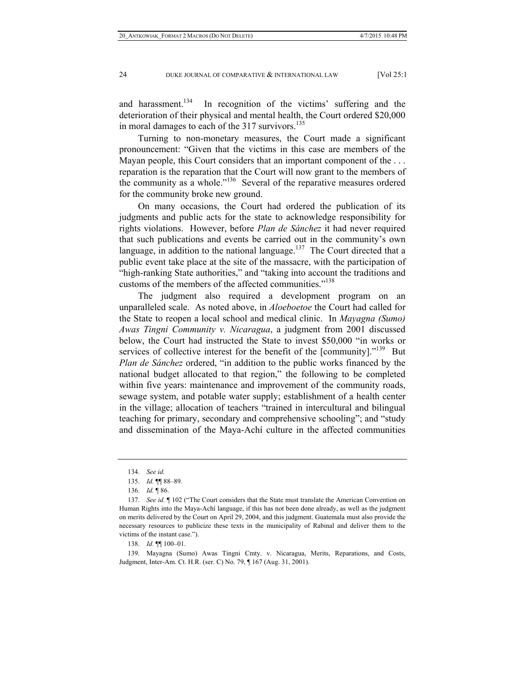and harassment.<sup>134</sup> In recognition of the victims' suffering and the deterioration of their physical and mental health, the Court ordered \$20,000 in moral damages to each of the 317 survivors.<sup>135</sup>

Turning to non-monetary measures, the Court made a significant pronouncement: "Given that the victims in this case are members of the Mayan people, this Court considers that an important component of the ... reparation is the reparation that the Court will now grant to the members of the community as a whole."136 Several of the reparative measures ordered for the community broke new ground.

On many occasions, the Court had ordered the publication of its judgments and public acts for the state to acknowledge responsibility for rights violations. However, before *Plan de Sánchez* it had never required that such publications and events be carried out in the community's own language, in addition to the national language.<sup>137</sup> The Court directed that a public event take place at the site of the massacre, with the participation of "high-ranking State authorities," and "taking into account the traditions and customs of the members of the affected communities."<sup>138</sup>

The judgment also required a development program on an unparalleled scale. As noted above, in *Aloeboetoe* the Court had called for the State to reopen a local school and medical clinic. In *Mayagna (Sumo) Awas Tingni Community v. Nicaragua*, a judgment from 2001 discussed below, the Court had instructed the State to invest \$50,000 "in works or services of collective interest for the benefit of the [community]."<sup>139</sup> But *Plan de Sánchez* ordered, "in addition to the public works financed by the national budget allocated to that region," the following to be completed within five years: maintenance and improvement of the community roads, sewage system, and potable water supply; establishment of a health center in the village; allocation of teachers "trained in intercultural and bilingual teaching for primary, secondary and comprehensive schooling"; and "study and dissemination of the Maya-Achí culture in the affected communities

138. *Id.* ¶¶ 100–01.

 139. Mayagna (Sumo) Awas Tingni Cmty. v. Nicaragua, Merits, Reparations, and Costs, Judgment, Inter-Am. Ct. H.R. (ser. C) No. 79, ¶ 167 (Aug. 31, 2001).

 <sup>134.</sup> *See id.*

 <sup>135.</sup> *Id.* ¶¶ 88–89.

 <sup>136.</sup> *Id.* ¶ 86.

 <sup>137.</sup> *See id.* ¶ 102 ("The Court considers that the State must translate the American Convention on Human Rights into the Maya-Achí language, if this has not been done already, as well as the judgment on merits delivered by the Court on April 29, 2004, and this judgment. Guatemala must also provide the necessary resources to publicize these texts in the municipality of Rabinal and deliver them to the victims of the instant case.").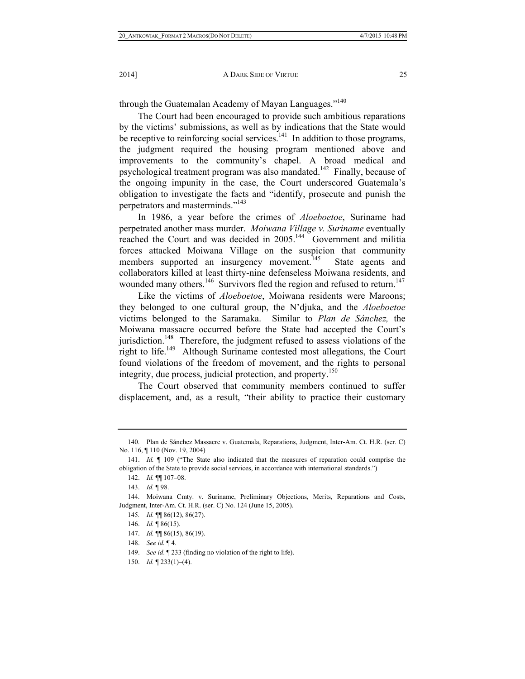through the Guatemalan Academy of Mayan Languages."<sup>140</sup>

The Court had been encouraged to provide such ambitious reparations by the victims' submissions, as well as by indications that the State would be receptive to reinforcing social services.<sup>141</sup> In addition to those programs, the judgment required the housing program mentioned above and improvements to the community's chapel. A broad medical and psychological treatment program was also mandated.142 Finally, because of the ongoing impunity in the case, the Court underscored Guatemala's obligation to investigate the facts and "identify, prosecute and punish the perpetrators and masterminds."143

In 1986, a year before the crimes of *Aloeboetoe*, Suriname had perpetrated another mass murder. *Moiwana Village v. Suriname* eventually reached the Court and was decided in 2005.<sup>144</sup> Government and militia forces attacked Moiwana Village on the suspicion that community members supported an insurgency movement.<sup>145</sup> State agents and collaborators killed at least thirty-nine defenseless Moiwana residents, and wounded many others.<sup>146</sup> Survivors fled the region and refused to return.<sup>147</sup>

Like the victims of *Aloeboetoe*, Moiwana residents were Maroons; they belonged to one cultural group, the N'djuka, and the *Aloeboetoe* victims belonged to the Saramaka. Similar to *Plan de Sánchez,* the Moiwana massacre occurred before the State had accepted the Court's jurisdiction.<sup>148</sup> Therefore, the judgment refused to assess violations of the right to life.<sup>149</sup> Although Suriname contested most allegations, the Court found violations of the freedom of movement, and the rights to personal integrity, due process, judicial protection, and property.<sup>150</sup>

The Court observed that community members continued to suffer displacement, and, as a result, "their ability to practice their customary

 <sup>140.</sup> Plan de Sánchez Massacre v. Guatemala, Reparations, Judgment, Inter-Am. Ct. H.R. (ser. C) No. 116, ¶ 110 (Nov. 19, 2004)

 <sup>141.</sup> *Id.* ¶ 109 ("The State also indicated that the measures of reparation could comprise the obligation of the State to provide social services, in accordance with international standards.")

 <sup>142.</sup> *Id.* ¶¶ 107–08.

 <sup>143.</sup> *Id.* ¶ 98.

 <sup>144.</sup> Moiwana Cmty. v. Suriname, Preliminary Objections, Merits, Reparations and Costs, Judgment, Inter-Am. Ct. H.R. (ser. C) No. 124 (June 15, 2005).

<sup>145</sup>*. Id.* ¶¶ 86(12), 86(27).

 <sup>146.</sup> *Id.* ¶ 86(15).

 <sup>147.</sup> *Id.* ¶¶ 86(15), 86(19).

 <sup>148.</sup> *See id.* ¶ 4.

 <sup>149.</sup> *See id*. ¶ 233 (finding no violation of the right to life).

 <sup>150.</sup> *Id.* ¶ 233(1)–(4).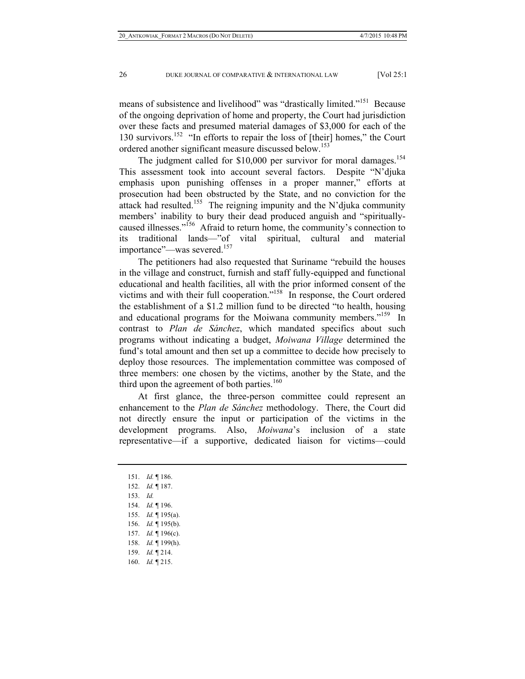means of subsistence and livelihood" was "drastically limited."151 Because of the ongoing deprivation of home and property, the Court had jurisdiction over these facts and presumed material damages of \$3,000 for each of the 130 survivors.152 "In efforts to repair the loss of [their] homes," the Court ordered another significant measure discussed below.<sup>153</sup>

The judgment called for \$10,000 per survivor for moral damages.<sup>154</sup> This assessment took into account several factors. Despite "N'djuka emphasis upon punishing offenses in a proper manner," efforts at prosecution had been obstructed by the State, and no conviction for the attack had resulted.<sup>155</sup> The reigning impunity and the N'djuka community members' inability to bury their dead produced anguish and "spirituallycaused illnesses."156 Afraid to return home, the community's connection to its traditional lands—"of vital spiritual, cultural and material importance"—was severed.<sup>157</sup>

The petitioners had also requested that Suriname "rebuild the houses in the village and construct, furnish and staff fully-equipped and functional educational and health facilities, all with the prior informed consent of the victims and with their full cooperation."158 In response, the Court ordered the establishment of a \$1.2 million fund to be directed "to health, housing and educational programs for the Moiwana community members."<sup>159</sup> In contrast to *Plan de Sánchez*, which mandated specifics about such programs without indicating a budget, *Moiwana Village* determined the fund's total amount and then set up a committee to decide how precisely to deploy those resources. The implementation committee was composed of three members: one chosen by the victims, another by the State, and the third upon the agreement of both parties.<sup>160</sup>

At first glance, the three-person committee could represent an enhancement to the *Plan de Sánchez* methodology. There, the Court did not directly ensure the input or participation of the victims in the development programs. Also, *Moiwana*'s inclusion of a state representative—if a supportive, dedicated liaison for victims—could

- 154. *Id.* ¶ 196.
- 155. *Id.* ¶ 195(a).
- 156. *Id.* ¶ 195(b).
- 157. *Id.* ¶ 196(c).
- 158. *Id.* ¶ 199(h).
- 159. *Id.* ¶ 214.
- 160. *Id.* ¶ 215.

 <sup>151.</sup> *Id.* ¶ 186.

 <sup>152.</sup> *Id.* ¶ 187.

 <sup>153.</sup> *Id.*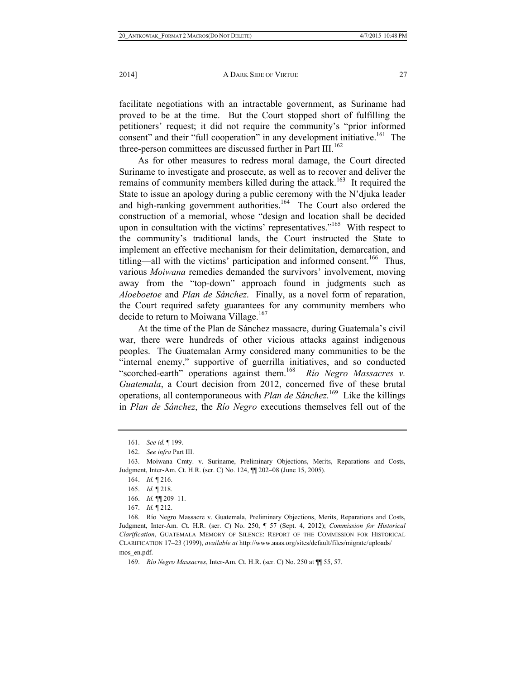facilitate negotiations with an intractable government, as Suriname had proved to be at the time. But the Court stopped short of fulfilling the petitioners' request; it did not require the community's "prior informed consent" and their "full cooperation" in any development initiative.<sup>161</sup> The three-person committees are discussed further in Part III.<sup>162</sup>

As for other measures to redress moral damage, the Court directed Suriname to investigate and prosecute, as well as to recover and deliver the remains of community members killed during the attack.<sup>163</sup> It required the State to issue an apology during a public ceremony with the N'djuka leader and high-ranking government authorities.<sup>164</sup> The Court also ordered the construction of a memorial, whose "design and location shall be decided upon in consultation with the victims' representatives. $165$  With respect to the community's traditional lands, the Court instructed the State to implement an effective mechanism for their delimitation, demarcation, and titling—all with the victims' participation and informed consent.<sup>166</sup> Thus, various *Moiwana* remedies demanded the survivors' involvement, moving away from the "top-down" approach found in judgments such as *Aloeboetoe* and *Plan de Sánchez*. Finally, as a novel form of reparation, the Court required safety guarantees for any community members who decide to return to Moiwana Village.<sup>167</sup>

At the time of the Plan de Sánchez massacre, during Guatemala's civil war, there were hundreds of other vicious attacks against indigenous peoples. The Guatemalan Army considered many communities to be the "internal enemy," supportive of guerrilla initiatives, and so conducted "scorched-earth" operations against them.<sup>168</sup> Río Negro Massacres v. *Guatemala*, a Court decision from 2012, concerned five of these brutal operations, all contemporaneous with *Plan de Sánchez*. 169 Like the killings in *Plan de Sánchez*, the *Río Negro* executions themselves fell out of the

 <sup>161.</sup> *See id.* ¶ 199.

 <sup>162.</sup> *See infra* Part III.

 <sup>163.</sup> Moiwana Cmty. v. Suriname, Preliminary Objections, Merits, Reparations and Costs, Judgment, Inter-Am. Ct. H.R. (ser. C) No. 124, ¶¶ 202–08 (June 15, 2005).

 <sup>164.</sup> *Id.* ¶ 216.

 <sup>165.</sup> *Id.* ¶ 218.

 <sup>166.</sup> *Id.* ¶¶ 209–11.

 <sup>167.</sup> *Id.* ¶ 212.

 <sup>168.</sup> Río Negro Massacre v. Guatemala, Preliminary Objections, Merits, Reparations and Costs, Judgment, Inter-Am. Ct. H.R. (ser. C) No. 250, ¶ 57 (Sept. 4, 2012); *Commission for Historical Clarification*, GUATEMALA MEMORY OF SILENCE: REPORT OF THE COMMISSION FOR HISTORICAL CLARIFICATION 17–23 (1999), *available at* http://www.aaas.org/sites/default/files/migrate/uploads/ mos\_en.pdf.

 <sup>169.</sup> *Río Negro Massacres*, Inter-Am. Ct. H.R. (ser. C) No. 250 at ¶¶ 55, 57.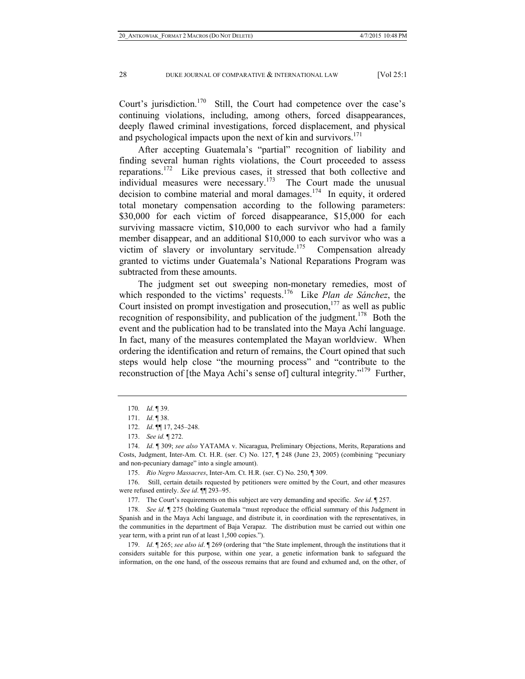Court's jurisdiction.<sup>170</sup> Still, the Court had competence over the case's continuing violations, including, among others, forced disappearances, deeply flawed criminal investigations, forced displacement, and physical and psychological impacts upon the next of kin and survivors.<sup>171</sup>

After accepting Guatemala's "partial" recognition of liability and finding several human rights violations, the Court proceeded to assess reparations.172 Like previous cases, it stressed that both collective and individual measures were necessary. $173$  The Court made the unusual decision to combine material and moral damages.<sup>174</sup> In equity, it ordered total monetary compensation according to the following parameters: \$30,000 for each victim of forced disappearance, \$15,000 for each surviving massacre victim, \$10,000 to each survivor who had a family member disappear, and an additional \$10,000 to each survivor who was a victim of slavery or involuntary servitude.<sup>175</sup> Compensation already granted to victims under Guatemala's National Reparations Program was subtracted from these amounts.

The judgment set out sweeping non-monetary remedies, most of which responded to the victims' requests.176 Like *Plan de Sánchez*, the Court insisted on prompt investigation and prosecution, $177$  as well as public recognition of responsibility, and publication of the judgment.<sup>178</sup> Both the event and the publication had to be translated into the Maya Achí language. In fact, many of the measures contemplated the Mayan worldview. When ordering the identification and return of remains, the Court opined that such steps would help close "the mourning process" and "contribute to the reconstruction of [the Maya Achí's sense of] cultural integrity."<sup>179</sup> Further,

 176. Still, certain details requested by petitioners were omitted by the Court, and other measures were refused entirely. *See id*. ¶¶ 293–95.

177. The Court's requirements on this subject are very demanding and specific. *See id*. ¶ 257.

 178. *See id*. ¶ 275 (holding Guatemala "must reproduce the official summary of this Judgment in Spanish and in the Maya Achí language, and distribute it, in coordination with the representatives, in the communities in the department of Baja Verapaz. The distribution must be carried out within one year term, with a print run of at least 1,500 copies.").

 179. *Id*. ¶ 265; *see also id*. ¶ 269 (ordering that "the State implement, through the institutions that it considers suitable for this purpose, within one year, a genetic information bank to safeguard the information, on the one hand, of the osseous remains that are found and exhumed and, on the other, of

<sup>170</sup>*. Id*. ¶ 39.

 <sup>171.</sup> *Id*. ¶ 38.

 <sup>172.</sup> *Id*. ¶¶ 17, 245–248.

 <sup>173.</sup> *See id.* ¶ 272.

 <sup>174.</sup> *Id*. ¶ 309; *see also* YATAMA v. Nicaragua, Preliminary Objections, Merits, Reparations and Costs, Judgment, Inter-Am. Ct. H.R. (ser. C) No. 127, ¶ 248 (June 23, 2005) (combining "pecuniary and non-pecuniary damage" into a single amount).

 <sup>175.</sup> *Rio Negro Massacres*, Inter-Am. Ct. H.R. (ser. C) No. 250, ¶ 309.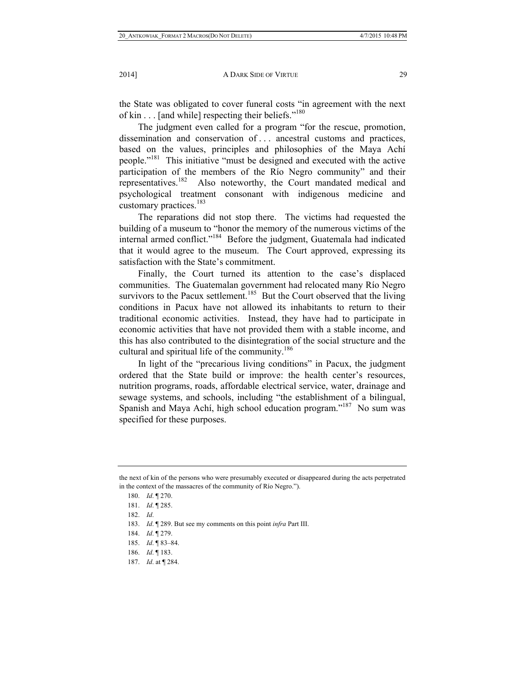the State was obligated to cover funeral costs "in agreement with the next of kin . . . [and while] respecting their beliefs."<sup>180</sup>

The judgment even called for a program "for the rescue, promotion, dissemination and conservation of . . . ancestral customs and practices, based on the values, principles and philosophies of the Maya Achí people."181 This initiative "must be designed and executed with the active participation of the members of the Río Negro community" and their representatives.182 Also noteworthy, the Court mandated medical and psychological treatment consonant with indigenous medicine and customary practices.<sup>183</sup>

The reparations did not stop there. The victims had requested the building of a museum to "honor the memory of the numerous victims of the internal armed conflict."<sup>184</sup> Before the judgment, Guatemala had indicated that it would agree to the museum. The Court approved, expressing its satisfaction with the State's commitment.

Finally, the Court turned its attention to the case's displaced communities. The Guatemalan government had relocated many Río Negro survivors to the Pacux settlement.<sup>185</sup> But the Court observed that the living conditions in Pacux have not allowed its inhabitants to return to their traditional economic activities. Instead, they have had to participate in economic activities that have not provided them with a stable income, and this has also contributed to the disintegration of the social structure and the cultural and spiritual life of the community.<sup>186</sup>

In light of the "precarious living conditions" in Pacux, the judgment ordered that the State build or improve: the health center's resources, nutrition programs, roads, affordable electrical service, water, drainage and sewage systems, and schools, including "the establishment of a bilingual, Spanish and Maya Achí, high school education program."<sup>187</sup> No sum was specified for these purposes.

183. *Id*. ¶ 289. But see my comments on this point *infra* Part III.

184. *Id*. ¶ 279.

the next of kin of the persons who were presumably executed or disappeared during the acts perpetrated in the context of the massacres of the community of Río Negro.").

 <sup>180.</sup> *Id*. ¶ 270.

 <sup>181.</sup> *Id*. ¶ 285.

 <sup>182.</sup> *Id*.

 <sup>185.</sup> *Id*. ¶ 83–84.

 <sup>186.</sup> *Id*. ¶ 183.

 <sup>187.</sup> *Id*. at ¶ 284.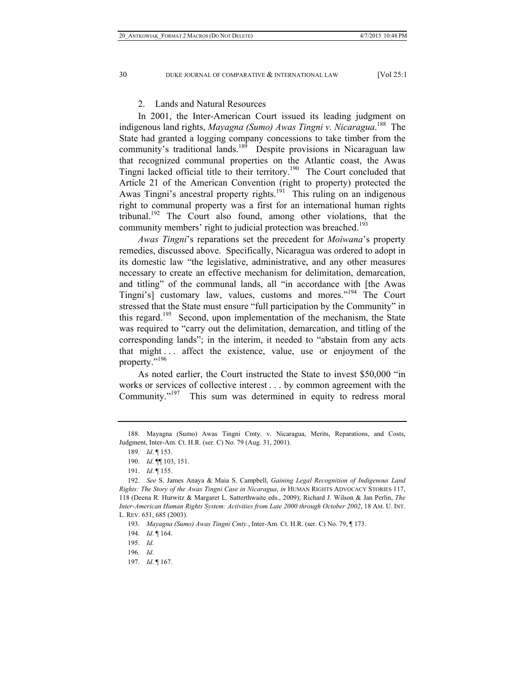#### 2. Lands and Natural Resources

In 2001, the Inter-American Court issued its leading judgment on indigenous land rights, *Mayagna (Sumo) Awas Tingni v. Nicaragua*. 188 The State had granted a logging company concessions to take timber from the community's traditional lands.<sup>189</sup> Despite provisions in Nicaraguan law that recognized communal properties on the Atlantic coast, the Awas Tingni lacked official title to their territory.190 The Court concluded that Article 21 of the American Convention (right to property) protected the Awas Tingni's ancestral property rights.<sup>191</sup> This ruling on an indigenous right to communal property was a first for an international human rights tribunal.<sup>192</sup> The Court also found, among other violations, that the community members' right to judicial protection was breached.<sup>193</sup>

*Awas Tingni*'s reparations set the precedent for *Moiwana*'s property remedies, discussed above. Specifically, Nicaragua was ordered to adopt in its domestic law "the legislative, administrative, and any other measures necessary to create an effective mechanism for delimitation, demarcation, and titling" of the communal lands, all "in accordance with [the Awas Tingni's] customary law, values, customs and mores."<sup>194</sup> The Court stressed that the State must ensure "full participation by the Community" in this regard.<sup>195</sup> Second, upon implementation of the mechanism, the State was required to "carry out the delimitation, demarcation, and titling of the corresponding lands"; in the interim, it needed to "abstain from any acts that might . . . affect the existence, value, use or enjoyment of the property."<sup>196</sup>

As noted earlier, the Court instructed the State to invest \$50,000 "in works or services of collective interest . . . by common agreement with the Community."197 This sum was determined in equity to redress moral

197. *Id*. ¶ 167.

 <sup>188.</sup> Mayagna (Sumo) Awas Tingni Cmty. v. Nicaragua, Merits, Reparations, and Costs, Judgment, Inter-Am. Ct. H.R. (ser. C) No. 79 (Aug. 31, 2001).

 <sup>189.</sup> *Id*. ¶ 153.

 <sup>190.</sup> *Id*. ¶¶ 103, 151.

 <sup>191.</sup> *Id*. ¶ 155.

 <sup>192.</sup> *See* S. James Anaya & Maia S. Campbell, *Gaining Legal Recognition of Indigenous Land Rights: The Story of the Awas Tingni Case in Nicaragua*, *in* HUMAN RIGHTS ADVOCACY STORIES 117, 118 (Deena R. Hurwitz & Margaret L. Satterthwaite eds., 2009); Richard J. Wilson & Jan Perlin, *The Inter-American Human Rights System: Activities from Late 2000 through October 2002*, 18 AM. U. INT. L. REV. 651, 685 (2003).

 <sup>193.</sup> *Mayagna (Sumo) Awas Tingni Cmty.*, Inter-Am. Ct. H.R. (ser. C) No. 79, ¶ 173.

 <sup>194.</sup> *Id*. ¶ 164.

 <sup>195.</sup> *Id*.

 <sup>196.</sup> *Id*.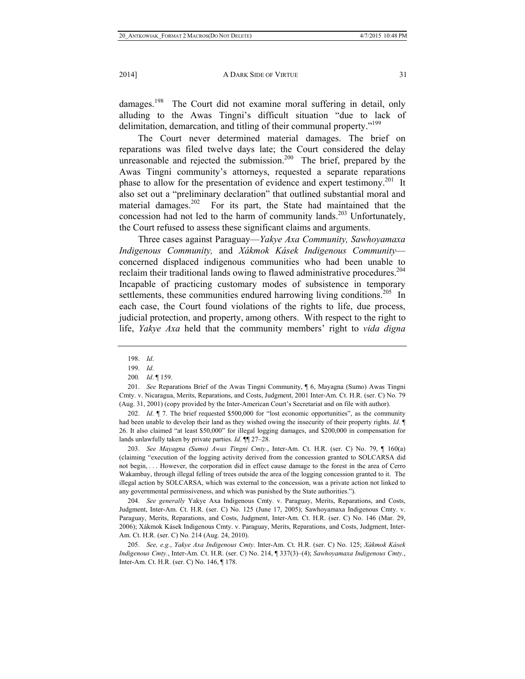damages.<sup>198</sup> The Court did not examine moral suffering in detail, only alluding to the Awas Tingni's difficult situation "due to lack of delimitation, demarcation, and titling of their communal property."199

The Court never determined material damages. The brief on reparations was filed twelve days late; the Court considered the delay unreasonable and rejected the submission.<sup>200</sup> The brief, prepared by the Awas Tingni community's attorneys, requested a separate reparations phase to allow for the presentation of evidence and expert testimony.<sup>201</sup> It also set out a "preliminary declaration" that outlined substantial moral and material damages.<sup>202</sup> For its part, the State had maintained that the concession had not led to the harm of community lands.<sup>203</sup> Unfortunately, the Court refused to assess these significant claims and arguments.

Three cases against Paraguay—*Yakye Axa Community, Sawhoyamaxa Indigenous Community,* and *Xákmok Kásek Indigenous Community* concerned displaced indigenous communities who had been unable to reclaim their traditional lands owing to flawed administrative procedures.<sup>204</sup> Incapable of practicing customary modes of subsistence in temporary settlements, these communities endured harrowing living conditions.<sup>205</sup> In each case, the Court found violations of the rights to life, due process, judicial protection, and property, among others. With respect to the right to life, *Yakye Axa* held that the community members' right to *vida digna*

 202. *Id*. ¶ 7. The brief requested \$500,000 for "lost economic opportunities", as the community had been unable to develop their land as they wished owing the insecurity of their property rights. *Id*. ¶ 26. It also claimed "at least \$50,000" for illegal logging damages, and \$200,000 in compensation for lands unlawfully taken by private parties. *Id*. ¶¶ 27–28.

 203. *See Mayagna (Sumo) Awas Tingni Cmty.*, Inter-Am. Ct. H.R. (ser. C) No. 79, ¶ 160(a) (claiming "execution of the logging activity derived from the concession granted to SOLCARSA did not begin, . . . However, the corporation did in effect cause damage to the forest in the area of Cerro Wakambay, through illegal felling of trees outside the area of the logging concession granted to it. The illegal action by SOLCARSA, which was external to the concession, was a private action not linked to any governmental permissiveness, and which was punished by the State authorities.").

 204. *See generally* Yakye Axa Indigenous Cmty. v. Paraguay, Merits, Reparations, and Costs, Judgment, Inter-Am. Ct. H.R. (ser. C) No. 125 (June 17, 2005); Sawhoyamaxa Indigenous Cmty. v. Paraguay, Merits, Reparations, and Costs, Judgment, Inter-Am. Ct. H.R. (ser. C) No. 146 (Mar. 29, 2006); Xákmok Kásek Indigenous Cmty. v. Paraguay, Merits, Reparations, and Costs, Judgment, Inter-Am. Ct. H.R. (ser. C) No. 214 (Aug. 24, 2010).

 205. *See, e.g.*, *Yakye Axa Indigenous Cmty*. Inter-Am. Ct. H.R. (ser. C) No. 125; *Xákmok Kásek Indigenous Cmty.*, Inter-Am. Ct. H.R. (ser. C) No. 214, ¶ 337(3)–(4); *Sawhoyamaxa Indigenous Cmty.*, Inter-Am. Ct. H.R. (ser. C) No. 146, ¶ 178.

 <sup>198.</sup> *Id*.

 <sup>199.</sup> *Id*.

<sup>200</sup>*. Id*. ¶ 159.

 <sup>201.</sup> *See* Reparations Brief of the Awas Tingni Community, ¶ 6, Mayagna (Sumo) Awas Tingni Cmty. v. Nicaragua, Merits, Reparations, and Costs, Judgment, 2001 Inter-Am. Ct. H.R. (ser. C) No. 79 (Aug. 31, 2001) (copy provided by the Inter-American Court's Secretariat and on file with author).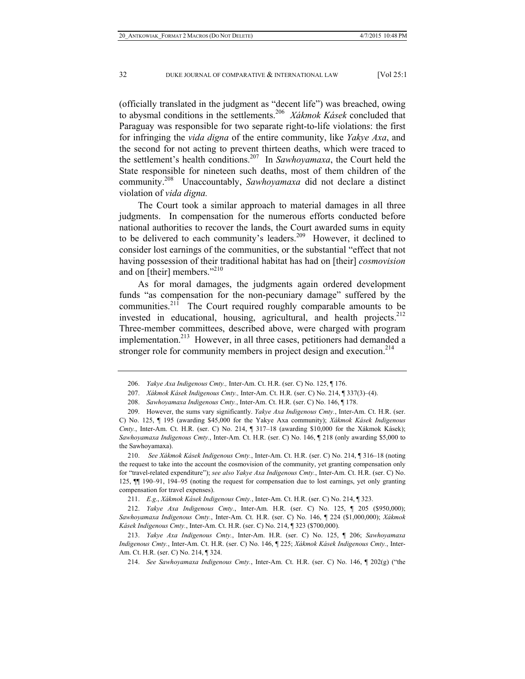(officially translated in the judgment as "decent life") was breached, owing to abysmal conditions in the settlements.206 *Xákmok Kásek* concluded that Paraguay was responsible for two separate right-to-life violations: the first for infringing the *vida digna* of the entire community, like *Yakye Axa*, and the second for not acting to prevent thirteen deaths, which were traced to the settlement's health conditions.207 In *Sawhoyamaxa*, the Court held the State responsible for nineteen such deaths, most of them children of the community.208 Unaccountably, *Sawhoyamaxa* did not declare a distinct violation of *vida digna.* 

The Court took a similar approach to material damages in all three judgments. In compensation for the numerous efforts conducted before national authorities to recover the lands, the Court awarded sums in equity to be delivered to each community's leaders.<sup>209</sup> However, it declined to consider lost earnings of the communities, or the substantial "effect that not having possession of their traditional habitat has had on [their] *cosmovision* and on [their] members."<sup>210</sup>

As for moral damages, the judgments again ordered development funds "as compensation for the non-pecuniary damage" suffered by the communities. $21\hat{1}$  The Court required roughly comparable amounts to be invested in educational, housing, agricultural, and health projects. $212$ Three-member committees, described above, were charged with program implementation.<sup>213</sup> However, in all three cases, petitioners had demanded a stronger role for community members in project design and execution.<sup>214</sup>

 <sup>206.</sup> *Yakye Axa Indigenous Cmty.,* Inter-Am. Ct. H.R. (ser. C) No. 125, ¶ 176.

 <sup>207.</sup> *Xákmok Kásek Indigenous Cmty.,* Inter-Am. Ct. H.R. (ser. C) No. 214, ¶ 337(3)–(4).

 <sup>208.</sup> *Sawhoyamaxa Indigenous Cmty.*, Inter-Am. Ct. H.R. (ser. C) No. 146, ¶ 178.

 <sup>209.</sup> However, the sums vary significantly. *Yakye Axa Indigenous Cmty.*, Inter-Am. Ct. H.R. (ser. C) No. 125, ¶ 195 (awarding \$45,000 for the Yakye Axa community); *Xákmok Kásek Indigenous Cmty.*, Inter-Am. Ct. H.R. (ser. C) No. 214, ¶ 317–18 (awarding \$10,000 for the Xákmok Kásek); *Sawhoyamaxa Indigenous Cmty.*, Inter-Am. Ct. H.R. (ser. C) No. 146, ¶ 218 (only awarding \$5,000 to the Sawhoyamaxa).

 <sup>210.</sup> *See Xákmok Kásek Indigenous Cmty.*, Inter-Am. Ct. H.R. (ser. C) No. 214, ¶ 316–18 (noting the request to take into the account the cosmovision of the community, yet granting compensation only for "travel-related expenditure"); *see also Yakye Axa Indigenous Cmty.*, Inter-Am. Ct. H.R. (ser. C) No. 125, ¶¶ 190–91, 194–95 (noting the request for compensation due to lost earnings, yet only granting compensation for travel expenses).

 <sup>211.</sup> *E.g*., *Xákmok Kásek Indigenous Cmty.*, Inter-Am. Ct. H.R. (ser. C) No. 214, ¶ 323.

 <sup>212.</sup> *Yakye Axa Indigenous Cmty.*, Inter-Am. H.R. (ser. C) No. 125, ¶ 205 (\$950,000); *Sawhoyamaxa Indigenous Cmty.*, Inter-Am. Ct. H.R. (ser. C) No. 146, ¶ 224 (\$1,000,000); *Xákmok Kásek Indigenous Cmty.*, Inter-Am. Ct. H.R. (ser. C) No. 214, ¶ 323 (\$700,000).

 <sup>213.</sup> *Yakye Axa Indigenous Cmty.*, Inter-Am. H.R. (ser. C) No. 125, ¶ 206; *Sawhoyamaxa Indigenous Cmty.*, Inter-Am. Ct. H.R. (ser. C) No. 146, ¶ 225; *Xákmok Kásek Indigenous Cmty.*, Inter-Am. Ct. H.R. (ser. C) No. 214, ¶ 324.

 <sup>214.</sup> *See Sawhoyamaxa Indigenous Cmty.*, Inter-Am. Ct. H.R. (ser. C) No. 146, ¶ 202(g) ("the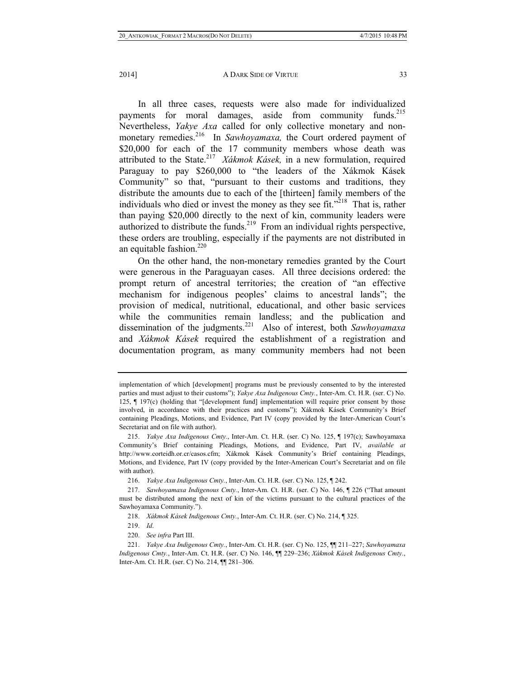In all three cases, requests were also made for individualized payments for moral damages, aside from community funds.<sup>215</sup> Nevertheless, *Yakye Axa* called for only collective monetary and nonmonetary remedies.<sup>216</sup> In *Sawhoyamaxa*, the Court ordered payment of \$20,000 for each of the 17 community members whose death was attributed to the State.<sup>217</sup> *Xákmok Kásek*, in a new formulation, required Paraguay to pay \$260,000 to "the leaders of the Xákmok Kásek Community" so that, "pursuant to their customs and traditions, they distribute the amounts due to each of the [thirteen] family members of the individuals who died or invest the money as they see fit. $1218$  That is, rather than paying \$20,000 directly to the next of kin, community leaders were authorized to distribute the funds.<sup>219</sup> From an individual rights perspective, these orders are troubling, especially if the payments are not distributed in an equitable fashion.<sup>220</sup>

On the other hand, the non-monetary remedies granted by the Court were generous in the Paraguayan cases. All three decisions ordered: the prompt return of ancestral territories; the creation of "an effective mechanism for indigenous peoples' claims to ancestral lands"; the provision of medical, nutritional, educational, and other basic services while the communities remain landless; and the publication and dissemination of the judgments.221 Also of interest, both *Sawhoyamaxa*  and *Xákmok Kásek* required the establishment of a registration and documentation program, as many community members had not been

implementation of which [development] programs must be previously consented to by the interested parties and must adjust to their customs"); *Yakye Axa Indigenous Cmty.*, Inter-Am. Ct. H.R. (ser. C) No. 125, ¶ 197(c) (holding that "[development fund] implementation will require prior consent by those involved, in accordance with their practices and customs"); Xákmok Kásek Community's Brief containing Pleadings, Motions, and Evidence, Part IV (copy provided by the Inter-American Court's Secretariat and on file with author).

 <sup>215.</sup> *Yakye Axa Indigenous Cmty.*, Inter-Am. Ct. H.R. (ser. C) No. 125, ¶ 197(c); Sawhoyamaxa Community's Brief containing Pleadings, Motions, and Evidence, Part IV, *available at* http://www.corteidh.or.cr/casos.cfm; Xákmok Kásek Community's Brief containing Pleadings, Motions, and Evidence, Part IV (copy provided by the Inter-American Court's Secretariat and on file with author).

 <sup>216.</sup> *Yakye Axa Indigenous Cmty.*, Inter-Am. Ct. H.R. (ser. C) No. 125, ¶ 242.

 <sup>217.</sup> *Sawhoyamaxa Indigenous Cmty.*, Inter-Am. Ct. H.R. (ser. C) No. 146, ¶ 226 ("That amount must be distributed among the next of kin of the victims pursuant to the cultural practices of the Sawhoyamaxa Community.").

 <sup>218.</sup> *Xákmok Kásek Indigenous Cmty.*, Inter-Am. Ct. H.R. (ser. C) No. 214, ¶ 325.

 <sup>219.</sup> *Id*.

 <sup>220.</sup> *See infra* Part III.

 <sup>221.</sup> *Yakye Axa Indigenous Cmty.*, Inter-Am. Ct. H.R. (ser. C) No. 125, ¶¶ 211–227; *Sawhoyamaxa Indigenous Cmty.*, Inter-Am. Ct. H.R. (ser. C) No. 146, ¶¶ 229–236; *Xákmok Kásek Indigenous Cmty.*, Inter-Am. Ct. H.R. (ser. C) No. 214, ¶¶ 281–306.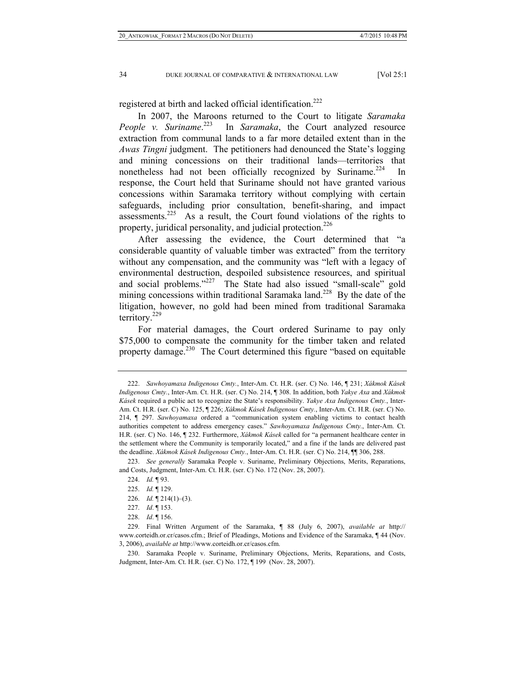registered at birth and lacked official identification.<sup>222</sup>

In 2007, the Maroons returned to the Court to litigate *Saramaka People v. Suriname*. In *Saramaka*, the Court analyzed resource extraction from communal lands to a far more detailed extent than in the *Awas Tingni* judgment. The petitioners had denounced the State's logging and mining concessions on their traditional lands—territories that nonetheless had not been officially recognized by Suriname.<sup>224</sup> In response, the Court held that Suriname should not have granted various concessions within Saramaka territory without complying with certain safeguards, including prior consultation, benefit-sharing, and impact assessments.<sup>225</sup> As a result, the Court found violations of the rights to property, juridical personality, and judicial protection.<sup>226</sup>

After assessing the evidence, the Court determined that "a considerable quantity of valuable timber was extracted" from the territory without any compensation, and the community was "left with a legacy of environmental destruction, despoiled subsistence resources, and spiritual and social problems."227 The State had also issued "small-scale" gold mining concessions within traditional Saramaka land.<sup>228</sup> By the date of the litigation, however, no gold had been mined from traditional Saramaka territory.229

For material damages, the Court ordered Suriname to pay only \$75,000 to compensate the community for the timber taken and related property damage.<sup>230</sup> The Court determined this figure "based on equitable"

 230. Saramaka People v. Suriname, Preliminary Objections, Merits, Reparations, and Costs, Judgment, Inter-Am. Ct. H.R. (ser. C) No. 172, ¶ 199 (Nov. 28, 2007).

 <sup>222.</sup> *Sawhoyamaxa Indigenous Cmty.*, Inter-Am. Ct. H.R. (ser. C) No. 146, ¶ 231; *Xákmok Kásek Indigenous Cmty.*, Inter-Am. Ct. H.R. (ser. C) No. 214, ¶ 308. In addition, both *Yakye Axa* and *Xákmok Kásek* required a public act to recognize the State's responsibility. *Yakye Axa Indigenous Cmty.*, Inter-Am. Ct. H.R. (ser. C) No. 125, ¶ 226; *Xákmok Kásek Indigenous Cmty.*, Inter-Am. Ct. H.R. (ser. C) No. 214, ¶ 297. *Sawhoyamaxa* ordered a "communication system enabling victims to contact health authorities competent to address emergency cases." *Sawhoyamaxa Indigenous Cmty.*, Inter-Am. Ct. H.R. (ser. C) No. 146, ¶ 232. Furthermore, *Xákmok Kásek* called for "a permanent healthcare center in the settlement where the Community is temporarily located," and a fine if the lands are delivered past the deadline. *Xákmok Kásek Indigenous Cmty.*, Inter-Am. Ct. H.R. (ser. C) No. 214, ¶¶ 306, 288.

 <sup>223.</sup> *See generally* Saramaka People v. Suriname, Preliminary Objections, Merits, Reparations, and Costs, Judgment, Inter-Am. Ct. H.R. (ser. C) No. 172 (Nov. 28, 2007).

 <sup>224.</sup> *Id.* ¶ 93.

 <sup>225.</sup> *Id.* ¶ 129.

 <sup>226.</sup> *Id.* ¶ 214(1)–(3).

 <sup>227.</sup> *Id*. ¶ 153.

 <sup>228.</sup> *Id*. ¶ 156.

 <sup>229.</sup> Final Written Argument of the Saramaka, ¶ 88 (July 6, 2007), *available at* http:// www.corteidh.or.cr/casos.cfm.; Brief of Pleadings, Motions and Evidence of the Saramaka, ¶ 44 (Nov. 3, 2006), *available at* http://www.corteidh.or.cr/casos.cfm.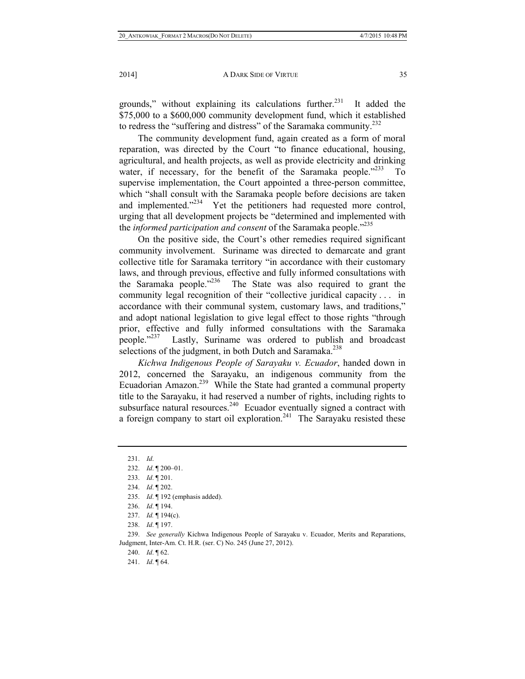grounds," without explaining its calculations further.<sup>231</sup> It added the \$75,000 to a \$600,000 community development fund, which it established to redress the "suffering and distress" of the Saramaka community.<sup>232</sup>

The community development fund, again created as a form of moral reparation, was directed by the Court "to finance educational, housing, agricultural, and health projects, as well as provide electricity and drinking water, if necessary, for the benefit of the Saramaka people. $1233$  To supervise implementation, the Court appointed a three-person committee, which "shall consult with the Saramaka people before decisions are taken and implemented."<sup>234</sup> Yet the petitioners had requested more control, urging that all development projects be "determined and implemented with the *informed participation and consent* of the Saramaka people."235

On the positive side, the Court's other remedies required significant community involvement. Suriname was directed to demarcate and grant collective title for Saramaka territory "in accordance with their customary laws, and through previous, effective and fully informed consultations with the Saramaka people."<sup>236</sup> The State was also required to grant the community legal recognition of their "collective juridical capacity . . . in accordance with their communal system, customary laws, and traditions," and adopt national legislation to give legal effect to those rights "through prior, effective and fully informed consultations with the Saramaka people."<sup>237</sup> Lastly, Suriname was ordered to publish and broadcast selections of the judgment, in both Dutch and Saramaka.<sup>238</sup>

*Kichwa Indigenous People of Sarayaku v. Ecuador*, handed down in 2012, concerned the Sarayaku, an indigenous community from the Ecuadorian Amazon.239 While the State had granted a communal property title to the Sarayaku, it had reserved a number of rights, including rights to subsurface natural resources.<sup>240</sup> Ecuador eventually signed a contract with a foreign company to start oil exploration.<sup>241</sup> The Sarayaku resisted these

- 237. *Id.* ¶ 194(c).
- 238. *Id*. ¶ 197.

 239. *See generally* Kichwa Indigenous People of Sarayaku v. Ecuador, Merits and Reparations, Judgment, Inter-Am. Ct. H.R. (ser. C) No. 245 (June 27, 2012).

240. *Id*. ¶ 62.

241. *Id*. ¶ 64.

 <sup>231.</sup> *Id*.

 <sup>232.</sup> *Id*. ¶ 200–01.

 <sup>233.</sup> *Id*. ¶ 201.

 <sup>234.</sup> *Id*. ¶ 202.

 <sup>235.</sup> *Id*. ¶ 192 (emphasis added).

 <sup>236.</sup> *Id*. ¶ 194.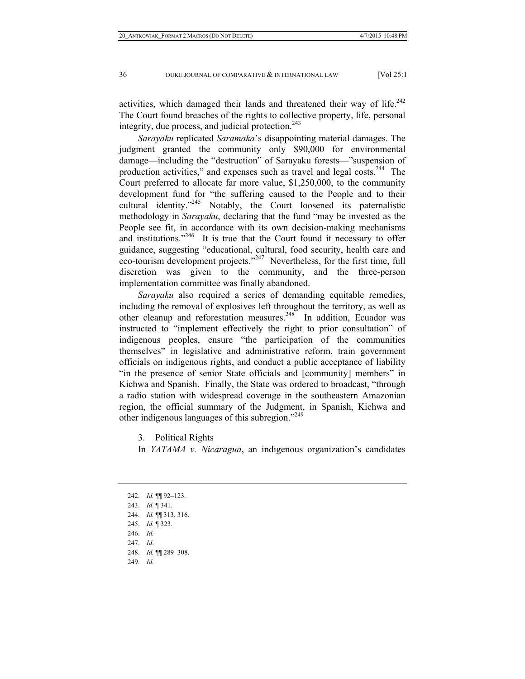activities, which damaged their lands and threatened their way of life.<sup>242</sup> The Court found breaches of the rights to collective property, life, personal integrity, due process, and judicial protection.<sup>243</sup>

*Sarayaku* replicated *Saramaka*'s disappointing material damages. The judgment granted the community only \$90,000 for environmental damage—including the "destruction" of Sarayaku forests—"suspension of production activities," and expenses such as travel and legal costs.<sup>244</sup> The Court preferred to allocate far more value, \$1,250,000, to the community development fund for "the suffering caused to the People and to their cultural identity."245 Notably, the Court loosened its paternalistic methodology in *Sarayaku*, declaring that the fund "may be invested as the People see fit, in accordance with its own decision-making mechanisms and institutions."<sup>246</sup> It is true that the Court found it necessary to offer guidance, suggesting "educational, cultural, food security, health care and eco-tourism development projects."<sup>247</sup> Nevertheless, for the first time, full discretion was given to the community, and the three-person implementation committee was finally abandoned.

*Sarayaku* also required a series of demanding equitable remedies, including the removal of explosives left throughout the territory, as well as other cleanup and reforestation measures.<sup>248</sup> In addition, Ecuador was instructed to "implement effectively the right to prior consultation" of indigenous peoples, ensure "the participation of the communities themselves" in legislative and administrative reform, train government officials on indigenous rights, and conduct a public acceptance of liability "in the presence of senior State officials and [community] members" in Kichwa and Spanish. Finally, the State was ordered to broadcast, "through a radio station with widespread coverage in the southeastern Amazonian region, the official summary of the Judgment, in Spanish, Kichwa and other indigenous languages of this subregion."249

3. Political Rights

In *YATAMA v. Nicaragua*, an indigenous organization's candidates

 242. *Id.* ¶¶ 92–123. 243. *Id*. ¶ 341. 244. *Id.* ¶¶ 313, 316. 245. *Id.* ¶ 323. 246. *Id.* 247. *Id*. 248. *Id.* ¶¶ 289–308. 249. *Id.*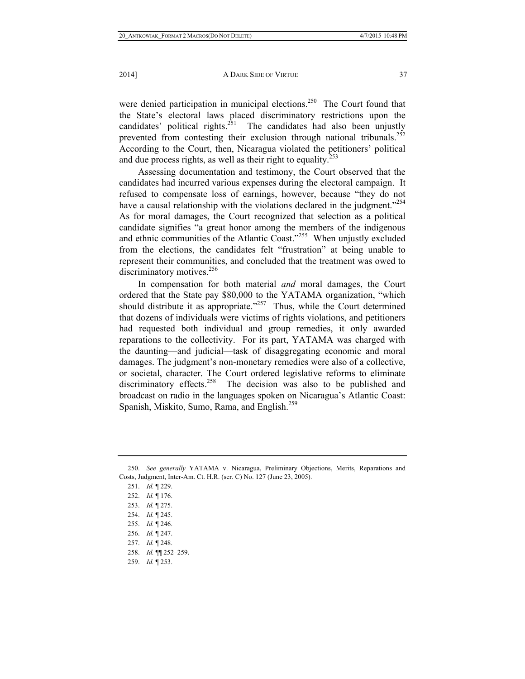were denied participation in municipal elections.<sup>250</sup> The Court found that the State's electoral laws placed discriminatory restrictions upon the candidates' political rights.<sup>251</sup> The candidates had also been unjustly prevented from contesting their exclusion through national tribunals.<sup>252</sup> According to the Court, then, Nicaragua violated the petitioners' political and due process rights, as well as their right to equality.<sup>253</sup>

Assessing documentation and testimony, the Court observed that the candidates had incurred various expenses during the electoral campaign. It refused to compensate loss of earnings, however, because "they do not have a causal relationship with the violations declared in the judgment."<sup>254</sup> As for moral damages, the Court recognized that selection as a political candidate signifies "a great honor among the members of the indigenous and ethnic communities of the Atlantic Coast."<sup>255</sup> When unjustly excluded from the elections, the candidates felt "frustration" at being unable to represent their communities, and concluded that the treatment was owed to discriminatory motives.<sup>256</sup>

In compensation for both material *and* moral damages, the Court ordered that the State pay \$80,000 to the YATAMA organization, "which should distribute it as appropriate. $1257$  Thus, while the Court determined that dozens of individuals were victims of rights violations, and petitioners had requested both individual and group remedies, it only awarded reparations to the collectivity. For its part, YATAMA was charged with the daunting—and judicial—task of disaggregating economic and moral damages. The judgment's non-monetary remedies were also of a collective, or societal, character. The Court ordered legislative reforms to eliminate discriminatory effects.<sup>258</sup> The decision was also to be published and broadcast on radio in the languages spoken on Nicaragua's Atlantic Coast: Spanish, Miskito, Sumo, Rama, and English.<sup>259</sup>

255. *Id.* ¶ 246.

 <sup>250.</sup> *See generally* YATAMA v. Nicaragua, Preliminary Objections, Merits, Reparations and Costs, Judgment, Inter-Am. Ct. H.R. (ser. C) No. 127 (June 23, 2005).

 <sup>251.</sup> *Id.* ¶ 229.

 <sup>252.</sup> *Id.* ¶ 176.

 <sup>253.</sup> *Id.* ¶ 275.

 <sup>254.</sup> *Id.* ¶ 245.

 <sup>256.</sup> *Id.* ¶ 247.

 <sup>257.</sup> *Id.* ¶ 248.

 <sup>258.</sup> *Id.* ¶¶ 252–259.

 <sup>259.</sup> *Id.* ¶ 253.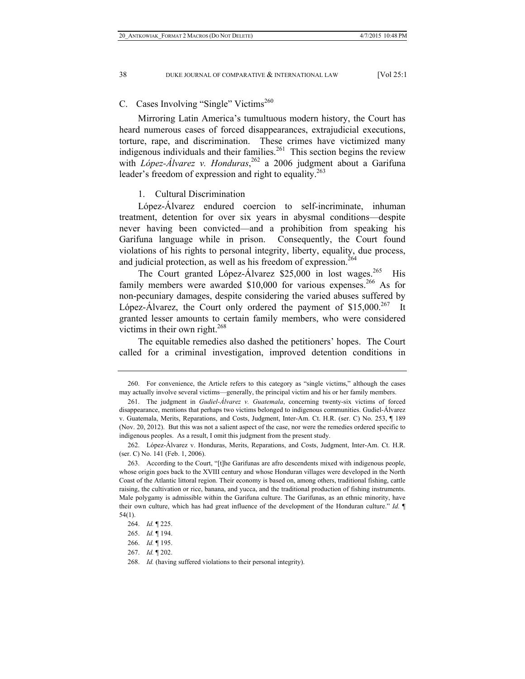C. Cases Involving "Single" Victims<sup>260</sup>

Mirroring Latin America's tumultuous modern history, the Court has heard numerous cases of forced disappearances, extrajudicial executions, torture, rape, and discrimination. These crimes have victimized many indigenous individuals and their families.<sup>261</sup> This section begins the review with *López-Álvarez v. Honduras*, 262 a 2006 judgment about a Garifuna leader's freedom of expression and right to equality.<sup>263</sup>

1. Cultural Discrimination

López-Álvarez endured coercion to self-incriminate, inhuman treatment, detention for over six years in abysmal conditions—despite never having been convicted—and a prohibition from speaking his Garifuna language while in prison. Consequently, the Court found violations of his rights to personal integrity, liberty, equality, due process, and judicial protection, as well as his freedom of expression.<sup>264</sup>

The Court granted López-Álvarez  $$25,000$  in lost wages.<sup>265</sup> His family members were awarded \$10,000 for various expenses.<sup>266</sup> As for non-pecuniary damages, despite considering the varied abuses suffered by López-Alvarez, the Court only ordered the payment of  $$15,000.<sup>267</sup>$  It granted lesser amounts to certain family members, who were considered victims in their own right.<sup>268</sup>

The equitable remedies also dashed the petitioners' hopes. The Court called for a criminal investigation, improved detention conditions in

 <sup>260.</sup> For convenience, the Article refers to this category as "single victims," although the cases may actually involve several victims—generally, the principal victim and his or her family members.

 <sup>261.</sup> The judgment in *Gudiel-Álvarez v. Guatemala*, concerning twenty-six victims of forced disappearance, mentions that perhaps two victims belonged to indigenous communities. Gudiel-Álvarez v. Guatemala, Merits, Reparations, and Costs, Judgment, Inter-Am. Ct. H.R. (ser. C) No. 253, ¶ 189 (Nov. 20, 2012). But this was not a salient aspect of the case, nor were the remedies ordered specific to indigenous peoples. As a result, I omit this judgment from the present study.

 <sup>262.</sup> López-Álvarez v. Honduras, Merits, Reparations, and Costs, Judgment, Inter-Am. Ct. H.R. (ser. C) No. 141 (Feb. 1, 2006).

 <sup>263.</sup> According to the Court, "[t]he Garifunas are afro descendents mixed with indigenous people, whose origin goes back to the XVIII century and whose Honduran villages were developed in the North Coast of the Atlantic littoral region. Their economy is based on, among others, traditional fishing, cattle raising, the cultivation or rice, banana, and yucca, and the traditional production of fishing instruments. Male polygamy is admissible within the Garifuna culture. The Garifunas, as an ethnic minority, have their own culture, which has had great influence of the development of the Honduran culture." *Id.* ¶ 54(1).

 <sup>264.</sup> *Id.* ¶ 225.

 <sup>265.</sup> *Id.* ¶ 194.

 <sup>266.</sup> *Id.* ¶ 195.

 <sup>267.</sup> *Id.* ¶ 202.

 <sup>268.</sup> *Id.* (having suffered violations to their personal integrity).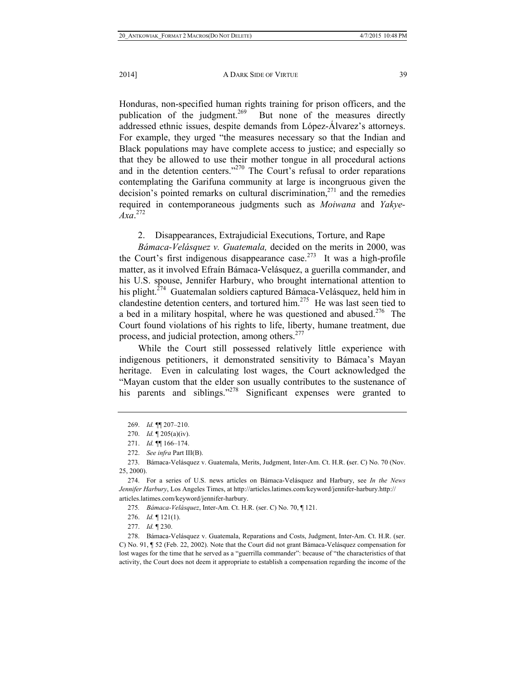Honduras, non-specified human rights training for prison officers, and the publication of the judgment.<sup>269</sup> But none of the measures directly addressed ethnic issues, despite demands from López-Álvarez's attorneys. For example, they urged "the measures necessary so that the Indian and Black populations may have complete access to justice; and especially so that they be allowed to use their mother tongue in all procedural actions and in the detention centers."<sup>270</sup> The Court's refusal to order reparations contemplating the Garifuna community at large is incongruous given the decision's pointed remarks on cultural discrimination, $271$  and the remedies required in contemporaneous judgments such as *Moiwana* and *Yakye-Axa*. 272

## 2. Disappearances, Extrajudicial Executions, Torture, and Rape

*Bámaca-Velásquez v. Guatemala,* decided on the merits in 2000, was the Court's first indigenous disappearance case.<sup>273</sup> It was a high-profile matter, as it involved Efraín Bámaca-Velásquez, a guerilla commander, and his U.S. spouse, Jennifer Harbury, who brought international attention to his plight. $274$  Guatemalan soldiers captured Bámaca-Velásquez, held him in clandestine detention centers, and tortured him.275 He was last seen tied to a bed in a military hospital, where he was questioned and abused.276 The Court found violations of his rights to life, liberty, humane treatment, due process, and judicial protection, among others.<sup>277</sup>

While the Court still possessed relatively little experience with indigenous petitioners, it demonstrated sensitivity to Bámaca's Mayan heritage. Even in calculating lost wages, the Court acknowledged the "Mayan custom that the elder son usually contributes to the sustenance of his parents and siblings."<sup>278</sup> Significant expenses were granted to

276. *Id.* ¶ 121(1).

277. *Id.* ¶ 230.

 278. Bámaca-Velásquez v. Guatemala, Reparations and Costs, Judgment, Inter-Am. Ct. H.R. (ser. C) No. 91, ¶ 52 (Feb. 22, 2002). Note that the Court did not grant Bámaca-Velásquez compensation for lost wages for the time that he served as a "guerrilla commander": because of "the characteristics of that activity, the Court does not deem it appropriate to establish a compensation regarding the income of the

 <sup>269.</sup> *Id.* ¶¶ 207–210.

 <sup>270.</sup> *Id.* ¶ 205(a)(iv).

 <sup>271.</sup> *Id.* ¶¶ 166–174.

 <sup>272.</sup> *See infra* Part III(B).

 <sup>273.</sup> Bámaca-Velásquez v. Guatemala, Merits, Judgment, Inter-Am. Ct. H.R. **(**ser. C) No. 70 (Nov. 25, 2000).

 <sup>274.</sup> For a series of U.S. news articles on Bámaca-Velásquez and Harbury, see *In the News Jennifer Harbury*, Los Angeles Times, at http://articles.latimes.com/keyword/jennifer-harbury.http:// articles.latimes.com/keyword/jennifer-harbury.

<sup>275</sup>*. Bámaca-Velásquez*, Inter-Am. Ct. H.R. (ser. C) No. 70, ¶ 121.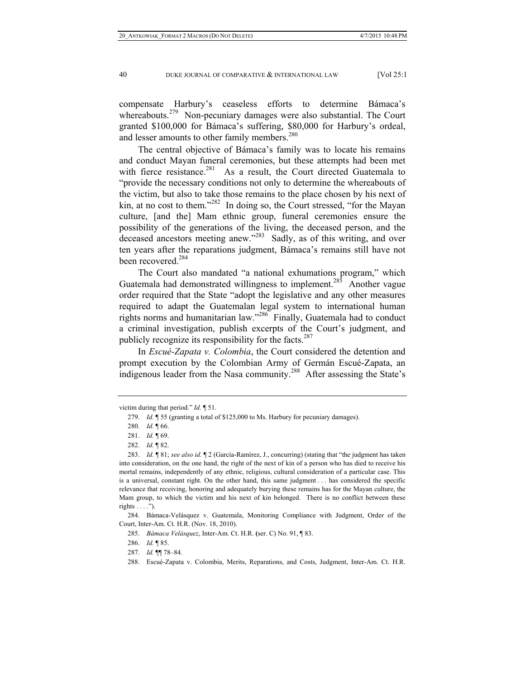compensate Harbury's ceaseless efforts to determine Bámaca's whereabouts.<sup>279</sup> Non-pecuniary damages were also substantial. The Court granted \$100,000 for Bámaca's suffering, \$80,000 for Harbury's ordeal, and lesser amounts to other family members.<sup>280</sup>

The central objective of Bámaca's family was to locate his remains and conduct Mayan funeral ceremonies, but these attempts had been met with fierce resistance.<sup>281</sup> As a result, the Court directed Guatemala to "provide the necessary conditions not only to determine the whereabouts of the victim, but also to take those remains to the place chosen by his next of kin, at no cost to them."<sup>282</sup> In doing so, the Court stressed, "for the Mayan" culture, [and the] Mam ethnic group, funeral ceremonies ensure the possibility of the generations of the living, the deceased person, and the deceased ancestors meeting anew."<sup>283</sup> Sadly, as of this writing, and over ten years after the reparations judgment, Bámaca's remains still have not been recovered.<sup>284</sup>

The Court also mandated "a national exhumations program," which Guatemala had demonstrated willingness to implement.<sup>285</sup> Another vague order required that the State "adopt the legislative and any other measures required to adapt the Guatemalan legal system to international human rights norms and humanitarian law."286 Finally, Guatemala had to conduct a criminal investigation, publish excerpts of the Court's judgment, and publicly recognize its responsibility for the facts.<sup>287</sup>

In *Escué-Zapata v. Colombia*, the Court considered the detention and prompt execution by the Colombian Army of Germán Escué-Zapata, an indigenous leader from the Nasa community.<sup>288</sup> After assessing the State's

victim during that period." *Id.* ¶ 51.

 <sup>279.</sup> *Id.* ¶ 55 (granting a total of \$125,000 to Ms. Harbury for pecuniary damages).

 <sup>280.</sup> *Id.* ¶ 66.

 <sup>281.</sup> *Id.* ¶ 69.

 <sup>282.</sup> *Id.* ¶ 82.

 <sup>283.</sup> *Id.* ¶ 81; *see also id.* ¶ 2 (García-Ramírez, J., concurring) (stating that "the judgment has taken into consideration, on the one hand, the right of the next of kin of a person who has died to receive his mortal remains, independently of any ethnic, religious, cultural consideration of a particular case. This is a universal, constant right. On the other hand, this same judgment . . . has considered the specific relevance that receiving, honoring and adequately burying these remains has for the Mayan culture, the Mam group, to which the victim and his next of kin belonged. There is no conflict between these rights  $\dots$ .").

 <sup>284.</sup> Bámaca-Velásquez v. Guatemala, Monitoring Compliance with Judgment, Order of the Court, Inter-Am. Ct. H.R. (Nov. 18, 2010).

 <sup>285.</sup> *Bámaca Velásquez*, Inter-Am. Ct. H.R. **(**ser. C) No. 91, ¶ 83.

 <sup>286.</sup> *Id.* ¶ 85.

 <sup>287.</sup> *Id.* ¶¶ 78–84.

 <sup>288.</sup> Escué-Zapata v. Colombia, Merits, Reparations, and Costs, Judgment, Inter-Am. Ct. H.R.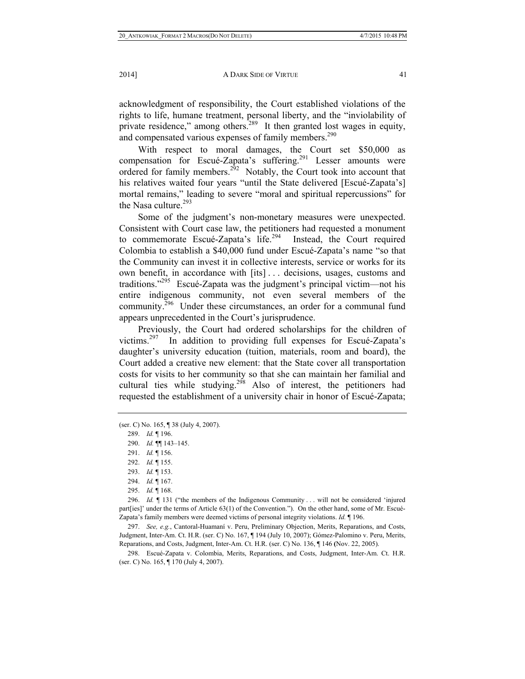acknowledgment of responsibility, the Court established violations of the rights to life, humane treatment, personal liberty, and the "inviolability of private residence," among others. $289$  It then granted lost wages in equity, and compensated various expenses of family members.<sup>290</sup>

With respect to moral damages, the Court set \$50,000 as compensation for Escué-Zapata's suffering.<sup>291</sup> Lesser amounts were ordered for family members.<sup>292</sup> Notably, the Court took into account that his relatives waited four years "until the State delivered [Escué-Zapata's] mortal remains," leading to severe "moral and spiritual repercussions" for the Nasa culture. $293$ 

Some of the judgment's non-monetary measures were unexpected. Consistent with Court case law, the petitioners had requested a monument to commemorate Escué-Zapata's  $\overline{life}$ .<sup>294</sup> Instead, the Court required Colombia to establish a \$40,000 fund under Escué-Zapata's name "so that the Community can invest it in collective interests, service or works for its own benefit, in accordance with [its] . . . decisions, usages, customs and traditions."295 Escué-Zapata was the judgment's principal victim—not his entire indigenous community, not even several members of the community.<sup>296</sup> Under these circumstances, an order for a communal fund appears unprecedented in the Court's jurisprudence.

Previously, the Court had ordered scholarships for the children of victims.297 In addition to providing full expenses for Escué-Zapata's daughter's university education (tuition, materials, room and board), the Court added a creative new element: that the State cover all transportation costs for visits to her community so that she can maintain her familial and cultural ties while studying.<sup>298</sup> Also of interest, the petitioners had requested the establishment of a university chair in honor of Escué-Zapata;

 296. *Id.* ¶ 131 ("the members of the Indigenous Community . . . will not be considered 'injured part[ies]' under the terms of Article 63(1) of the Convention."). On the other hand, some of Mr. Escué-Zapata's family members were deemed victims of personal integrity violations. *Id.* ¶ 196.

 297. *See, e.g.*, Cantoral-Huamaní v. Peru, Preliminary Objection, Merits, Reparations, and Costs, Judgment, Inter-Am. Ct. H.R. (ser. C) No. 167, ¶ 194 (July 10, 2007); Gómez-Palomino v. Peru, Merits, Reparations, and Costs, Judgment, Inter-Am. Ct. H.R. (ser. C) No. 136, ¶ 146 **(**Nov. 22, 2005).

 298. Escué-Zapata v. Colombia, Merits, Reparations, and Costs, Judgment, Inter-Am. Ct. H.R. (ser. C) No. 165, ¶ 170 (July 4, 2007).

<sup>(</sup>ser. C) No. 165, ¶ 38 (July 4, 2007).

 <sup>289.</sup> *Id.* ¶ 196.

 <sup>290.</sup> *Id.* ¶¶ 143–145.

 <sup>291.</sup> *Id.* ¶ 156.

 <sup>292.</sup> *Id.* ¶ 155.

 <sup>293.</sup> *Id.* ¶ 153.

 <sup>294.</sup> *Id.* ¶ 167.

 <sup>295.</sup> *Id.* ¶ 168.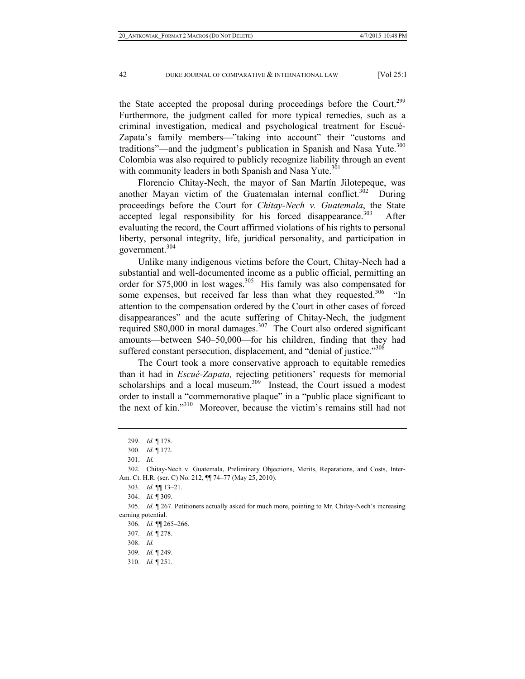the State accepted the proposal during proceedings before the Court.<sup>299</sup> Furthermore, the judgment called for more typical remedies, such as a criminal investigation, medical and psychological treatment for Escué-Zapata's family members—"taking into account" their "customs and traditions"—and the judgment's publication in Spanish and Nasa Yute.<sup>300</sup> Colombia was also required to publicly recognize liability through an event with community leaders in both Spanish and Nasa Yute.<sup>301</sup>

Florencio Chitay-Nech, the mayor of San Martín Jilotepeque, was another Mayan victim of the Guatemalan internal conflict.<sup>302</sup> During proceedings before the Court for *Chitay-Nech v. Guatemala*, the State accepted legal responsibility for his forced disappearance.<sup>303</sup> After evaluating the record, the Court affirmed violations of his rights to personal liberty, personal integrity, life, juridical personality, and participation in government.<sup>304</sup>

Unlike many indigenous victims before the Court, Chitay-Nech had a substantial and well-documented income as a public official, permitting an order for \$75,000 in lost wages.<sup>305</sup> His family was also compensated for some expenses, but received far less than what they requested.<sup>306</sup> "In attention to the compensation ordered by the Court in other cases of forced disappearances" and the acute suffering of Chitay-Nech, the judgment required  $$80,000$  in moral damages.<sup>307</sup> The Court also ordered significant amounts—between \$40–50,000—for his children, finding that they had suffered constant persecution, displacement, and "denial of justice."<sup>308</sup>

The Court took a more conservative approach to equitable remedies than it had in *Escué-Zapata,* rejecting petitioners' requests for memorial scholarships and a local museum.<sup>309</sup> Instead, the Court issued a modest order to install a "commemorative plaque" in a "public place significant to the next of kin."310 Moreover, because the victim's remains still had not

310. *Id.* ¶ 251.

 <sup>299.</sup> *Id.* ¶ 178.

 <sup>300.</sup> *Id.* ¶ 172.

 <sup>301.</sup> *Id.*

 <sup>302.</sup> Chitay-Nech v. Guatemala, Preliminary Objections, Merits, Reparations, and Costs, Inter-Am. Ct. H.R. (ser. C) No. 212, ¶¶ 74–77 (May 25, 2010).

 <sup>303.</sup> *Id.* ¶¶ 13–21.

 <sup>304.</sup> *Id.* ¶ 309.

 <sup>305.</sup> *Id.* ¶ 267. Petitioners actually asked for much more, pointing to Mr. Chitay-Nech's increasing earning potential.

 <sup>306.</sup> *Id.* ¶¶ 265–266.

 <sup>307.</sup> *Id.* ¶ 278.

 <sup>308.</sup> *Id.*

 <sup>309.</sup> *Id.* ¶ 249.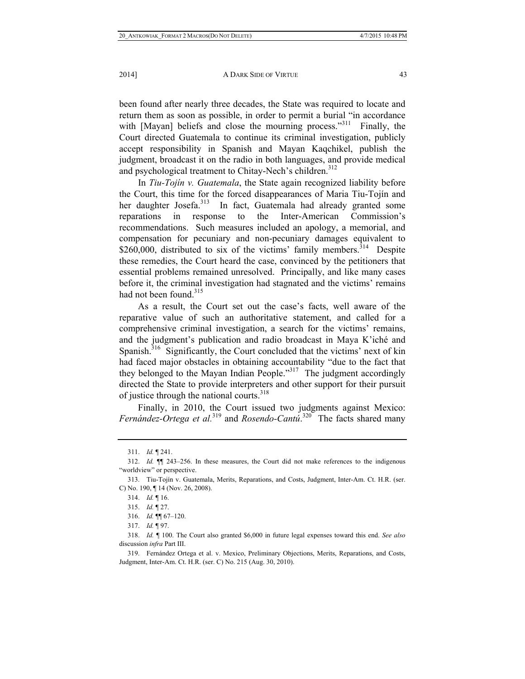been found after nearly three decades, the State was required to locate and return them as soon as possible, in order to permit a burial "in accordance with [Mayan] beliefs and close the mourning process."<sup>311</sup> Finally, the Court directed Guatemala to continue its criminal investigation, publicly accept responsibility in Spanish and Mayan Kaqchikel, publish the judgment, broadcast it on the radio in both languages, and provide medical and psychological treatment to Chitay-Nech's children.<sup>312</sup>

In *Tiu-Tojín v. Guatemala*, the State again recognized liability before the Court, this time for the forced disappearances of Maria Tiu-Tojín and her daughter Josefa.<sup>313</sup> In fact, Guatemala had already granted some reparations in response to the Inter-American Commission's recommendations. Such measures included an apology, a memorial, and compensation for pecuniary and non-pecuniary damages equivalent to \$260,000, distributed to six of the victims' family members.<sup>314</sup> Despite these remedies, the Court heard the case, convinced by the petitioners that essential problems remained unresolved. Principally, and like many cases before it, the criminal investigation had stagnated and the victims' remains had not been found.<sup>315</sup>

As a result, the Court set out the case's facts, well aware of the reparative value of such an authoritative statement, and called for a comprehensive criminal investigation, a search for the victims' remains, and the judgment's publication and radio broadcast in Maya K'iché and Spanish.<sup>316</sup> Significantly, the Court concluded that the victims' next of kin had faced major obstacles in obtaining accountability "due to the fact that they belonged to the Mayan Indian People."317 The judgment accordingly directed the State to provide interpreters and other support for their pursuit of justice through the national courts.<sup>318</sup>

Finally, in 2010, the Court issued two judgments against Mexico: *Fernández-Ortega et al.*<sup>319</sup> and *Rosendo-Cantú*. 320 The facts shared many

 <sup>311.</sup> *Id.* ¶ 241.

 <sup>312.</sup> *Id.* ¶¶ 243–256. In these measures, the Court did not make references to the indigenous "worldview" or perspective.

 <sup>313.</sup> Tiu-Tojín v. Guatemala, Merits, Reparations, and Costs, Judgment, Inter-Am. Ct. H.R. (ser. C) No. 190, ¶ 14 (Nov. 26, 2008).

 <sup>314.</sup> *Id.* ¶ 16.

 <sup>315.</sup> *Id.* ¶ 27.

 <sup>316.</sup> *Id.* ¶¶ 67–120.

 <sup>317.</sup> *Id.* ¶ 97.

 <sup>318.</sup> *Id.* ¶ 100. The Court also granted \$6,000 in future legal expenses toward this end. *See also* discussion *infra* Part III.

 <sup>319.</sup> Fernández Ortega et al. v. Mexico, Preliminary Objections, Merits, Reparations, and Costs, Judgment, Inter-Am. Ct. H.R. (ser. C) No. 215 (Aug. 30, 2010).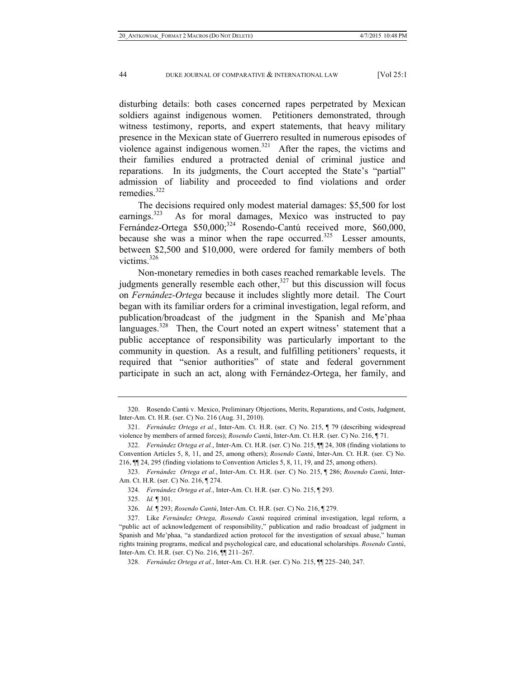disturbing details: both cases concerned rapes perpetrated by Mexican soldiers against indigenous women. Petitioners demonstrated, through witness testimony, reports, and expert statements, that heavy military presence in the Mexican state of Guerrero resulted in numerous episodes of violence against indigenous women.<sup>321</sup> After the rapes, the victims and their families endured a protracted denial of criminal justice and reparations. In its judgments, the Court accepted the State's "partial" admission of liability and proceeded to find violations and order remedies $322$ 

The decisions required only modest material damages: \$5,500 for lost earnings.<sup>323</sup> As for moral damages, Mexico was instructed to pay Fernández-Ortega \$50,000;<sup>324</sup> Rosendo-Cantú received more, \$60,000, because she was a minor when the rape occurred.<sup>325</sup> Lesser amounts, between \$2,500 and \$10,000, were ordered for family members of both victims.<sup>326</sup>

Non-monetary remedies in both cases reached remarkable levels. The judgments generally resemble each other, $327$  but this discussion will focus on *Fernández-Ortega* because it includes slightly more detail. The Court began with its familiar orders for a criminal investigation, legal reform, and publication/broadcast of the judgment in the Spanish and Me'phaa languages.<sup>328</sup> Then, the Court noted an expert witness' statement that a public acceptance of responsibility was particularly important to the community in question. As a result, and fulfilling petitioners' requests, it required that "senior authorities" of state and federal government participate in such an act, along with Fernández-Ortega, her family, and

 <sup>320.</sup> Rosendo Cantú v. Mexico, Preliminary Objections, Merits, Reparations, and Costs, Judgment, Inter-Am. Ct. H.R. (ser. C) No. 216 (Aug. 31, 2010).

 <sup>321.</sup> *Fernández Ortega et al.*, Inter-Am. Ct. H.R. (ser. C) No. 215, ¶ 79 (describing widespread violence by members of armed forces); *Rosendo Cantú*, Inter-Am. Ct. H.R. (ser. C) No. 216, ¶ 71.

 <sup>322.</sup> *Fernández Ortega et al.*, Inter-Am. Ct. H.R. (ser. C) No. 215, ¶¶ 24, 308 (finding violations to Convention Articles 5, 8, 11, and 25, among others); *Rosendo Cantú*, Inter-Am. Ct. H.R. (ser. C) No. 216, ¶¶ 24, 295 (finding violations to Convention Articles 5, 8, 11, 19, and 25, among others).

 <sup>323.</sup> *Fernández Ortega et al.*, Inter-Am. Ct. H.R. (ser. C) No. 215, ¶ 286; *Rosendo Cantú*, Inter-Am. Ct. H.R. (ser. C) No. 216, ¶ 274.

 <sup>324.</sup> *Fernández Ortega et al.*, Inter-Am. Ct. H.R. (ser. C) No. 215, ¶ 293.

 <sup>325.</sup> *Id.* ¶ 301.

 <sup>326.</sup> *Id.* ¶ 293; *Rosendo Cantú*, Inter-Am. Ct. H.R. (ser. C) No. 216, ¶ 279.

 <sup>327.</sup> Like *Fernández Ortega, Rosendo Cantú* required criminal investigation, legal reform, a "public act of acknowledgement of responsibility," publication and radio broadcast of judgment in Spanish and Me'phaa, "a standardized action protocol for the investigation of sexual abuse," human rights training programs, medical and psychological care, and educational scholarships. *Rosendo Cantú*, Inter-Am. Ct. H.R. (ser. C) No. 216, ¶¶ 211–267.

 <sup>328.</sup> *Fernández Ortega et al.*, Inter-Am. Ct. H.R. (ser. C) No. 215, ¶¶ 225–240, 247.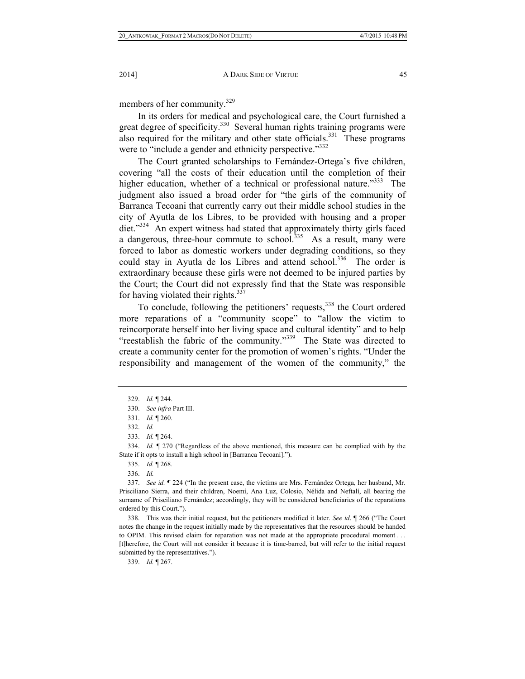members of her community.<sup>329</sup>

In its orders for medical and psychological care, the Court furnished a great degree of specificity.<sup>330</sup> Several human rights training programs were also required for the military and other state officials.<sup>331</sup> These programs were to "include a gender and ethnicity perspective."<sup>332</sup>

The Court granted scholarships to Fernández-Ortega's five children, covering "all the costs of their education until the completion of their higher education, whether of a technical or professional nature."<sup>333</sup> The judgment also issued a broad order for "the girls of the community of Barranca Tecoani that currently carry out their middle school studies in the city of Ayutla de los Libres, to be provided with housing and a proper diet."334 An expert witness had stated that approximately thirty girls faced a dangerous, three-hour commute to school.<sup>335</sup> As a result, many were forced to labor as domestic workers under degrading conditions, so they could stay in Ayutla de los Libres and attend school.<sup>336</sup> The order is extraordinary because these girls were not deemed to be injured parties by the Court; the Court did not expressly find that the State was responsible for having violated their rights. $337$ 

To conclude, following the petitioners' requests,<sup>338</sup> the Court ordered more reparations of a "community scope" to "allow the victim to reincorporate herself into her living space and cultural identity" and to help "reestablish the fabric of the community."339 The State was directed to create a community center for the promotion of women's rights. "Under the responsibility and management of the women of the community," the

 334. *Id.* ¶ 270 ("Regardless of the above mentioned, this measure can be complied with by the State if it opts to install a high school in [Barranca Tecoani].").

335. *Id.* ¶ 268.

336. *Id.*

 337. *See id.* ¶ 224 ("In the present case, the victims are Mrs. Fernández Ortega, her husband, Mr. Prisciliano Sierra, and their children, Noemí, Ana Luz, Colosio, Nélida and Neftalí, all bearing the surname of Prisciliano Fernández; accordingly, they will be considered beneficiaries of the reparations ordered by this Court.").

 338. This was their initial request, but the petitioners modified it later. *See id*. ¶ 266 ("The Court notes the change in the request initially made by the representatives that the resources should be handed to OPIM. This revised claim for reparation was not made at the appropriate procedural moment . . . [t]herefore, the Court will not consider it because it is time-barred, but will refer to the initial request submitted by the representatives.").

339. *Id.* ¶ 267.

 <sup>329.</sup> *Id.* ¶ 244.

 <sup>330.</sup> *See infra* Part III.

 <sup>331.</sup> *Id.* ¶ 260.

 <sup>332.</sup> *Id.*

 <sup>333.</sup> *Id.* ¶ 264.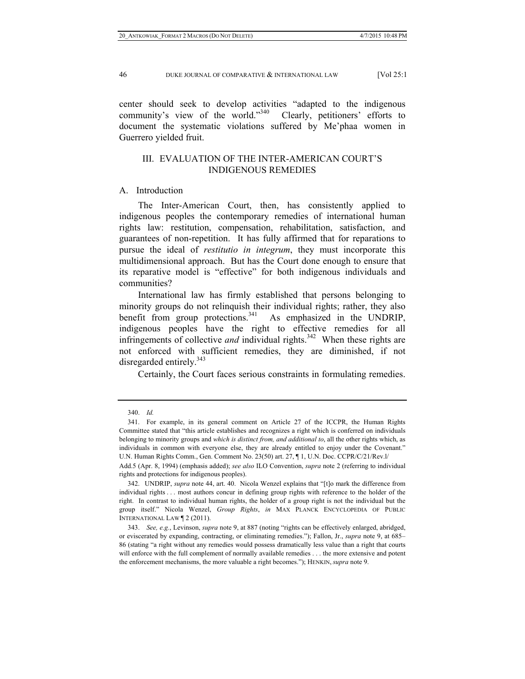center should seek to develop activities "adapted to the indigenous community's view of the world."340 Clearly, petitioners' efforts to document the systematic violations suffered by Me'phaa women in Guerrero yielded fruit.

# III. EVALUATION OF THE INTER-AMERICAN COURT'S INDIGENOUS REMEDIES

## A. Introduction

The Inter-American Court, then, has consistently applied to indigenous peoples the contemporary remedies of international human rights law: restitution, compensation, rehabilitation, satisfaction, and guarantees of non-repetition. It has fully affirmed that for reparations to pursue the ideal of *restitutio in integrum*, they must incorporate this multidimensional approach. But has the Court done enough to ensure that its reparative model is "effective" for both indigenous individuals and communities?

International law has firmly established that persons belonging to minority groups do not relinquish their individual rights; rather, they also benefit from group protections. $341$  As emphasized in the UNDRIP, indigenous peoples have the right to effective remedies for all infringements of collective *and* individual rights.<sup>342</sup> When these rights are not enforced with sufficient remedies, they are diminished, if not disregarded entirely.<sup>343</sup>

Certainly, the Court faces serious constraints in formulating remedies.

 <sup>340.</sup> *Id.*

 <sup>341.</sup> For example, in its general comment on Article 27 of the ICCPR, the Human Rights Committee stated that "this article establishes and recognizes a right which is conferred on individuals belonging to minority groups and *which is distinct from, and additional to*, all the other rights which, as individuals in common with everyone else, they are already entitled to enjoy under the Covenant." U.N. Human Rights Comm., Gen. Comment No. 23(50) art. 27, ¶ 1, U.N. Doc. CCPR/C/21/Rev.l/

Add.5 (Apr. 8, 1994) (emphasis added); *see also* ILO Convention, *supra* note 2 (referring to individual rights and protections for indigenous peoples).

 <sup>342.</sup> UNDRIP, *supra* note 44, art. 40. Nicola Wenzel explains that "[t]o mark the difference from individual rights . . . most authors concur in defining group rights with reference to the holder of the right. In contrast to individual human rights, the holder of a group right is not the individual but the group itself." Nicola Wenzel, *Group Rights*, *in* MAX PLANCK ENCYCLOPEDIA OF PUBLIC INTERNATIONAL LAW ¶ 2 (2011).

 <sup>343.</sup> *See, e.g.*, Levinson, *supra* note 9, at 887 (noting "rights can be effectively enlarged, abridged, or eviscerated by expanding, contracting, or eliminating remedies."); Fallon, Jr., *supra* note 9, at 685– 86 (stating "a right without any remedies would possess dramatically less value than a right that courts will enforce with the full complement of normally available remedies . . . the more extensive and potent the enforcement mechanisms, the more valuable a right becomes."); HENKIN, *supra* note 9.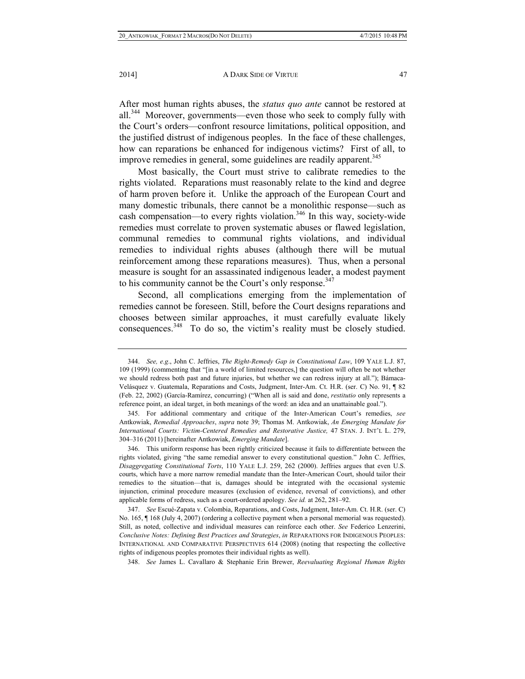After most human rights abuses, the *status quo ante* cannot be restored at all.344 Moreover, governments—even those who seek to comply fully with the Court's orders—confront resource limitations, political opposition, and the justified distrust of indigenous peoples. In the face of these challenges, how can reparations be enhanced for indigenous victims? First of all, to improve remedies in general, some guidelines are readily apparent.<sup>345</sup>

Most basically, the Court must strive to calibrate remedies to the rights violated. Reparations must reasonably relate to the kind and degree of harm proven before it. Unlike the approach of the European Court and many domestic tribunals, there cannot be a monolithic response—such as cash compensation—to every rights violation.<sup>346</sup> In this way, society-wide remedies must correlate to proven systematic abuses or flawed legislation, communal remedies to communal rights violations, and individual remedies to individual rights abuses (although there will be mutual reinforcement among these reparations measures). Thus, when a personal measure is sought for an assassinated indigenous leader, a modest payment to his community cannot be the Court's only response.<sup>347</sup>

Second, all complications emerging from the implementation of remedies cannot be foreseen. Still, before the Court designs reparations and chooses between similar approaches, it must carefully evaluate likely consequences.348 To do so, the victim's reality must be closely studied.

 <sup>344.</sup> *See, e.g*., John C. Jeffries, *The Right-Remedy Gap in Constitutional Law*, 109 YALE L.J. 87, 109 (1999) (commenting that "[in a world of limited resources,] the question will often be not whether we should redress both past and future injuries, but whether we can redress injury at all."); Bámaca-Velásquez v. Guatemala, Reparations and Costs, Judgment, Inter-Am. Ct. H.R. (ser. C) No. 91, ¶ 82 (Feb. 22, 2002) (García-Ramírez, concurring) ("When all is said and done, *restitutio* only represents a reference point, an ideal target, in both meanings of the word: an idea and an unattainable goal.").

 <sup>345.</sup> For additional commentary and critique of the Inter-American Court's remedies, *see* Antkowiak, *Remedial Approaches*, *supra* note 39; Thomas M. Antkowiak, *An Emerging Mandate for International Courts: Victim-Centered Remedies and Restorative Justice,* 47 STAN. J. INT'L L. 279, 304–316 (2011) [hereinafter Antkowiak, *Emerging Mandate*].

 <sup>346.</sup> This uniform response has been rightly criticized because it fails to differentiate between the rights violated, giving "the same remedial answer to every constitutional question." John C. Jeffries, *Disaggregating Constitutional Torts*, 110 YALE L.J. 259, 262 (2000). Jeffries argues that even U.S. courts, which have a more narrow remedial mandate than the Inter-American Court, should tailor their remedies to the situation—that is, damages should be integrated with the occasional systemic injunction, criminal procedure measures (exclusion of evidence, reversal of convictions), and other applicable forms of redress, such as a court-ordered apology. *See id.* at 262, 281–92.

 <sup>347.</sup> *See* Escué-Zapata v. Colombia, Reparations, and Costs, Judgment, Inter-Am. Ct. H.R. (ser. C) No. 165, ¶ 168 (July 4, 2007) (ordering a collective payment when a personal memorial was requested). Still, as noted, collective and individual measures can reinforce each other. *See* Federico Lenzerini, *Conclusive Notes: Defining Best Practices and Strategies*, *in* REPARATIONS FOR INDIGENOUS PEOPLES: INTERNATIONAL AND COMPARATIVE PERSPECTIVES 614 (2008) (noting that respecting the collective rights of indigenous peoples promotes their individual rights as well).

 <sup>348.</sup> *See* James L. Cavallaro & Stephanie Erin Brewer, *Reevaluating Regional Human Rights*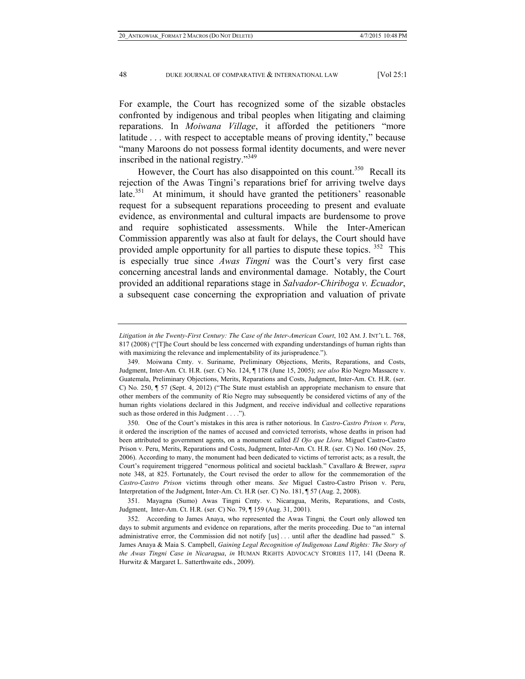For example, the Court has recognized some of the sizable obstacles confronted by indigenous and tribal peoples when litigating and claiming reparations. In *Moiwana Village*, it afforded the petitioners "more latitude . . . with respect to acceptable means of proving identity," because "many Maroons do not possess formal identity documents, and were never inscribed in the national registry."349

However, the Court has also disappointed on this count.<sup>350</sup> Recall its rejection of the Awas Tingni's reparations brief for arriving twelve days late.<sup>351</sup> At minimum, it should have granted the petitioners' reasonable request for a subsequent reparations proceeding to present and evaluate evidence, as environmental and cultural impacts are burdensome to prove and require sophisticated assessments. While the Inter-American Commission apparently was also at fault for delays, the Court should have provided ample opportunity for all parties to dispute these topics. <sup>352</sup> This is especially true since *Awas Tingni* was the Court's very first case concerning ancestral lands and environmental damage. Notably, the Court provided an additional reparations stage in *Salvador-Chiriboga v. Ecuador*, a subsequent case concerning the expropriation and valuation of private

 351. Mayagna (Sumo) Awas Tingni Cmty. v. Nicaragua, Merits, Reparations, and Costs, Judgment, Inter-Am. Ct. H.R. (ser. C) No. 79, ¶ 159 (Aug. 31, 2001).

*Litigation in the Twenty-First Century: The Case of the Inter-American Court*, 102 AM. J. INT'L L. 768, 817 (2008) ("[T]he Court should be less concerned with expanding understandings of human rights than with maximizing the relevance and implementability of its jurisprudence.").

 <sup>349.</sup> Moiwana Cmty. v. Suriname, Preliminary Objections, Merits, Reparations, and Costs, Judgment, Inter-Am. Ct. H.R. (ser. C) No. 124, ¶ 178 (June 15, 2005); *see also* Río Negro Massacre v. Guatemala, Preliminary Objections, Merits, Reparations and Costs, Judgment, Inter-Am. Ct. H.R. (ser. C) No. 250, ¶ 57 (Sept. 4, 2012) ("The State must establish an appropriate mechanism to ensure that other members of the community of Río Negro may subsequently be considered victims of any of the human rights violations declared in this Judgment, and receive individual and collective reparations such as those ordered in this Judgment . . . .").

 <sup>350.</sup> One of the Court's mistakes in this area is rather notorious. In *Castro-Castro Prison v. Peru*, it ordered the inscription of the names of accused and convicted terrorists, whose deaths in prison had been attributed to government agents, on a monument called *El Ojo que Llora*. Miguel Castro-Castro Prison v. Peru, Merits, Reparations and Costs, Judgment, Inter-Am. Ct. H.R. (ser. C) No. 160 (Nov. 25, 2006). According to many, the monument had been dedicated to victims of terrorist acts; as a result, the Court's requirement triggered "enormous political and societal backlash." Cavallaro & Brewer, *supra*  note 348, at 825. Fortunately, the Court revised the order to allow for the commemoration of the *Castro-Castro Prison* victims through other means. *See* Miguel Castro-Castro Prison v. Peru, Interpretation of the Judgment, Inter-Am. Ct. H.R (ser. C) No. 181, ¶ 57 (Aug. 2, 2008).

 <sup>352.</sup> According to James Anaya, who represented the Awas Tingni*,* the Court only allowed ten days to submit arguments and evidence on reparations, after the merits proceeding. Due to "an internal administrative error, the Commission did not notify [us] . . . until after the deadline had passed." S. James Anaya & Maia S. Campbell, *Gaining Legal Recognition of Indigenous Land Rights: The Story of the Awas Tingni Case in Nicaragua*, *in* HUMAN RIGHTS ADVOCACY STORIES 117, 141 (Deena R. Hurwitz & Margaret L. Satterthwaite eds., 2009).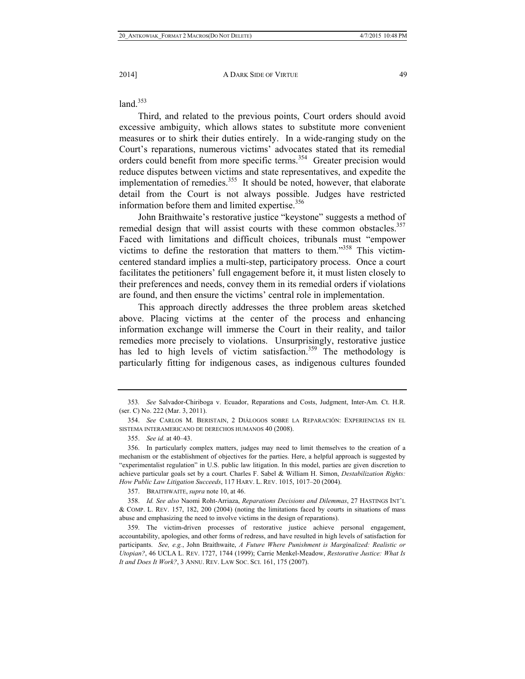$land.<sup>353</sup>$ 

Third, and related to the previous points, Court orders should avoid excessive ambiguity, which allows states to substitute more convenient measures or to shirk their duties entirely. In a wide-ranging study on the Court's reparations, numerous victims' advocates stated that its remedial orders could benefit from more specific terms.354 Greater precision would reduce disputes between victims and state representatives, and expedite the implementation of remedies.<sup>355</sup> It should be noted, however, that elaborate detail from the Court is not always possible. Judges have restricted information before them and limited expertise. $356$ 

John Braithwaite's restorative justice "keystone" suggests a method of remedial design that will assist courts with these common obstacles.<sup>357</sup> Faced with limitations and difficult choices, tribunals must "empower victims to define the restoration that matters to them."358 This victimcentered standard implies a multi-step, participatory process. Once a court facilitates the petitioners' full engagement before it, it must listen closely to their preferences and needs, convey them in its remedial orders if violations are found, and then ensure the victims' central role in implementation.

This approach directly addresses the three problem areas sketched above. Placing victims at the center of the process and enhancing information exchange will immerse the Court in their reality, and tailor remedies more precisely to violations. Unsurprisingly, restorative justice has led to high levels of victim satisfaction.<sup>359</sup> The methodology is particularly fitting for indigenous cases, as indigenous cultures founded

357. BRAITHWAITE, *supra* note 10, at 46.

 358. *Id. See also* Naomi Roht-Arriaza, *Reparations Decisions and Dilemmas*, 27 HASTINGS INT'L & COMP. L. REV. 157, 182, 200 (2004) (noting the limitations faced by courts in situations of mass abuse and emphasizing the need to involve victims in the design of reparations).

<sup>353</sup>*. See* Salvador-Chiriboga v. Ecuador, Reparations and Costs, Judgment, Inter-Am. Ct. H.R. (ser. C) No. 222 (Mar. 3, 2011).

 <sup>354.</sup> *See* CARLOS M. BERISTAIN, 2 DIÁLOGOS SOBRE LA REPARACIÓN: EXPERIENCIAS EN EL SISTEMA INTERAMERICANO DE DERECHOS HUMANOS 40 (2008).

 <sup>355.</sup> *See id.* at 40–43.

 <sup>356.</sup> In particularly complex matters, judges may need to limit themselves to the creation of a mechanism or the establishment of objectives for the parties. Here, a helpful approach is suggested by "experimentalist regulation" in U.S. public law litigation. In this model, parties are given discretion to achieve particular goals set by a court. Charles F. Sabel & William H. Simon, *Destabilization Rights: How Public Law Litigation Succeeds*, 117 HARV. L. REV. 1015, 1017–20 (2004).

 <sup>359.</sup> The victim-driven processes of restorative justice achieve personal engagement, accountability, apologies, and other forms of redress, and have resulted in high levels of satisfaction for participants. *See, e.g.*, John Braithwaite, *A Future Where Punishment is Marginalized: Realistic or Utopian?*, 46 UCLA L. REV. 1727, 1744 (1999); Carrie Menkel-Meadow, *Restorative Justice: What Is It and Does It Work?*, 3 ANNU. REV. LAW SOC. SCI. 161, 175 (2007).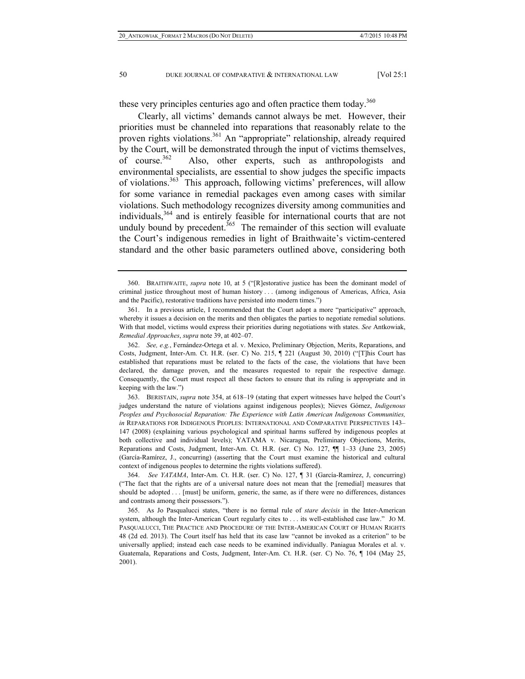these very principles centuries ago and often practice them today.<sup>360</sup>

Clearly, all victims' demands cannot always be met. However, their priorities must be channeled into reparations that reasonably relate to the proven rights violations.<sup>361</sup> An "appropriate" relationship, already required by the Court, will be demonstrated through the input of victims themselves, of course.<sup>362</sup> Also, other experts, such as anthropologists and Also, other experts, such as anthropologists and environmental specialists, are essential to show judges the specific impacts of violations.<sup>363</sup> This approach, following victims' preferences, will allow for some variance in remedial packages even among cases with similar violations. Such methodology recognizes diversity among communities and individuals,364 and is entirely feasible for international courts that are not unduly bound by precedent.<sup>365</sup> The remainder of this section will evaluate the Court's indigenous remedies in light of Braithwaite's victim-centered standard and the other basic parameters outlined above, considering both

 <sup>360.</sup> BRAITHWAITE, *supra* note 10, at 5 ("[R]estorative justice has been the dominant model of criminal justice throughout most of human history . . . (among indigenous of Americas, Africa, Asia and the Pacific), restorative traditions have persisted into modern times.")

 <sup>361.</sup> In a previous article, I recommended that the Court adopt a more "participative" approach, whereby it issues a decision on the merits and then obligates the parties to negotiate remedial solutions. With that model, victims would express their priorities during negotiations with states. *See* Antkowiak, *Remedial Approaches*, *supra* note 39, at 402–07.

 <sup>362.</sup> *See, e.g.*, Fernández-Ortega et al. v. Mexico, Preliminary Objection, Merits, Reparations, and Costs, Judgment, Inter-Am. Ct. H.R. (ser. C) No. 215, ¶ 221 (August 30, 2010) ("[T]his Court has established that reparations must be related to the facts of the case, the violations that have been declared, the damage proven, and the measures requested to repair the respective damage. Consequently, the Court must respect all these factors to ensure that its ruling is appropriate and in keeping with the law.")

 <sup>363.</sup> BERISTAIN, *supra* note 354, at 618–19 (stating that expert witnesses have helped the Court's judges understand the nature of violations against indigenous peoples); Nieves Gómez, *Indigenous Peoples and Psychosocial Reparation: The Experience with Latin American Indigenous Communities, in* REPARATIONS FOR INDIGENOUS PEOPLES: INTERNATIONAL AND COMPARATIVE PERSPECTIVES 143– 147 (2008) (explaining various psychological and spiritual harms suffered by indigenous peoples at both collective and individual levels); YATAMA v. Nicaragua, Preliminary Objections, Merits, Reparations and Costs, Judgment, Inter-Am. Ct. H.R. (ser. C) No. 127, ¶¶ 1–33 (June 23, 2005) (García-Ramírez, J., concurring) (asserting that the Court must examine the historical and cultural context of indigenous peoples to determine the rights violations suffered).

 <sup>364.</sup> *See YATAMA*, Inter-Am. Ct. H.R. (ser. C) No. 127, ¶ 31 (García-Ramírez, J, concurring) ("The fact that the rights are of a universal nature does not mean that the [remedial] measures that should be adopted . . . [must] be uniform, generic, the same, as if there were no differences, distances and contrasts among their possessors.").

 <sup>365.</sup> As Jo Pasqualucci states, "there is no formal rule of *stare decisis* in the Inter-American system, although the Inter-American Court regularly cites to . . . its well-established case law." JO M. PASQUALUCCI, THE PRACTICE AND PROCEDURE OF THE INTER-AMERICAN COURT OF HUMAN RIGHTS 48 (2d ed. 2013). The Court itself has held that its case law "cannot be invoked as a criterion" to be universally applied; instead each case needs to be examined individually. Paniagua Morales et al. v. Guatemala, Reparations and Costs, Judgment, Inter-Am. Ct. H.R. (ser. C) No. 76, ¶ 104 (May 25, 2001).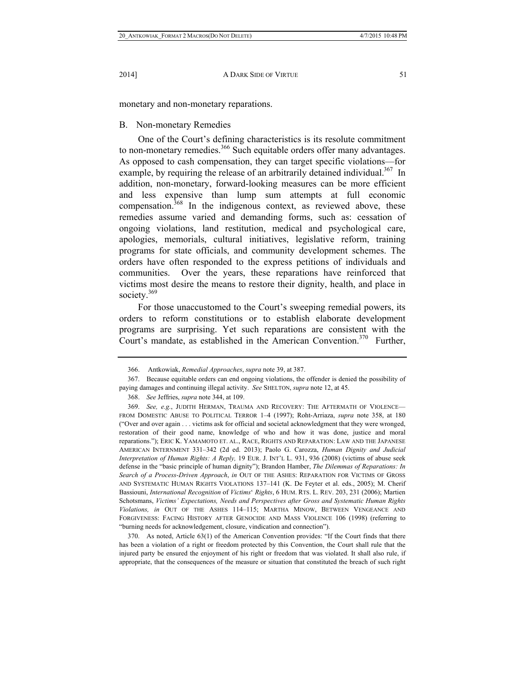monetary and non-monetary reparations.

# B. Non-monetary Remedies

One of the Court's defining characteristics is its resolute commitment to non-monetary remedies.<sup>366</sup> Such equitable orders offer many advantages. As opposed to cash compensation, they can target specific violations—for example, by requiring the release of an arbitrarily detained individual.<sup>367</sup> In addition, non-monetary, forward-looking measures can be more efficient and less expensive than lump sum attempts at full economic compensation.<sup>368</sup> In the indigenous context, as reviewed above, these remedies assume varied and demanding forms, such as: cessation of ongoing violations, land restitution, medical and psychological care, apologies, memorials, cultural initiatives, legislative reform, training programs for state officials, and community development schemes. The orders have often responded to the express petitions of individuals and communities. Over the years, these reparations have reinforced that victims most desire the means to restore their dignity, health, and place in society.<sup>369</sup>

For those unaccustomed to the Court's sweeping remedial powers, its orders to reform constitutions or to establish elaborate development programs are surprising. Yet such reparations are consistent with the Court's mandate, as established in the American Convention.<sup>370</sup> Further,

 <sup>366.</sup> Antkowiak, *Remedial Approaches*, *supra* note 39, at 387.

 <sup>367.</sup> Because equitable orders can end ongoing violations, the offender is denied the possibility of paying damages and continuing illegal activity. *See* SHELTON, *supra* note 12, at 45.

 <sup>368.</sup> *See* Jeffries, *supra* note 344, at 109.

 <sup>369.</sup> *See, e.g.*, JUDITH HERMAN, TRAUMA AND RECOVERY: THE AFTERMATH OF VIOLENCE— FROM DOMESTIC ABUSE TO POLITICAL TERROR 1–4 (1997); Roht-Arriaza, *supra* note 358, at 180 ("Over and over again . . . victims ask for official and societal acknowledgment that they were wronged, restoration of their good name, knowledge of who and how it was done, justice and moral reparations."); ERIC K. YAMAMOTO ET. AL., RACE, RIGHTS AND REPARATION: LAW AND THE JAPANESE AMERICAN INTERNMENT 331–342 (2d ed. 2013); Paolo G. Carozza, *Human Dignity and Judicial Interpretation of Human Rights: A Reply,* 19 EUR. J. INT'L L. 931, 936 (2008) (victims of abuse seek defense in the "basic principle of human dignity"); Brandon Hamber, *The Dilemmas of Reparations: In Search of a Process-Driven Approach*, *in* OUT OF THE ASHES: REPARATION FOR VICTIMS OF GROSS AND SYSTEMATIC HUMAN RIGHTS VIOLATIONS 137–141 (K. De Feyter et al. eds., 2005); M. Cherif Bassiouni, *International Recognition* of *Victims*' *Rights*, 6 HUM. RTS. L. REV. 203, 231 (2006); Martien Schotsmans, *Victims' Expectations, Needs and Perspectives after Gross and Systematic Human Rights Violations, in* OUT OF THE ASHES 114–115; MARTHA MINOW, BETWEEN VENGEANCE AND FORGIVENESS: FACING HISTORY AFTER GENOCIDE AND MASS VIOLENCE 106 (1998) (referring to "burning needs for acknowledgement, closure, vindication and connection").

 <sup>370.</sup> As noted, Article 63(1) of the American Convention provides: "If the Court finds that there has been a violation of a right or freedom protected by this Convention, the Court shall rule that the injured party be ensured the enjoyment of his right or freedom that was violated. It shall also rule, if appropriate, that the consequences of the measure or situation that constituted the breach of such right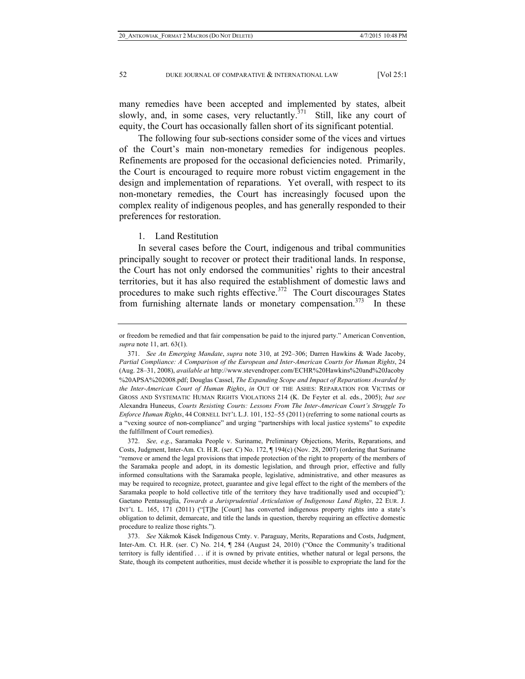many remedies have been accepted and implemented by states, albeit slowly, and, in some cases, very reluctantly.<sup> $371$ </sup> Still, like any court of equity, the Court has occasionally fallen short of its significant potential.

The following four sub-sections consider some of the vices and virtues of the Court's main non-monetary remedies for indigenous peoples. Refinements are proposed for the occasional deficiencies noted. Primarily, the Court is encouraged to require more robust victim engagement in the design and implementation of reparations. Yet overall, with respect to its non-monetary remedies, the Court has increasingly focused upon the complex reality of indigenous peoples, and has generally responded to their preferences for restoration.

1. Land Restitution

In several cases before the Court, indigenous and tribal communities principally sought to recover or protect their traditional lands. In response, the Court has not only endorsed the communities' rights to their ancestral territories, but it has also required the establishment of domestic laws and procedures to make such rights effective.<sup>372</sup> The Court discourages States from furnishing alternate lands or monetary compensation.<sup> $373$ </sup> In these

or freedom be remedied and that fair compensation be paid to the injured party." American Convention, *supra* note 11, art. 63(1).

 <sup>371.</sup> *See An Emerging Mandate*, *supra* note 310, at 292–306; Darren Hawkins & Wade Jacoby, *Partial Compliance: A Comparison of the European and Inter-American Courts for Human Rights*, 24 (Aug. 28–31, 2008), *available at* http://www.stevendroper.com/ECHR%20Hawkins%20and%20Jacoby %20APSA%202008.pdf; Douglas Cassel, *The Expanding Scope and Impact of Reparations Awarded by the Inter-American Court of Human Rights*, *in* OUT OF THE ASHES: REPARATION FOR VICTIMS OF GROSS AND SYSTEMATIC HUMAN RIGHTS VIOLATIONS 214 (K. De Feyter et al. eds., 2005); *but see* Alexandra Huneeus, *Courts Resisting Courts: Lessons From The Inter-American Court's Struggle To Enforce Human Rights*, 44 CORNELL INT'L L.J. 101, 152–55 (2011) (referring to some national courts as a "vexing source of non-compliance" and urging "partnerships with local justice systems" to expedite the fulfillment of Court remedies).

 <sup>372.</sup> *See, e.g*., Saramaka People v. Suriname, Preliminary Objections, Merits, Reparations, and Costs, Judgment, Inter-Am. Ct. H.R. (ser. C) No. 172, ¶ 194(c) (Nov. 28, 2007) (ordering that Suriname "remove or amend the legal provisions that impede protection of the right to property of the members of the Saramaka people and adopt, in its domestic legislation, and through prior, effective and fully informed consultations with the Saramaka people, legislative, administrative, and other measures as may be required to recognize, protect, guarantee and give legal effect to the right of the members of the Saramaka people to hold collective title of the territory they have traditionally used and occupied")*;* Gaetano Pentassuglia, *Towards a Jurisprudential Articulation of Indigenous Land Rights*, 22 EUR. J. INT'L L. 165, 171 (2011) ("[T]he [Court] has converted indigenous property rights into a state's obligation to delimit, demarcate, and title the lands in question, thereby requiring an effective domestic procedure to realize those rights.").

 <sup>373.</sup> *See* Xákmok Kásek Indigenous Cmty. v. Paraguay, Merits, Reparations and Costs, Judgment, Inter-Am. Ct. H.R. (ser. C) No. 214, ¶ 284 (August 24, 2010) ("Once the Community's traditional territory is fully identified . . . if it is owned by private entities, whether natural or legal persons, the State, though its competent authorities, must decide whether it is possible to expropriate the land for the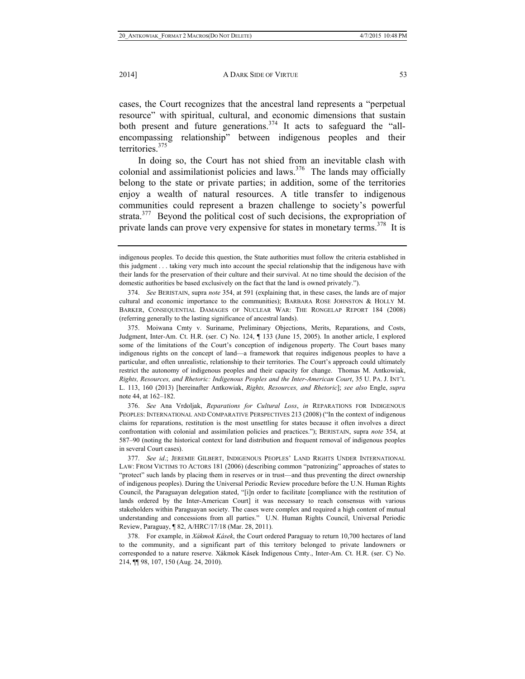cases, the Court recognizes that the ancestral land represents a "perpetual resource" with spiritual, cultural, and economic dimensions that sustain both present and future generations.<sup>374</sup> It acts to safeguard the "allencompassing relationship" between indigenous peoples and their territories.<sup>375</sup>

In doing so, the Court has not shied from an inevitable clash with colonial and assimilationist policies and laws. $376$  The lands may officially belong to the state or private parties; in addition, some of the territories enjoy a wealth of natural resources. A title transfer to indigenous communities could represent a brazen challenge to society's powerful strata.<sup>377</sup> Beyond the political cost of such decisions, the expropriation of private lands can prove very expensive for states in monetary terms.<sup>378</sup> It is

 376. *See* Ana Vrdoljak, *Reparations for Cultural Loss*, *in* REPARATIONS FOR INDIGENOUS PEOPLES: INTERNATIONAL AND COMPARATIVE PERSPECTIVES 213 (2008) ("In the context of indigenous claims for reparations, restitution is the most unsettling for states because it often involves a direct confrontation with colonial and assimilation policies and practices."); BERISTAIN, supra *note* 354, at 587–90 (noting the historical context for land distribution and frequent removal of indigenous peoples in several Court cases).

 377. *See id*.; JEREMIE GILBERT, INDIGENOUS PEOPLES' LAND RIGHTS UNDER INTERNATIONAL LAW: FROM VICTIMS TO ACTORS 181 (2006) (describing common "patronizing" approaches of states to "protect" such lands by placing them in reserves or in trust—and thus preventing the direct ownership of indigenous peoples). During the Universal Periodic Review procedure before the U.N. Human Rights Council, the Paraguayan delegation stated, "[i]n order to facilitate [compliance with the restitution of lands ordered by the Inter-American Court] it was necessary to reach consensus with various stakeholders within Paraguayan society. The cases were complex and required a high content of mutual understanding and concessions from all parties." U.N. Human Rights Council, Universal Periodic Review, Paraguay, ¶ 82, A/HRC/17/18 (Mar. 28, 2011).

 378. For example, in *Xákmok Kásek*, the Court ordered Paraguay to return 10,700 hectares of land to the community, and a significant part of this territory belonged to private landowners or corresponded to a nature reserve. Xákmok Kásek Indigenous Cmty., Inter-Am. Ct. H.R. (ser. C) No. 214, ¶¶ 98, 107, 150 (Aug. 24, 2010).

indigenous peoples. To decide this question, the State authorities must follow the criteria established in this judgment . . . taking very much into account the special relationship that the indigenous have with their lands for the preservation of their culture and their survival. At no time should the decision of the domestic authorities be based exclusively on the fact that the land is owned privately.").

 <sup>374.</sup> *See* BERISTAIN, supra *note* 354, at 591 (explaining that, in these cases, the lands are of major cultural and economic importance to the communities); BARBARA ROSE JOHNSTON & HOLLY M. BARKER, CONSEQUENTIAL DAMAGES OF NUCLEAR WAR: THE RONGELAP REPORT 184 (2008) (referring generally to the lasting significance of ancestral lands).

 <sup>375.</sup> Moiwana Cmty v. Suriname, Preliminary Objections, Merits, Reparations, and Costs, Judgment, Inter-Am. Ct. H.R. (ser. C) No. 124, ¶ 133 (June 15, 2005). In another article, I explored some of the limitations of the Court's conception of indigenous property. The Court bases many indigenous rights on the concept of land—a framework that requires indigenous peoples to have a particular, and often unrealistic, relationship to their territories. The Court's approach could ultimately restrict the autonomy of indigenous peoples and their capacity for change. Thomas M. Antkowiak, *Rights, Resources, and Rhetoric: Indigenous Peoples and the Inter-American Court*, 35 U. PA. J. INT'L L. 113, 160 (2013) [hereinafter Antkowiak, *Rights, Resources, and Rhetoric*]; *see also* Engle, *supra*  note 44, at 162–182.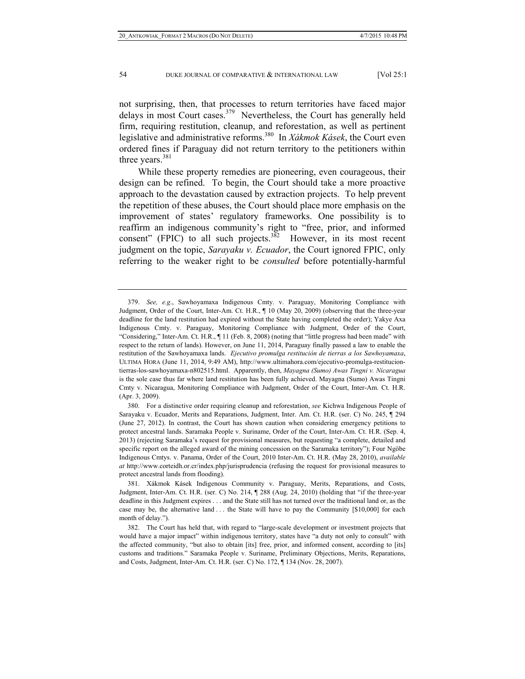not surprising, then, that processes to return territories have faced major delays in most Court cases.<sup>379</sup> Nevertheless, the Court has generally held firm, requiring restitution, cleanup, and reforestation, as well as pertinent legislative and administrative reforms.380 In *Xákmok Kásek*, the Court even ordered fines if Paraguay did not return territory to the petitioners within three years. $381$ 

While these property remedies are pioneering, even courageous, their design can be refined. To begin, the Court should take a more proactive approach to the devastation caused by extraction projects. To help prevent the repetition of these abuses, the Court should place more emphasis on the improvement of states' regulatory frameworks. One possibility is to reaffirm an indigenous community's right to "free, prior, and informed consent" (FPIC) to all such projects. $3\overline{82}$  However, in its most recent judgment on the topic, *Sarayaku v. Ecuador*, the Court ignored FPIC, only referring to the weaker right to be *consulted* before potentially-harmful

 <sup>379.</sup> *See, e.g*., Sawhoyamaxa Indigenous Cmty. v. Paraguay, Monitoring Compliance with Judgment, Order of the Court, Inter-Am. Ct. H.R.,  $\P$  10 (May 20, 2009) (observing that the three-year deadline for the land restitution had expired without the State having completed the order); Yakye Axa Indigenous Cmty. v. Paraguay, Monitoring Compliance with Judgment, Order of the Court, "Considering," Inter-Am. Ct. H.R., ¶ 11 (Feb. 8, 2008) (noting that "little progress had been made" with respect to the return of lands). However, on June 11, 2014, Paraguay finally passed a law to enable the restitution of the Sawhoyamaxa lands. *Ejecutivo promulga restitución de tierras a los Sawhoyamaxa*, ULTIMA HORA (June 11, 2014, 9:49 AM), http://www.ultimahora.com/ejecutivo-promulga-restituciontierras-los-sawhoyamaxa-n802515.html. Apparently, then, *Mayagna (Sumo) Awas Tingni v. Nicaragua*  is the sole case thus far where land restitution has been fully achieved. Mayagna (Sumo) Awas Tingni Cmty v. Nicaragua, Monitoring Compliance with Judgment, Order of the Court, Inter-Am. Ct. H.R. (Apr. 3, 2009).

 <sup>380.</sup> For a distinctive order requiring cleanup and reforestation, *see* Kichwa Indigenous People of Sarayaku v. Ecuador, Merits and Reparations, Judgment, Inter. Am. Ct. H.R. (ser. C) No. 245, ¶ 294 (June 27, 2012). In contrast, the Court has shown caution when considering emergency petitions to protect ancestral lands. Saramaka People v. Suriname, Order of the Court, Inter-Am. Ct. H.R. (Sep. 4, 2013) (rejecting Saramaka's request for provisional measures, but requesting "a complete, detailed and specific report on the alleged award of the mining concession on the Saramaka territory"); Four Ngöbe Indigenous Cmtys. v. Panama, Order of the Court, 2010 Inter-Am. Ct. H.R. (May 28, 2010), *available at* http://www.corteidh.or.cr/index.php/jurisprudencia (refusing the request for provisional measures to protect ancestral lands from flooding).

 <sup>381.</sup> Xákmok Kásek Indigenous Community v. Paraguay, Merits, Reparations, and Costs, Judgment, Inter-Am. Ct. H.R. (ser. C) No. 214, ¶ 288 (Aug. 24, 2010) (holding that "if the three-year deadline in this Judgment expires . . . and the State still has not turned over the traditional land or, as the case may be, the alternative land  $\dots$  the State will have to pay the Community [\$10,000] for each month of delay.").

 <sup>382.</sup> The Court has held that, with regard to "large-scale development or investment projects that would have a major impact" within indigenous territory, states have "a duty not only to consult" with the affected community, "but also to obtain [its] free, prior, and informed consent, according to [its] customs and traditions." Saramaka People v. Suriname, Preliminary Objections, Merits, Reparations, and Costs, Judgment, Inter-Am. Ct. H.R. (ser. C) No. 172, ¶ 134 (Nov. 28, 2007).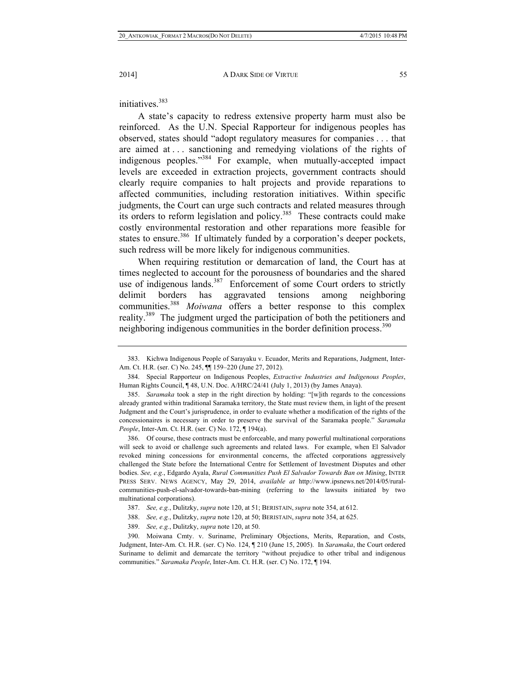initiatives.<sup>383</sup>

A state's capacity to redress extensive property harm must also be reinforced. As the U.N. Special Rapporteur for indigenous peoples has observed, states should "adopt regulatory measures for companies . . . that are aimed at . . . sanctioning and remedying violations of the rights of indigenous peoples."384 For example, when mutually-accepted impact levels are exceeded in extraction projects, government contracts should clearly require companies to halt projects and provide reparations to affected communities, including restoration initiatives. Within specific judgments, the Court can urge such contracts and related measures through its orders to reform legislation and policy.<sup>385</sup> These contracts could make costly environmental restoration and other reparations more feasible for states to ensure.<sup>386</sup> If ultimately funded by a corporation's deeper pockets, such redress will be more likely for indigenous communities.

When requiring restitution or demarcation of land, the Court has at times neglected to account for the porousness of boundaries and the shared use of indigenous lands. $387$  Enforcement of some Court orders to strictly delimit borders has aggravated tensions among neighboring communities.<sup>388</sup> *Moiwana* offers a better response to this complex reality.389 The judgment urged the participation of both the petitioners and neighboring indigenous communities in the border definition process.<sup>390</sup>

 386. Of course, these contracts must be enforceable, and many powerful multinational corporations will seek to avoid or challenge such agreements and related laws. For example, when El Salvador revoked mining concessions for environmental concerns, the affected corporations aggressively challenged the State before the International Centre for Settlement of Investment Disputes and other bodies. *See, e.g.*, Edgardo Ayala, *Rural Communities Push El Salvador Towards Ban on Mining*, INTER PRESS SERV. NEWS AGENCY, May 29, 2014, *available at* http://www.ipsnews.net/2014/05/ruralcommunities-push-el-salvador-towards-ban-mining (referring to the lawsuits initiated by two multinational corporations).

- 388. *See, e.g.*, Dulitzky, *supra* note 120, at 50; BERISTAIN, *supra* note 354, at 625.
- 389. *See, e.g.*, Dulitzky, *supra* note 120, at 50.

 390. Moiwana Cmty. v. Suriname, Preliminary Objections, Merits, Reparation, and Costs, Judgment, Inter-Am. Ct. H.R. (ser. C) No. 124, ¶ 210 (June 15, 2005). In *Saramaka*, the Court ordered Suriname to delimit and demarcate the territory "without prejudice to other tribal and indigenous communities." *Saramaka People*, Inter-Am. Ct. H.R. (ser. C) No. 172, ¶ 194.

 <sup>383.</sup> Kichwa Indigenous People of Sarayaku v. Ecuador, Merits and Reparations, Judgment, Inter-Am. Ct. H.R. (ser. C) No. 245, ¶¶ 159–220 (June 27, 2012).

 <sup>384.</sup> Special Rapporteur on Indigenous Peoples, *Extractive Industries and Indigenous Peoples*, Human Rights Council, ¶ 48, U.N. Doc. A/HRC/24/41 (July 1, 2013) (by James Anaya).

 <sup>385.</sup> *Saramaka* took a step in the right direction by holding: "[w]ith regards to the concessions already granted within traditional Saramaka territory, the State must review them, in light of the present Judgment and the Court's jurisprudence, in order to evaluate whether a modification of the rights of the concessionaires is necessary in order to preserve the survival of the Saramaka people." *Saramaka People*, Inter-Am. Ct. H.R. (ser. C) No. 172, ¶ 194(a).

 <sup>387.</sup> *See, e.g.*, Dulitzky, *supra* note 120, at 51; BERISTAIN, *supra* note 354, at 612.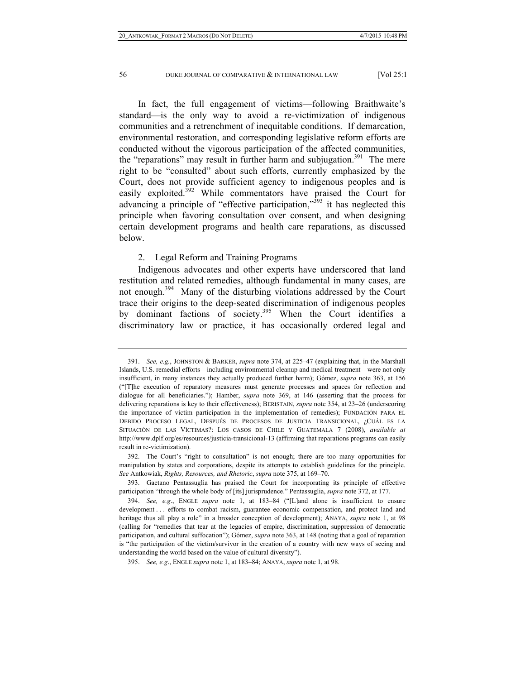In fact, the full engagement of victims—following Braithwaite's standard—is the only way to avoid a re-victimization of indigenous communities and a retrenchment of inequitable conditions. If demarcation, environmental restoration, and corresponding legislative reform efforts are conducted without the vigorous participation of the affected communities, the "reparations" may result in further harm and subjugation. $391$  The mere right to be "consulted" about such efforts, currently emphasized by the Court, does not provide sufficient agency to indigenous peoples and is easily exploited.<sup>392</sup> While commentators have praised the Court for advancing a principle of "effective participation," $393$  it has neglected this principle when favoring consultation over consent, and when designing certain development programs and health care reparations, as discussed below.

#### 2. Legal Reform and Training Programs

Indigenous advocates and other experts have underscored that land restitution and related remedies, although fundamental in many cases, are not enough.<sup>394</sup> Many of the disturbing violations addressed by the Court trace their origins to the deep-seated discrimination of indigenous peoples by dominant factions of society.<sup>395</sup> When the Court identifies a discriminatory law or practice, it has occasionally ordered legal and

 <sup>391.</sup> *See, e.g.*, JOHNSTON & BARKER, *supra* note 374, at 225–47 (explaining that, in the Marshall Islands, U.S. remedial efforts—including environmental cleanup and medical treatment—were not only insufficient, in many instances they actually produced further harm); Gómez, *supra* note 363, at 156 ("[T]he execution of reparatory measures must generate processes and spaces for reflection and dialogue for all beneficiaries."); Hamber, *supra* note 369, at 146 (asserting that the process for delivering reparations is key to their effectiveness); BERISTAIN, *supra* note 354, at 23–26 (underscoring the importance of victim participation in the implementation of remedies); FUNDACIÓN PARA EL DEBIDO PROCESO LEGAL, DESPUÉS DE PROCESOS DE JUSTICIA TRANSICIONAL, ¿CUÁL ES LA SITUACIÓN DE LAS VÍCTIMAS?: LOS CASOS DE CHILE Y GUATEMALA 7 (2008), *available at* http://www.dplf.org/es/resources/justicia-transicional-13 (affirming that reparations programs can easily result in re-victimization).

 <sup>392.</sup> The Court's "right to consultation" is not enough; there are too many opportunities for manipulation by states and corporations, despite its attempts to establish guidelines for the principle. *See* Antkowiak, *Rights, Resources, and Rhetoric*, *supra* note 375, at 169–70.

 <sup>393.</sup> Gaetano Pentassuglia has praised the Court for incorporating its principle of effective participation "through the whole body of [its] jurisprudence." Pentassuglia, *supra* note 372, at 177.

 <sup>394.</sup> *See, e.g*., ENGLE *supra* note 1, at 183–84 ("[L]and alone is insufficient to ensure development . . . efforts to combat racism, guarantee economic compensation, and protect land and heritage thus all play a role" in a broader conception of development); ANAYA, *supra* note 1, at 98 (calling for "remedies that tear at the legacies of empire, discrimination, suppression of democratic participation, and cultural suffocation"); Gómez, *supra* note 363, at 148 (noting that a goal of reparation is "the participation of the victim/survivor in the creation of a country with new ways of seeing and understanding the world based on the value of cultural diversity").

 <sup>395.</sup> *See, e.g*., ENGLE *supra* note 1, at 183–84; ANAYA, *supra* note 1, at 98.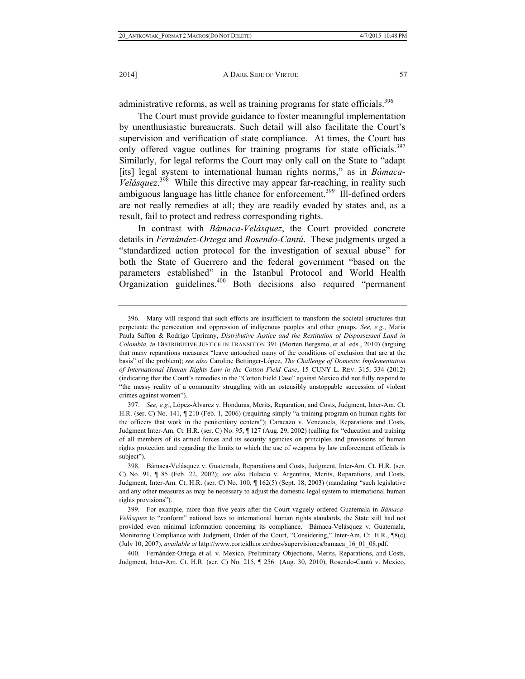administrative reforms, as well as training programs for state officials.<sup>396</sup>

The Court must provide guidance to foster meaningful implementation by unenthusiastic bureaucrats. Such detail will also facilitate the Court's supervision and verification of state compliance. At times, the Court has only offered vague outlines for training programs for state officials.<sup>397</sup> Similarly, for legal reforms the Court may only call on the State to "adapt [its] legal system to international human rights norms," as in *Bámaca*-*Velásquez*. 398 While this directive may appear far-reaching, in reality such ambiguous language has little chance for enforcement.<sup>399</sup> Ill-defined orders are not really remedies at all; they are readily evaded by states and, as a result, fail to protect and redress corresponding rights.

In contrast with *Bámaca-Velásquez*, the Court provided concrete details in *Fernández-Ortega* and *Rosendo-Cantú*. These judgments urged a "standardized action protocol for the investigation of sexual abuse" for both the State of Guerrero and the federal government "based on the parameters established" in the Istanbul Protocol and World Health Organization guidelines.400 Both decisions also required "permanent

 400. Fernández-Ortega et al. v. Mexico, Preliminary Objections, Merits, Reparations, and Costs, Judgment, Inter-Am. Ct. H.R. (ser. C) No. 215, ¶ 256 (Aug. 30, 2010); Rosendo-Cantú v. Mexico,

 <sup>396.</sup> Many will respond that such efforts are insufficient to transform the societal structures that perpetuate the persecution and oppression of indigenous peoples and other groups. *See, e.g*., Maria Paula Saffon & Rodrigo Uprimny, *Distributive Justice and the Restitution of Dispossessed Land in Colombia, in* DISTRIBUTIVE JUSTICE IN TRANSITION 391 (Morten Bergsmo, et al. eds., 2010) (arguing that many reparations measures "leave untouched many of the conditions of exclusion that are at the basis" of the problem); *see also* Caroline Bettinger-López, *The Challenge of Domestic Implementation of International Human Rights Law in the Cotton Field Case*, 15 CUNY L. REV. 315, 334 (2012) (indicating that the Court's remedies in the "Cotton Field Case" against Mexico did not fully respond to "the messy reality of a community struggling with an ostensibly unstoppable succession of violent crimes against women").

 <sup>397.</sup> *See, e.g.*, López-Álvarez v. Honduras, Merits, Reparation, and Costs, Judgment, Inter-Am. Ct. H.R. (ser. C) No. 141, ¶ 210 (Feb. 1, 2006) (requiring simply "a training program on human rights for the officers that work in the penitentiary centers"); Caracazo v. Venezuela, Reparations and Costs, Judgment Inter-Am. Ct. H.R. (ser. C) No. 95, ¶ 127 (Aug. 29, 2002) (calling for "education and training of all members of its armed forces and its security agencies on principles and provisions of human rights protection and regarding the limits to which the use of weapons by law enforcement officials is subject").

 <sup>398.</sup> Bámaca-Velásquez v. Guatemala, Reparations and Costs, Judgment, Inter-Am. Ct. H.R. (ser. C) No. 91, ¶ 85 (Feb. 22, 2002); *see also* Bulacio v. Argentina, Merits, Reparations, and Costs, Judgment, Inter-Am. Ct. H.R. (ser. C) No. 100, ¶ 162(5) (Sept. 18, 2003) (mandating "such legislative and any other measures as may be necessary to adjust the domestic legal system to international human rights provisions").

 <sup>399.</sup> For example, more than five years after the Court vaguely ordered Guatemala in *Bámaca-Velásquez* to "conform" national laws to international human rights standards, the State still had not provided even minimal information concerning its compliance. Bámaca-Velásquez v. Guatemala, Monitoring Compliance with Judgment, Order of the Court, "Considering," Inter-Am. Ct. H.R., ¶8(c) (July 10, 2007), *available at* http://www.corteidh.or.cr/docs/supervisiones/bamaca\_16\_01\_08.pdf.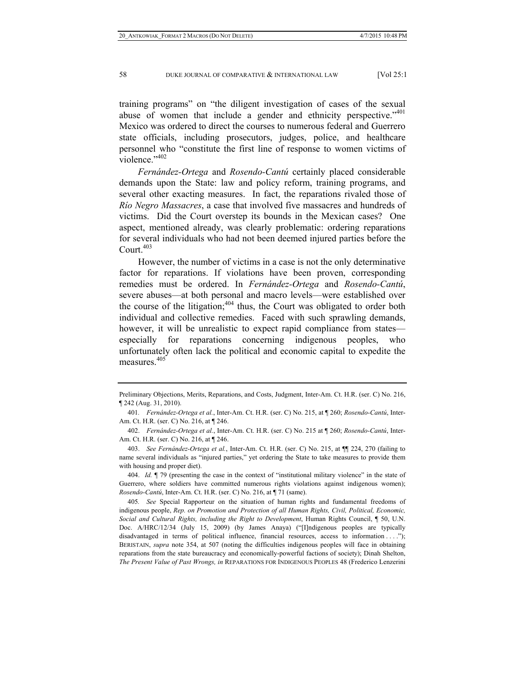training programs" on "the diligent investigation of cases of the sexual abuse of women that include a gender and ethnicity perspective."<sup>401</sup> Mexico was ordered to direct the courses to numerous federal and Guerrero state officials, including prosecutors, judges, police, and healthcare personnel who "constitute the first line of response to women victims of violence."<sup>402</sup>

*Fernández-Ortega* and *Rosendo-Cantú* certainly placed considerable demands upon the State: law and policy reform, training programs, and several other exacting measures. In fact, the reparations rivaled those of *Río Negro Massacres*, a case that involved five massacres and hundreds of victims. Did the Court overstep its bounds in the Mexican cases? One aspect, mentioned already, was clearly problematic: ordering reparations for several individuals who had not been deemed injured parties before the Court. $403$ 

However, the number of victims in a case is not the only determinative factor for reparations. If violations have been proven, corresponding remedies must be ordered. In *Fernández-Ortega* and *Rosendo-Cantú*, severe abuses—at both personal and macro levels—were established over the course of the litigation; $404$  thus, the Court was obligated to order both individual and collective remedies. Faced with such sprawling demands, however, it will be unrealistic to expect rapid compliance from states especially for reparations concerning indigenous peoples, who unfortunately often lack the political and economic capital to expedite the measures.<sup>405</sup>

Preliminary Objections, Merits, Reparations, and Costs, Judgment, Inter-Am. Ct. H.R. (ser. C) No. 216, ¶ 242 (Aug. 31, 2010).

<sup>401</sup>*. Fernández-Ortega et al.*, Inter-Am. Ct. H.R. (ser. C) No. 215, at ¶ 260; *Rosendo-Cantú*, Inter-Am. Ct. H.R. (ser. C) No. 216, at ¶ 246.

 <sup>402.</sup> *Fernández-Ortega et al.*, Inter-Am. Ct. H.R. (ser. C) No. 215 at ¶ 260; *Rosendo-Cantú*, Inter-Am. Ct. H.R. (ser. C) No. 216, at ¶ 246.

 <sup>403.</sup> *See Fernández-Ortega et al.*, Inter-Am. Ct. H.R. (ser. C) No. 215, at ¶¶ 224, 270 (failing to name several individuals as "injured parties," yet ordering the State to take measures to provide them with housing and proper diet).

 <sup>404.</sup> *Id.* ¶ 79 (presenting the case in the context of "institutional military violence" in the state of Guerrero, where soldiers have committed numerous rights violations against indigenous women); *Rosendo-Cantú*, Inter-Am. Ct. H.R. (ser. C) No. 216, at ¶ 71 (same).

<sup>405</sup>*. See* Special Rapporteur on the situation of human rights and fundamental freedoms of indigenous people, *Rep. on Promotion and Protection of all Human Rights, Civil, Political, Economic, Social and Cultural Rights, including the Right to Development*, Human Rights Council, ¶ 50, U.N. Doc. A/HRC/12/34 (July 15, 2009) (by James Anaya) ("[I]ndigenous peoples are typically disadvantaged in terms of political influence, financial resources, access to information . . . ."); BERISTAIN, *supra* note 354, at 507 (noting the difficulties indigenous peoples will face in obtaining reparations from the state bureaucracy and economically-powerful factions of society); Dinah Shelton, *The Present Value of Past Wrongs, in* REPARATIONS FOR INDIGENOUS PEOPLES 48 (Frederico Lenzerini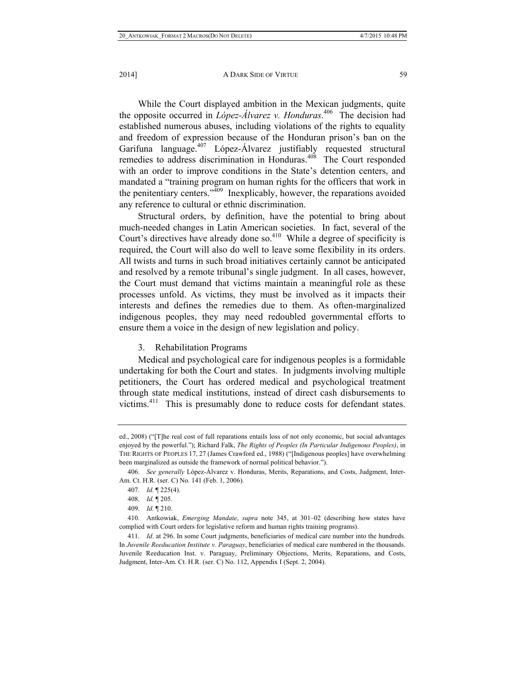While the Court displayed ambition in the Mexican judgments, quite the opposite occurred in *López-Álvarez v. Honduras*. 406 The decision had established numerous abuses, including violations of the rights to equality and freedom of expression because of the Honduran prison's ban on the Garifuna language.<sup>407</sup> López-Álvarez justifiably requested structural remedies to address discrimination in Honduras.<sup>408</sup> The Court responded with an order to improve conditions in the State's detention centers, and mandated a "training program on human rights for the officers that work in the penitentiary centers."<sup>409</sup> Inexplicably, however, the reparations avoided any reference to cultural or ethnic discrimination.

Structural orders, by definition, have the potential to bring about much-needed changes in Latin American societies. In fact, several of the Court's directives have already done so.<sup>410</sup> While a degree of specificity is required, the Court will also do well to leave some flexibility in its orders. All twists and turns in such broad initiatives certainly cannot be anticipated and resolved by a remote tribunal's single judgment. In all cases, however, the Court must demand that victims maintain a meaningful role as these processes unfold. As victims, they must be involved as it impacts their interests and defines the remedies due to them. As often-marginalized indigenous peoples, they may need redoubled governmental efforts to ensure them a voice in the design of new legislation and policy.

### 3. Rehabilitation Programs

Medical and psychological care for indigenous peoples is a formidable undertaking for both the Court and states. In judgments involving multiple petitioners, the Court has ordered medical and psychological treatment through state medical institutions, instead of direct cash disbursements to victims.411 This is presumably done to reduce costs for defendant states.

ed., 2008) ("[T]he real cost of full reparations entails loss of not only economic, but social advantages enjoyed by the powerful."); Richard Falk, *The Rights of Peoples (In Particular Indigenous Peoples)*, in THE RIGHTS OF PEOPLES 17, 27 (James Crawford ed., 1988) ("[Indigenous peoples] have overwhelming been marginalized as outside the framework of normal political behavior.").

 <sup>406.</sup> *See generally* López-Álvarez v. Honduras, Merits, Reparations, and Costs, Judgment, Inter-Am. Ct. H.R. (ser. C) No. 141 (Feb. 1, 2006).

 <sup>407.</sup> *Id.* ¶ 225(4).

 <sup>408.</sup> *Id.* ¶ 205.

 <sup>409.</sup> *Id.* ¶ 210.

 <sup>410.</sup> Antkowiak, *Emerging Mandate*, *supra* note 345, at 301–02 (describing how states have complied with Court orders for legislative reform and human rights training programs).

 <sup>411.</sup> *Id*. at 296. In some Court judgments, beneficiaries of medical care number into the hundreds. In *Juvenile Reeducation Institute v. Paraguay*, beneficiaries of medical care numbered in the thousands. Juvenile Reeducation Inst. v. Paraguay, Preliminary Objections, Merits, Reparations, and Costs, Judgment, Inter-Am. Ct. H.R. (ser. C) No. 112, Appendix I (Sept. 2, 2004).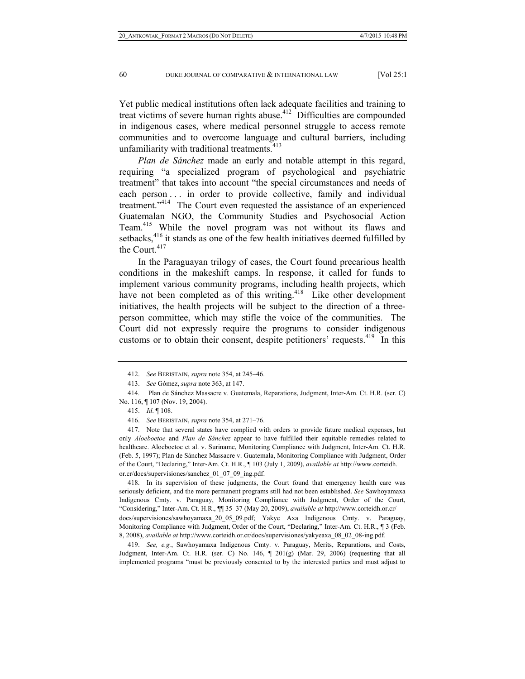Yet public medical institutions often lack adequate facilities and training to treat victims of severe human rights abuse.<sup>412</sup> Difficulties are compounded in indigenous cases, where medical personnel struggle to access remote communities and to overcome language and cultural barriers, including unfamiliarity with traditional treatments.<sup>413</sup>

*Plan de Sánchez* made an early and notable attempt in this regard, requiring "a specialized program of psychological and psychiatric treatment" that takes into account "the special circumstances and needs of each person . . . in order to provide collective, family and individual treatment."414 The Court even requested the assistance of an experienced Guatemalan NGO, the Community Studies and Psychosocial Action Team.415 While the novel program was not without its flaws and setbacks,<sup>416</sup> it stands as one of the few health initiatives deemed fulfilled by the Court. $417$ 

In the Paraguayan trilogy of cases, the Court found precarious health conditions in the makeshift camps. In response, it called for funds to implement various community programs, including health projects, which have not been completed as of this writing.<sup>418</sup> Like other development initiatives, the health projects will be subject to the direction of a threeperson committee, which may stifle the voice of the communities. The Court did not expressly require the programs to consider indigenous customs or to obtain their consent, despite petitioners' requests.<sup>419</sup> In this

 417. Note that several states have complied with orders to provide future medical expenses, but only *Aloeboetoe* and *Plan de Sánchez* appear to have fulfilled their equitable remedies related to healthcare. Aloeboetoe et al. v. Suriname, Monitoring Compliance with Judgment, Inter-Am. Ct. H.R. (Feb. 5, 1997); Plan de Sánchez Massacre v. Guatemala, Monitoring Compliance with Judgment, Order of the Court, "Declaring," Inter-Am. Ct. H.R., ¶ 103 (July 1, 2009), *available at* http://www.corteidh. or.cr/docs/supervisiones/sanchez\_01\_07\_09\_ing.pdf.

 418. In its supervision of these judgments, the Court found that emergency health care was seriously deficient, and the more permanent programs still had not been established. *See* Sawhoyamaxa Indigenous Cmty. v. Paraguay, Monitoring Compliance with Judgment, Order of the Court, "Considering," Inter-Am. Ct. H.R., ¶¶ 35–37 (May 20, 2009), *available at* http://www.corteidh.or.cr/ docs/supervisiones/sawhoyamaxa\_20\_05\_09.pdf; Yakye Axa Indigenous Cmty. v. Paraguay, Monitoring Compliance with Judgment, Order of the Court, "Declaring," Inter-Am. Ct. H.R., ¶ 3 (Feb. 8, 2008), *available at* http://www.corteidh.or.cr/docs/supervisiones/yakyeaxa\_08\_02\_08-ing.pdf.

 419. *See, e.g.*, Sawhoyamaxa Indigenous Cmty. v. Paraguay, Merits, Reparations, and Costs, Judgment, Inter-Am. Ct. H.R. (ser. C) No. 146, ¶ 201(g) (Mar. 29, 2006) (requesting that all implemented programs "must be previously consented to by the interested parties and must adjust to

 <sup>412.</sup> *See* BERISTAIN, *supra* note 354, at 245–46.

 <sup>413.</sup> *See* Gómez, *supra* note 363, at 147.

 <sup>414.</sup> Plan de Sánchez Massacre v. Guatemala, Reparations, Judgment, Inter-Am. Ct. H.R. (ser. C) No. 116, ¶ 107 (Nov. 19, 2004).

 <sup>415.</sup> *Id*. ¶ 108.

 <sup>416.</sup> *See* BERISTAIN, *supra* note 354, at 271–76.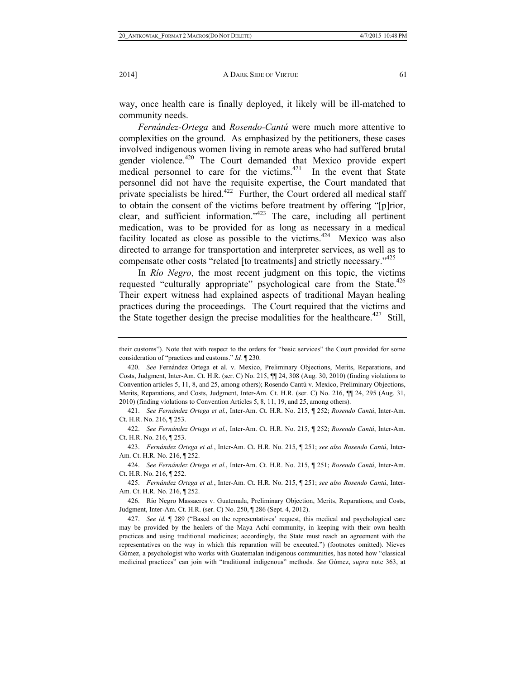way, once health care is finally deployed, it likely will be ill-matched to community needs.

*Fernández-Ortega* and *Rosendo-Cantú* were much more attentive to complexities on the ground. As emphasized by the petitioners, these cases involved indigenous women living in remote areas who had suffered brutal gender violence.<sup>420</sup> The Court demanded that Mexico provide expert medical personnel to care for the victims. $421$  In the event that State personnel did not have the requisite expertise, the Court mandated that private specialists be hired.<sup>422</sup> Further, the Court ordered all medical staff to obtain the consent of the victims before treatment by offering "[p]rior, clear, and sufficient information."423 The care, including all pertinent medication, was to be provided for as long as necessary in a medical facility located as close as possible to the victims.<sup>424</sup> Mexico was also directed to arrange for transportation and interpreter services, as well as to compensate other costs "related [to treatments] and strictly necessary."425

In *Río Negro*, the most recent judgment on this topic, the victims requested "culturally appropriate" psychological care from the State.<sup>426</sup> Their expert witness had explained aspects of traditional Mayan healing practices during the proceedings. The Court required that the victims and the State together design the precise modalities for the healthcare. $427$  Still,

 421. *See Fernández Ortega et al.*, Inter-Am. Ct. H.R. No. 215, ¶ 252; *Rosendo Cantú*, Inter-Am. Ct. H.R. No. 216, ¶ 253.

 422. *See Fernández Ortega et al.*, Inter-Am. Ct. H.R. No. 215, ¶ 252; *Rosendo Cantú*, Inter-Am. Ct. H.R. No. 216, ¶ 253.

 423. *Fernández Ortega et al.*, Inter-Am. Ct. H.R. No. 215, ¶ 251; *see also Rosendo Cantú*, Inter-Am. Ct. H.R. No. 216, ¶ 252.

 424. *See Fernández Ortega et al.*, Inter-Am. Ct. H.R. No. 215, ¶ 251; *Rosendo Cantú*, Inter-Am. Ct. H.R. No. 216, ¶ 252.

 425. *Fernández Ortega et al.*, Inter-Am. Ct. H.R. No. 215, ¶ 251; *see also Rosendo Cantú*, Inter-Am. Ct. H.R. No. 216, ¶ 252.

 426. Río Negro Massacres v. Guatemala, Preliminary Objection, Merits, Reparations, and Costs, Judgment, Inter-Am. Ct. H.R. (ser. C) No. 250, ¶ 286 (Sept. 4, 2012).

 427. *See id.* ¶ 289 ("Based on the representatives' request, this medical and psychological care may be provided by the healers of the Maya Achí community, in keeping with their own health practices and using traditional medicines; accordingly, the State must reach an agreement with the representatives on the way in which this reparation will be executed.") (footnotes omitted). Nieves Gómez, a psychologist who works with Guatemalan indigenous communities, has noted how "classical medicinal practices" can join with "traditional indigenous" methods. *See* Gómez, *supra* note 363, at

their customs"). Note that with respect to the orders for "basic services" the Court provided for some consideration of "practices and customs." *Id.* ¶ 230.

 <sup>420.</sup> *See* Fernández Ortega et al. v. Mexico, Preliminary Objections, Merits, Reparations, and Costs, Judgment, Inter-Am. Ct. H.R. (ser. C) No. 215, ¶¶ 24, 308 (Aug. 30, 2010) (finding violations to Convention articles 5, 11, 8, and 25, among others); Rosendo Cantú v. Mexico, Preliminary Objections, Merits, Reparations, and Costs, Judgment, Inter-Am. Ct. H.R. (ser. C) No. 216,  $\P$  24, 295 (Aug. 31, 2010) (finding violations to Convention Articles 5, 8, 11, 19, and 25, among others).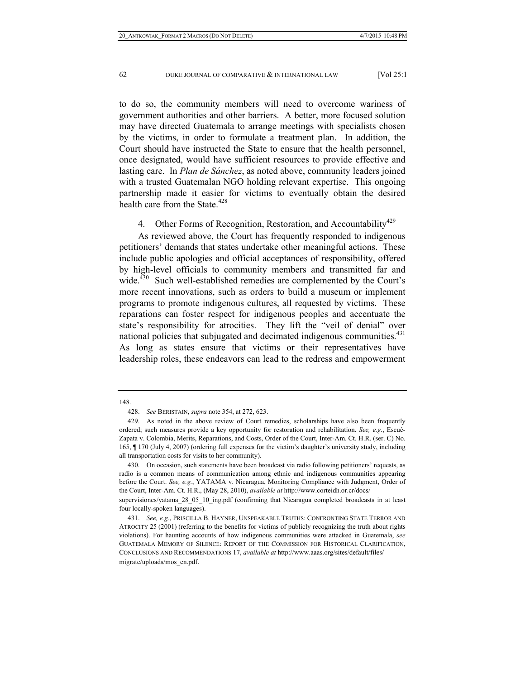to do so, the community members will need to overcome wariness of government authorities and other barriers. A better, more focused solution may have directed Guatemala to arrange meetings with specialists chosen by the victims, in order to formulate a treatment plan. In addition, the Court should have instructed the State to ensure that the health personnel, once designated, would have sufficient resources to provide effective and lasting care. In *Plan de Sánchez*, as noted above, community leaders joined with a trusted Guatemalan NGO holding relevant expertise. This ongoing partnership made it easier for victims to eventually obtain the desired health care from the State.<sup>428</sup>

4. Other Forms of Recognition, Restoration, and Accountability<sup>429</sup>

As reviewed above, the Court has frequently responded to indigenous petitioners' demands that states undertake other meaningful actions. These include public apologies and official acceptances of responsibility, offered by high-level officials to community members and transmitted far and wide.<sup>430</sup> Such well-established remedies are complemented by the Court's more recent innovations, such as orders to build a museum or implement programs to promote indigenous cultures, all requested by victims. These reparations can foster respect for indigenous peoples and accentuate the state's responsibility for atrocities. They lift the "veil of denial" over national policies that subjugated and decimated indigenous communities.<sup>431</sup> As long as states ensure that victims or their representatives have leadership roles, these endeavors can lead to the redress and empowerment

<sup>148.</sup> 

 <sup>428.</sup> *See* BERISTAIN, *supra* note 354, at 272, 623.

 <sup>429.</sup> As noted in the above review of Court remedies, scholarships have also been frequently ordered; such measures provide a key opportunity for restoration and rehabilitation. *See, e.g.*, Escué-Zapata v. Colombia, Merits, Reparations, and Costs, Order of the Court, Inter-Am. Ct. H.R. (ser. C) No. 165, ¶ 170 (July 4, 2007) (ordering full expenses for the victim's daughter's university study, including all transportation costs for visits to her community).

 <sup>430.</sup> On occasion, such statements have been broadcast via radio following petitioners' requests, as radio is a common means of communication among ethnic and indigenous communities appearing before the Court. *See, e.g.*, YATAMA v. Nicaragua, Monitoring Compliance with Judgment, Order of the Court, Inter-Am. Ct. H.R., (May 28, 2010), *available at* http://www.corteidh.or.cr/docs/

supervisiones/yatama 28 05 10 ing.pdf (confirming that Nicaragua completed broadcasts in at least four locally-spoken languages).

 <sup>431.</sup> *See, e.g.*, PRISCILLA B. HAYNER, UNSPEAKABLE TRUTHS: CONFRONTING STATE TERROR AND ATROCITY 25 (2001) (referring to the benefits for victims of publicly recognizing the truth about rights violations). For haunting accounts of how indigenous communities were attacked in Guatemala, *see* GUATEMALA MEMORY OF SILENCE: REPORT OF THE COMMISSION FOR HISTORICAL CLARIFICATION, CONCLUSIONS AND RECOMMENDATIONS 17, *available at* http://www.aaas.org/sites/default/files/ migrate/uploads/mos\_en.pdf.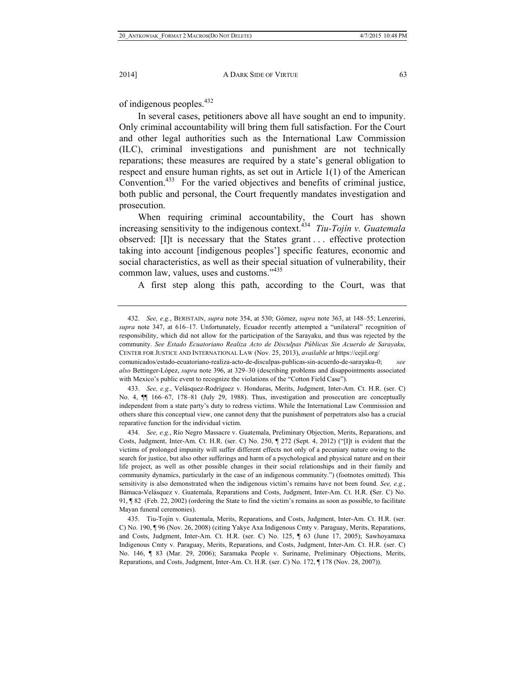of indigenous peoples.<sup>432</sup>

In several cases, petitioners above all have sought an end to impunity. Only criminal accountability will bring them full satisfaction. For the Court and other legal authorities such as the International Law Commission (ILC), criminal investigations and punishment are not technically reparations; these measures are required by a state's general obligation to respect and ensure human rights, as set out in Article 1(1) of the American Convention.<sup>433</sup> For the varied objectives and benefits of criminal justice, both public and personal, the Court frequently mandates investigation and prosecution.

When requiring criminal accountability, the Court has shown increasing sensitivity to the indigenous context.<sup>434</sup> *Tiu-Tojín v. Guatemala* observed: [I]t is necessary that the States grant . . . effective protection taking into account [indigenous peoples'] specific features, economic and social characteristics, as well as their special situation of vulnerability, their common law, values, uses and customs."<sup>435</sup>

A first step along this path, according to the Court, was that

 <sup>432.</sup> *See, e.g.*, BERISTAIN, *supra* note 354, at 530; Gómez, *supra* note 363, at 148–55; Lenzerini, *supra* note 347, at 616–17. Unfortunately, Ecuador recently attempted a "unilateral" recognition of responsibility, which did not allow for the participation of the Sarayaku, and thus was rejected by the community. *See Estado Ecuatoriano Realiza Acto de Disculpas Públicas Sin Acuerdo de Sarayaku*, CENTER FOR JUSTICE AND INTERNATIONAL LAW (Nov. 25, 2013), *available at* https://cejil.org/

comunicados/estado-ecuatoriano-realiza-acto-de-disculpas-publicas-sin-acuerdo-de-sarayaku-0; *see also* Bettinger-López, *supra* note 396, at 329–30 (describing problems and disappointments associated with Mexico's public event to recognize the violations of the "Cotton Field Case").

 <sup>433.</sup> *See, e.g.*, Velásquez-Rodríguez v. Honduras, Merits, Judgment, Inter-Am. Ct. H.R. (ser. C) No. 4,  $\P$  166–67, 178–81 (July 29, 1988). Thus, investigation and prosecution are conceptually independent from a state party's duty to redress victims. While the International Law Commission and others share this conceptual view, one cannot deny that the punishment of perpetrators also has a crucial reparative function for the individual victim.

 <sup>434.</sup> *See, e.g.*, Río Negro Massacre v. Guatemala, Preliminary Objection, Merits, Reparations, and Costs, Judgment, Inter-Am. Ct. H.R. (ser. C) No. 250, ¶ 272 (Sept. 4, 2012) ("[I]t is evident that the victims of prolonged impunity will suffer different effects not only of a pecuniary nature owing to the search for justice, but also other sufferings and harm of a psychological and physical nature and on their life project, as well as other possible changes in their social relationships and in their family and community dynamics, particularly in the case of an indigenous community.") (footnotes omitted). This sensitivity is also demonstrated when the indigenous victim's remains have not been found. *See, e.g.*, Bámaca-Velásquez v. Guatemala, Reparations and Costs, Judgment, Inter-Am. Ct. H.R. **(**Ser. C) No. 91, ¶ 82 (Feb. 22, 2002) (ordering the State to find the victim's remains as soon as possible, to facilitate Mayan funeral ceremonies).

 <sup>435.</sup> Tiu-Tojín v. Guatemala, Merits, Reparations, and Costs, Judgment, Inter-Am. Ct. H.R. (ser. C) No. 190, ¶ 96 (Nov. 26, 2008) (citing Yakye Axa Indigenous Cmty v. Paraguay, Merits, Reparations, and Costs, Judgment, Inter-Am. Ct. H.R. (ser. C) No. 125, ¶ 63 (June 17, 2005); Sawhoyamaxa Indigenous Cmty v. Paraguay, Merits, Reparations, and Costs, Judgment, Inter-Am. Ct. H.R. (ser. C) No. 146, ¶ 83 (Mar. 29, 2006); Saramaka People v. Suriname, Preliminary Objections, Merits, Reparations, and Costs, Judgment, Inter-Am. Ct. H.R. (ser. C) No. 172, ¶ 178 (Nov. 28, 2007)).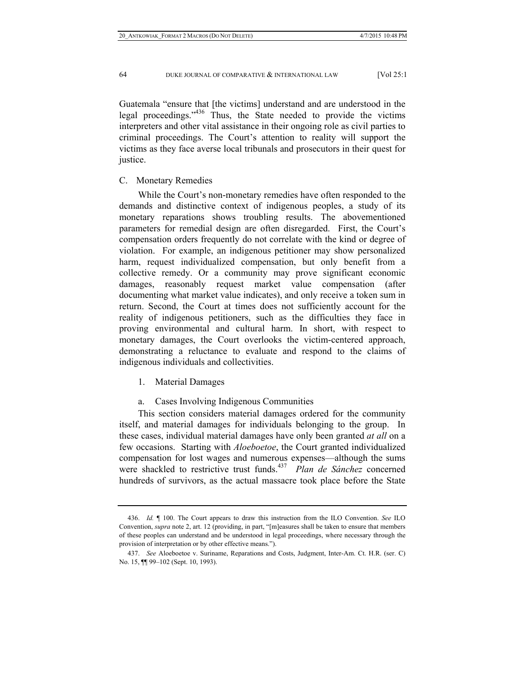Guatemala "ensure that [the victims] understand and are understood in the legal proceedings."436 Thus, the State needed to provide the victims interpreters and other vital assistance in their ongoing role as civil parties to criminal proceedings. The Court's attention to reality will support the victims as they face averse local tribunals and prosecutors in their quest for justice.

# C. Monetary Remedies

While the Court's non-monetary remedies have often responded to the demands and distinctive context of indigenous peoples, a study of its monetary reparations shows troubling results. The abovementioned parameters for remedial design are often disregarded. First, the Court's compensation orders frequently do not correlate with the kind or degree of violation. For example, an indigenous petitioner may show personalized harm, request individualized compensation, but only benefit from a collective remedy. Or a community may prove significant economic damages, reasonably request market value compensation (after documenting what market value indicates), and only receive a token sum in return. Second, the Court at times does not sufficiently account for the reality of indigenous petitioners, such as the difficulties they face in proving environmental and cultural harm. In short, with respect to monetary damages, the Court overlooks the victim-centered approach, demonstrating a reluctance to evaluate and respond to the claims of indigenous individuals and collectivities.

1. Material Damages

a. Cases Involving Indigenous Communities

This section considers material damages ordered for the community itself, and material damages for individuals belonging to the group. In these cases, individual material damages have only been granted *at all* on a few occasions. Starting with *Aloeboetoe*, the Court granted individualized compensation for lost wages and numerous expenses—although the sums were shackled to restrictive trust funds.<sup>437</sup> *Plan de Sánchez* concerned hundreds of survivors, as the actual massacre took place before the State

 <sup>436.</sup> *Id.* ¶ 100. The Court appears to draw this instruction from the ILO Convention. *See* ILO Convention, *supra* note 2, art. 12 (providing, in part, "[m]easures shall be taken to ensure that members of these peoples can understand and be understood in legal proceedings, where necessary through the provision of interpretation or by other effective means.").

 <sup>437.</sup> *See* Aloeboetoe v. Suriname, Reparations and Costs, Judgment, Inter-Am. Ct. H.R. (ser. C) No. 15,  $\P$  99–102 (Sept. 10, 1993).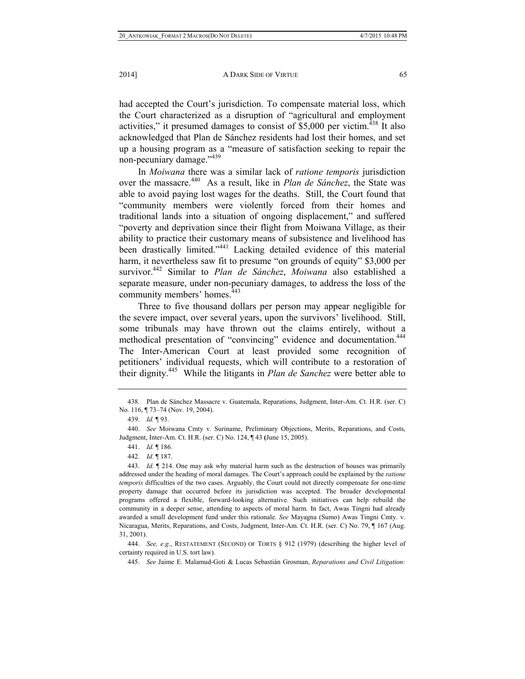had accepted the Court's jurisdiction. To compensate material loss, which the Court characterized as a disruption of "agricultural and employment activities," it presumed damages to consist of  $$5,000$  per victim.<sup>438</sup> It also acknowledged that Plan de Sánchez residents had lost their homes, and set up a housing program as a "measure of satisfaction seeking to repair the non-pecuniary damage."<sup>439</sup>

In *Moiwana* there was a similar lack of *ratione temporis* jurisdiction over the massacre.440 As a result, like in *Plan de Sánchez*, the State was able to avoid paying lost wages for the deaths. Still, the Court found that "community members were violently forced from their homes and traditional lands into a situation of ongoing displacement," and suffered "poverty and deprivation since their flight from Moiwana Village, as their ability to practice their customary means of subsistence and livelihood has been drastically limited."441 Lacking detailed evidence of this material harm, it nevertheless saw fit to presume "on grounds of equity" \$3,000 per survivor.442 Similar to *Plan de Sánchez*, *Moiwana* also established a separate measure, under non-pecuniary damages, to address the loss of the community members' homes.<sup>443</sup>

Three to five thousand dollars per person may appear negligible for the severe impact, over several years, upon the survivors' livelihood. Still, some tribunals may have thrown out the claims entirely, without a methodical presentation of "convincing" evidence and documentation.<sup>444</sup> The Inter-American Court at least provided some recognition of petitioners' individual requests, which will contribute to a restoration of their dignity.445 While the litigants in *Plan de Sanchez* were better able to

 444. *See, e.g.*, RESTATEMENT (SECOND) OF TORTS § 912 (1979) (describing the higher level of certainty required in U.S. tort law).

445. *See* Jaime E. Malamud-Goti & Lucas Sebastián Grosman, *Reparations and Civil Litigation:* 

 <sup>438.</sup> Plan de Sánchez Massacre v. Guatemala, Reparations, Judgment, Inter-Am. Ct. H.R. (ser. C) No. 116, ¶ 73–74 (Nov. 19, 2004).

 <sup>439.</sup> *Id.* ¶ 93.

 <sup>440.</sup> *See* Moiwana Cmty v. Suriname, Preliminary Objections, Merits, Reparations, and Costs, Judgment, Inter-Am. Ct. H.R. (ser. C) No. 124, ¶ 43 **(**June 15, 2005).

 <sup>441.</sup> *Id.* ¶ 186.

 <sup>442.</sup> *Id.* ¶ 187.

 <sup>443.</sup> *Id.* ¶ 214. One may ask why material harm such as the destruction of houses was primarily addressed under the heading of moral damages. The Court's approach could be explained by the *ratione temporis* difficulties of the two cases. Arguably, the Court could not directly compensate for one-time property damage that occurred before its jurisdiction was accepted. The broader developmental programs offered a flexible, forward-looking alternative. Such initiatives can help rebuild the community in a deeper sense, attending to aspects of moral harm. In fact, Awas Tingni had already awarded a small development fund under this rationale. *See* Mayagna (Sumo) Awas Tingni Cmty. v. Nicaragua, Merits, Reparations, and Costs, Judgment, Inter-Am. Ct. H.R. (ser. C) No. 79, ¶ 167 (Aug. 31, 2001).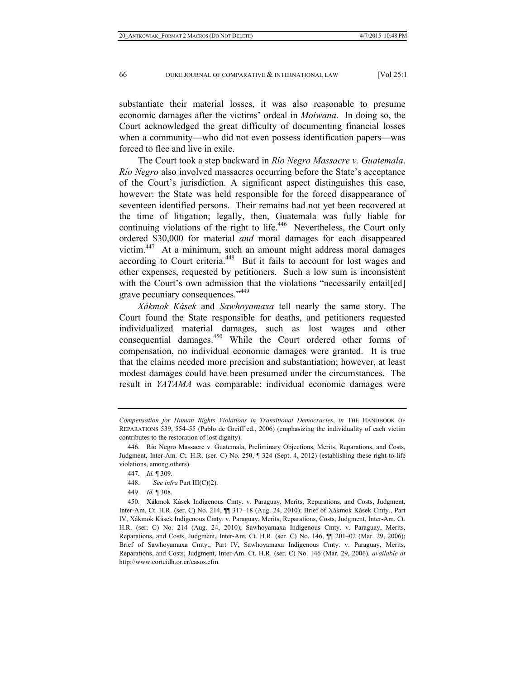substantiate their material losses, it was also reasonable to presume economic damages after the victims' ordeal in *Moiwana*. In doing so, the Court acknowledged the great difficulty of documenting financial losses when a community—who did not even possess identification papers—was forced to flee and live in exile.

The Court took a step backward in *Río Negro Massacre v. Guatemala*. *Río Negro* also involved massacres occurring before the State's acceptance of the Court's jurisdiction. A significant aspect distinguishes this case, however: the State was held responsible for the forced disappearance of seventeen identified persons. Their remains had not yet been recovered at the time of litigation; legally, then, Guatemala was fully liable for continuing violations of the right to life.<sup>446</sup> Nevertheless, the Court only ordered \$30,000 for material *and* moral damages for each disappeared victim.<sup>447</sup> At a minimum, such an amount might address moral damages according to Court criteria.<sup>448</sup> But it fails to account for lost wages and other expenses, requested by petitioners. Such a low sum is inconsistent with the Court's own admission that the violations "necessarily entail[ed] grave pecuniary consequences."<sup>449</sup>

*Xákmok Kásek* and *Sawhoyamaxa* tell nearly the same story. The Court found the State responsible for deaths, and petitioners requested individualized material damages, such as lost wages and other consequential damages.450 While the Court ordered other forms of compensation, no individual economic damages were granted. It is true that the claims needed more precision and substantiation; however, at least modest damages could have been presumed under the circumstances. The result in *YATAMA* was comparable: individual economic damages were

*Compensation for Human Rights Violations in Transitional Democracies*, *in* THE HANDBOOK OF REPARATIONS 539, 554–55 (Pablo de Greiff ed., 2006) (emphasizing the individuality of each victim contributes to the restoration of lost dignity).

 <sup>446.</sup> Río Negro Massacre v. Guatemala, Preliminary Objections, Merits, Reparations, and Costs, Judgment, Inter-Am. Ct. H.R. (ser. C) No. 250, ¶ 324 (Sept. 4, 2012) (establishing these right-to-life violations, among others).

 <sup>447.</sup> *Id.* ¶ 309.

 <sup>448.</sup> *See infra* Part III(C)(2).

 <sup>449.</sup> *Id.* ¶ 308.

 <sup>450.</sup> Xákmok Kásek Indigenous Cmty. v. Paraguay, Merits, Reparations, and Costs, Judgment, Inter-Am. Ct. H.R. (ser. C) No. 214, ¶¶ 317–18 (Aug. 24, 2010); Brief of Xákmok Kásek Cmty., Part IV, Xákmok Kásek Indigenous Cmty. v. Paraguay, Merits, Reparations, Costs, Judgment, Inter-Am. Ct. H.R. (ser. C) No. 214 (Aug. 24, 2010); Sawhoyamaxa Indigenous Cmty. v. Paraguay, Merits, Reparations, and Costs, Judgment, Inter-Am. Ct. H.R. (ser. C) No. 146, ¶¶ 201–02 (Mar. 29, 2006); Brief of Sawhoyamaxa Cmty., Part IV, Sawhoyamaxa Indigenous Cmty. v. Paraguay, Merits, Reparations, and Costs, Judgment, Inter-Am. Ct. H.R. (ser. C) No. 146 (Mar. 29, 2006), *available at* http://www.corteidh.or.cr/casos.cfm.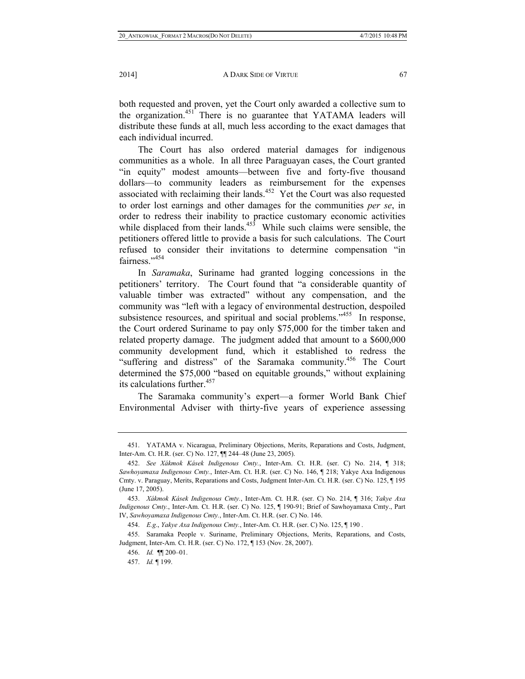both requested and proven, yet the Court only awarded a collective sum to the organization.<sup>451</sup> There is no guarantee that YATAMA leaders will distribute these funds at all, much less according to the exact damages that each individual incurred.

The Court has also ordered material damages for indigenous communities as a whole. In all three Paraguayan cases, the Court granted "in equity" modest amounts—between five and forty-five thousand dollars—to community leaders as reimbursement for the expenses associated with reclaiming their lands.<sup>452</sup> Yet the Court was also requested to order lost earnings and other damages for the communities *per se*, in order to redress their inability to practice customary economic activities while displaced from their lands.<sup>453</sup> While such claims were sensible, the petitioners offered little to provide a basis for such calculations. The Court refused to consider their invitations to determine compensation "in fairness."<sup>454</sup>

In *Saramaka*, Suriname had granted logging concessions in the petitioners' territory. The Court found that "a considerable quantity of valuable timber was extracted" without any compensation, and the community was "left with a legacy of environmental destruction, despoiled subsistence resources, and spiritual and social problems."<sup>455</sup> In response, the Court ordered Suriname to pay only \$75,000 for the timber taken and related property damage. The judgment added that amount to a \$600,000 community development fund, which it established to redress the "suffering and distress" of the Saramaka community.<sup>456</sup> The Court determined the \$75,000 "based on equitable grounds," without explaining its calculations further.<sup>457</sup>

The Saramaka community's expert—a former World Bank Chief Environmental Adviser with thirty-five years of experience assessing

 <sup>451.</sup> YATAMA v. Nicaragua, Preliminary Objections, Merits, Reparations and Costs, Judgment, Inter-Am. Ct. H.R. (ser. C) No. 127, ¶¶ 244–48 (June 23, 2005).

 <sup>452.</sup> *See Xákmok Kásek Indigenous Cmty.*, Inter-Am. Ct. H.R. (ser. C) No. 214, ¶ 318; *Sawhoyamaxa Indigenous Cmty.*, Inter-Am. Ct. H.R. (ser. C) No. 146, ¶ 218; Yakye Axa Indigenous Cmty. v. Paraguay, Merits, Reparations and Costs, Judgment Inter-Am. Ct. H.R. (ser. C) No. 125, ¶ 195 (June 17, 2005).

 <sup>453.</sup> *Xákmok Kásek Indigenous Cmty.*, Inter-Am. Ct. H.R. (ser. C) No. 214, ¶ 316; *Yakye Axa Indigenous Cmty.*, Inter-Am. Ct. H.R. (ser. C) No. 125, ¶ 190-91; Brief of Sawhoyamaxa Cmty., Part IV, *Sawhoyamaxa Indigenous Cmty.*, Inter-Am. Ct. H.R. (ser. C) No. 146.

 <sup>454.</sup> *E.g*., *Yakye Axa Indigenous Cmty.*, Inter-Am. Ct. H.R. (ser. C) No. 125, ¶ 190 .

 <sup>455.</sup> Saramaka People v. Suriname, Preliminary Objections, Merits, Reparations, and Costs, Judgment, Inter-Am. Ct. H.R. (ser. C) No. 172, ¶ 153 (Nov. 28, 2007).

 <sup>456.</sup> *Id.* ¶¶ 200–01.

 <sup>457.</sup> *Id.* ¶ 199.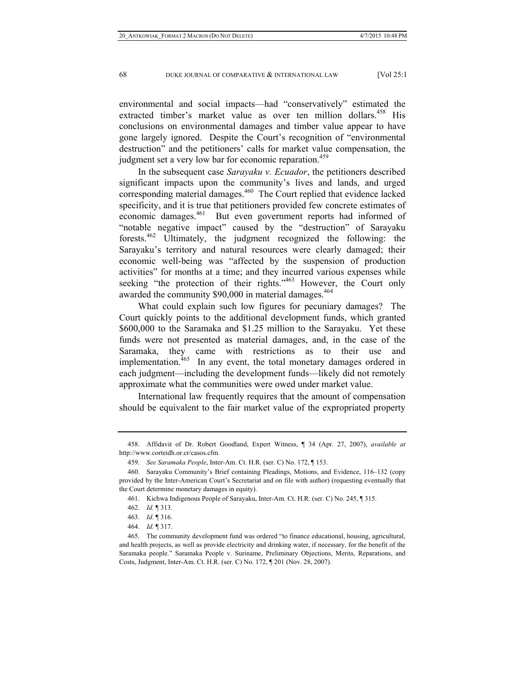environmental and social impacts—had "conservatively" estimated the extracted timber's market value as over ten million dollars.<sup>458</sup> His conclusions on environmental damages and timber value appear to have gone largely ignored. Despite the Court's recognition of "environmental destruction" and the petitioners' calls for market value compensation, the judgment set a very low bar for economic reparation.<sup>459</sup>

In the subsequent case *Sarayaku v. Ecuador*, the petitioners described significant impacts upon the community's lives and lands, and urged corresponding material damages.<sup>460</sup> The Court replied that evidence lacked specificity, and it is true that petitioners provided few concrete estimates of economic damages.<sup>461</sup> But even government reports had informed of "notable negative impact" caused by the "destruction" of Sarayaku forests.462 Ultimately, the judgment recognized the following: the Sarayaku's territory and natural resources were clearly damaged; their economic well-being was "affected by the suspension of production activities" for months at a time; and they incurred various expenses while seeking "the protection of their rights."<sup>463</sup> However, the Court only awarded the community \$90,000 in material damages.<sup>464</sup>

What could explain such low figures for pecuniary damages? The Court quickly points to the additional development funds, which granted \$600,000 to the Saramaka and \$1.25 million to the Sarayaku. Yet these funds were not presented as material damages, and, in the case of the Saramaka, they came with restrictions as to their use and implementation.<sup>465</sup> In any event, the total monetary damages ordered in each judgment—including the development funds—likely did not remotely approximate what the communities were owed under market value.

International law frequently requires that the amount of compensation should be equivalent to the fair market value of the expropriated property

 <sup>458.</sup> Affidavit of Dr. Robert Goodland, Expert Witness, ¶ 34 (Apr. 27, 2007), *available at* http://www.corteidh.or.cr/casos.cfm.

 <sup>459.</sup> *See Saramaka People*, Inter-Am. Ct. H.R. (ser. C) No. 172, ¶ 153.

 <sup>460.</sup> Sarayaku Community's Brief containing Pleadings, Motions, and Evidence, 116–132 (copy provided by the Inter-American Court's Secretariat and on file with author) (requesting eventually that the Court determine monetary damages in equity).

 <sup>461.</sup> Kichwa Indigenous People of Sarayaku, Inter-Am. Ct. H.R. (ser. C) No. 245, ¶ 315.

 <sup>462.</sup> *Id.* ¶ 313.

 <sup>463.</sup> *Id.* ¶ 316.

 <sup>464.</sup> *Id.* ¶ 317.

 <sup>465.</sup> The community development fund was ordered "to finance educational, housing, agricultural, and health projects, as well as provide electricity and drinking water, if necessary, for the benefit of the Saramaka people." Saramaka People v. Suriname, Preliminary Objections, Merits, Reparations, and Costs, Judgment, Inter-Am. Ct. H.R. (ser. C) No. 172, ¶ 201 (Nov. 28, 2007).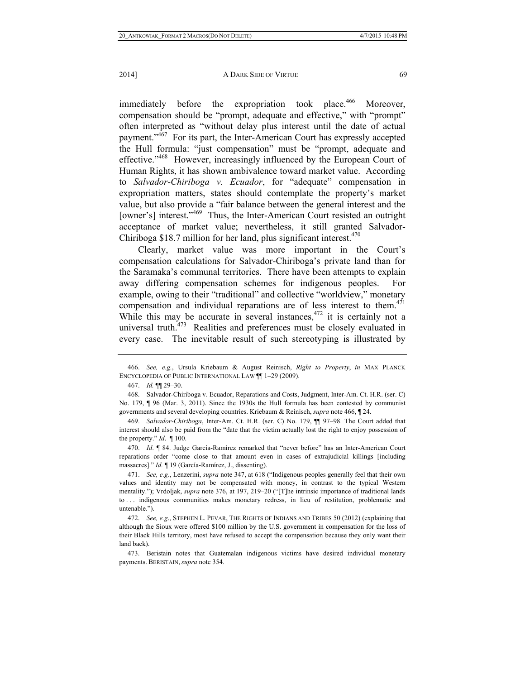immediately before the expropriation took place.<sup>466</sup> Moreover, compensation should be "prompt, adequate and effective," with "prompt" often interpreted as "without delay plus interest until the date of actual payment."<sup>467</sup> For its part, the Inter-American Court has expressly accepted the Hull formula: "just compensation" must be "prompt, adequate and effective."468 However, increasingly influenced by the European Court of Human Rights, it has shown ambivalence toward market value. According to *Salvador-Chiriboga v. Ecuador*, for "adequate" compensation in expropriation matters, states should contemplate the property's market value, but also provide a "fair balance between the general interest and the [owner's] interest."<sup>469</sup> Thus, the Inter-American Court resisted an outright acceptance of market value; nevertheless, it still granted Salvador-Chiriboga \$18.7 million for her land, plus significant interest. $470$ 

Clearly, market value was more important in the Court's compensation calculations for Salvador-Chiriboga's private land than for the Saramaka's communal territories. There have been attempts to explain away differing compensation schemes for indigenous peoples. For example, owing to their "traditional" and collective "worldview," monetary compensation and individual reparations are of less interest to them.<sup>471</sup> While this may be accurate in several instances,  $472$  it is certainly not a universal truth.<sup>473</sup> Realities and preferences must be closely evaluated in every case. The inevitable result of such stereotyping is illustrated by

 <sup>466.</sup> *See, e.g.*, Ursula Kriebaum & August Reinisch, *Right to Property*, *in* MAX PLANCK ENCYCLOPEDIA OF PUBLIC INTERNATIONAL LAW ¶¶ 1–29 (2009).

 <sup>467.</sup> *Id.* ¶¶ 29–30.

 <sup>468.</sup> Salvador-Chiriboga v. Ecuador, Reparations and Costs, Judgment, Inter-Am. Ct. H.R. (ser. C) No. 179, ¶ 96 (Mar. 3, 2011). Since the 1930s the Hull formula has been contested by communist governments and several developing countries. Kriebaum & Reinisch, *supra* note 466, ¶ 24.

 <sup>469.</sup> *Salvador-Chiriboga*, Inter-Am. Ct. H.R. (ser. C) No. 179, ¶¶ 97–98. The Court added that interest should also be paid from the "date that the victim actually lost the right to enjoy possession of the property." *Id*. ¶ 100.

 <sup>470.</sup> *Id*. ¶ 84. Judge García-Ramírez remarked that "never before" has an Inter-American Court reparations order "come close to that amount even in cases of extrajudicial killings [including massacres]." *Id.* ¶ 19 (García-Ramírez, J., dissenting).

 <sup>471.</sup> *See, e.g.*, Lenzerini, *supra* note 347, at 618 ("Indigenous peoples generally feel that their own values and identity may not be compensated with money, in contrast to the typical Western mentality."); Vrdoljak, *supra* note 376, at 197, 219–20 ("[T]he intrinsic importance of traditional lands to . . . indigenous communities makes monetary redress, in lieu of restitution, problematic and untenable.").

 <sup>472.</sup> *See, e.g*., STEPHEN L. PEVAR, THE RIGHTS OF INDIANS AND TRIBES 50 (2012) (explaining that although the Sioux were offered \$100 million by the U.S. government in compensation for the loss of their Black Hills territory, most have refused to accept the compensation because they only want their land back).

 <sup>473.</sup> Beristain notes that Guatemalan indigenous victims have desired individual monetary payments. BERISTAIN, *supra* note 354.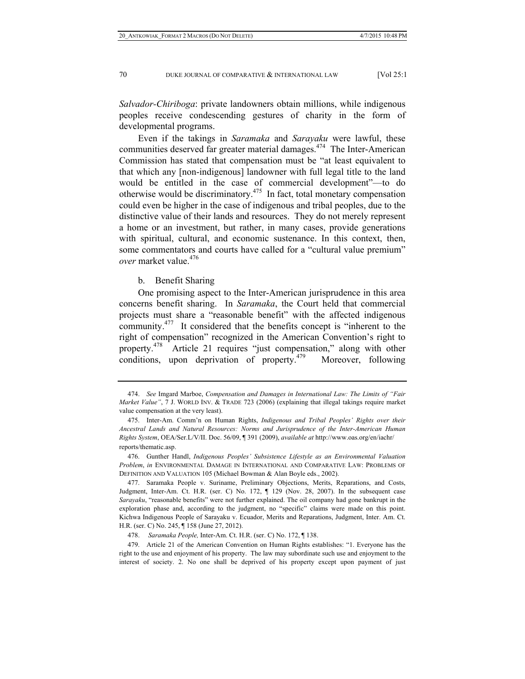*Salvador-Chiriboga*: private landowners obtain millions, while indigenous peoples receive condescending gestures of charity in the form of developmental programs.

Even if the takings in *Saramaka* and *Sarayaku* were lawful, these communities deserved far greater material damages.<sup>474</sup> The Inter-American Commission has stated that compensation must be "at least equivalent to that which any [non-indigenous] landowner with full legal title to the land would be entitled in the case of commercial development"—to do otherwise would be discriminatory.475 In fact, total monetary compensation could even be higher in the case of indigenous and tribal peoples, due to the distinctive value of their lands and resources. They do not merely represent a home or an investment, but rather, in many cases, provide generations with spiritual, cultural, and economic sustenance. In this context, then, some commentators and courts have called for a "cultural value premium" *over* market value.<sup>476</sup>

b. Benefit Sharing

One promising aspect to the Inter-American jurisprudence in this area concerns benefit sharing. In *Saramaka*, the Court held that commercial projects must share a "reasonable benefit" with the affected indigenous community.477 It considered that the benefits concept is "inherent to the right of compensation" recognized in the American Convention's right to property.478 Article 21 requires "just compensation," along with other conditions, upon deprivation of property.<sup>479</sup> Moreover, following

 <sup>474.</sup> *See* Imgard Marboe, *Compensation and Damages in International Law: The Limits of "Fair Market Value"*, 7 J. WORLD INV. & TRADE 723 (2006) (explaining that illegal takings require market value compensation at the very least).

 <sup>475.</sup> Inter-Am. Comm'n on Human Rights, *Indigenous and Tribal Peoples' Rights over their Ancestral Lands and Natural Resources: Norms and Jurisprudence of the Inter-American Human Rights System*, OEA/Ser.L/V/II. Doc. 56/09, ¶ 391 (2009), *available at* http://www.oas.org/en/iachr/ reports/thematic.asp.

 <sup>476.</sup> Gunther Handl, *Indigenous Peoples' Subsistence Lifestyle as an Environmental Valuation Problem*, *in* ENVIRONMENTAL DAMAGE IN INTERNATIONAL AND COMPARATIVE LAW: PROBLEMS OF DEFINITION AND VALUATION 105 (Michael Bowman & Alan Boyle eds., 2002).

 <sup>477.</sup> Saramaka People v. Suriname, Preliminary Objections, Merits, Reparations, and Costs, Judgment, Inter-Am. Ct. H.R. (ser. C) No. 172, ¶ 129 (Nov. 28, 2007). In the subsequent case *Sarayaku*, "reasonable benefits" were not further explained. The oil company had gone bankrupt in the exploration phase and, according to the judgment, no "specific" claims were made on this point. Kichwa Indigenous People of Sarayaku v. Ecuador, Merits and Reparations, Judgment, Inter. Am. Ct. H.R. (ser. C) No. 245, ¶ 158 (June 27, 2012).

 <sup>478.</sup> *Saramaka People,* Inter-Am. Ct. H.R. (ser. C) No. 172, ¶ 138.

 <sup>479.</sup> Article 21 of the American Convention on Human Rights establishes: "1. Everyone has the right to the use and enjoyment of his property. The law may subordinate such use and enjoyment to the interest of society. 2. No one shall be deprived of his property except upon payment of just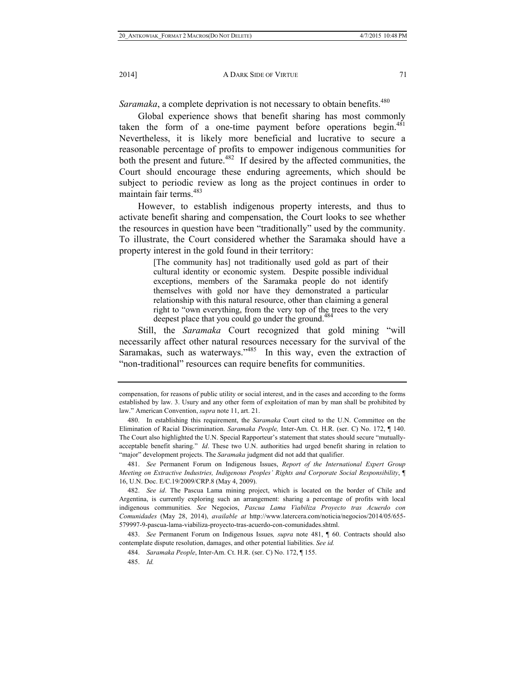*Saramaka*, a complete deprivation is not necessary to obtain benefits.<sup>480</sup>

Global experience shows that benefit sharing has most commonly taken the form of a one-time payment before operations begin.<sup>481</sup> Nevertheless, it is likely more beneficial and lucrative to secure a reasonable percentage of profits to empower indigenous communities for both the present and future.<sup>482</sup> If desired by the affected communities, the Court should encourage these enduring agreements, which should be subject to periodic review as long as the project continues in order to maintain fair terms.<sup>483</sup>

However, to establish indigenous property interests, and thus to activate benefit sharing and compensation, the Court looks to see whether the resources in question have been "traditionally" used by the community. To illustrate, the Court considered whether the Saramaka should have a property interest in the gold found in their territory:

> [The community has] not traditionally used gold as part of their cultural identity or economic system. Despite possible individual exceptions, members of the Saramaka people do not identify themselves with gold nor have they demonstrated a particular relationship with this natural resource, other than claiming a general right to "own everything, from the very top of the trees to the very deepest place that you could go under the ground.<sup>484</sup>

Still, the *Saramaka* Court recognized that gold mining "will necessarily affect other natural resources necessary for the survival of the Saramakas, such as waterways."<sup>485</sup> In this way, even the extraction of "non-traditional" resources can require benefits for communities.

compensation, for reasons of public utility or social interest, and in the cases and according to the forms established by law. 3. Usury and any other form of exploitation of man by man shall be prohibited by law." American Convention, *supra* note 11, art. 21.

 <sup>480.</sup> In establishing this requirement, the *Saramaka* Court cited to the U.N. Committee on the Elimination of Racial Discrimination. *Saramaka People,* Inter-Am. Ct. H.R. (ser. C) No. 172, ¶ 140. The Court also highlighted the U.N. Special Rapporteur's statement that states should secure "mutuallyacceptable benefit sharing." *Id*. These two U.N. authorities had urged benefit sharing in relation to "major" development projects. The *Saramaka* judgment did not add that qualifier.

 <sup>481.</sup> *See* Permanent Forum on Indigenous Issues, *Report of the International Expert Group Meeting on Extractive Industries, Indigenous Peoples' Rights and Corporate Social Responsibility*, ¶ 16, U.N. Doc. E/C.19/2009/CRP.8 (May 4, 2009).

 <sup>482.</sup> *See id*. The Pascua Lama mining project, which is located on the border of Chile and Argentina, is currently exploring such an arrangement: sharing a percentage of profits with local indigenous communities. *See* Negocios, *Pascua Lama Viabiliza Proyecto tras Acuerdo con Comunidades* (May 28, 2014), *available at* http://www.latercera.com/noticia/negocios/2014/05/655- 579997-9-pascua-lama-viabiliza-proyecto-tras-acuerdo-con-comunidades.shtml.

 <sup>483.</sup> *See* Permanent Forum on Indigenous Issues*, supra* note 481, ¶ 60. Contracts should also contemplate dispute resolution, damages, and other potential liabilities. *See id.*

 <sup>484.</sup> *Saramaka People*, Inter-Am. Ct. H.R. (ser. C) No. 172, ¶ 155.

 <sup>485.</sup> *Id.*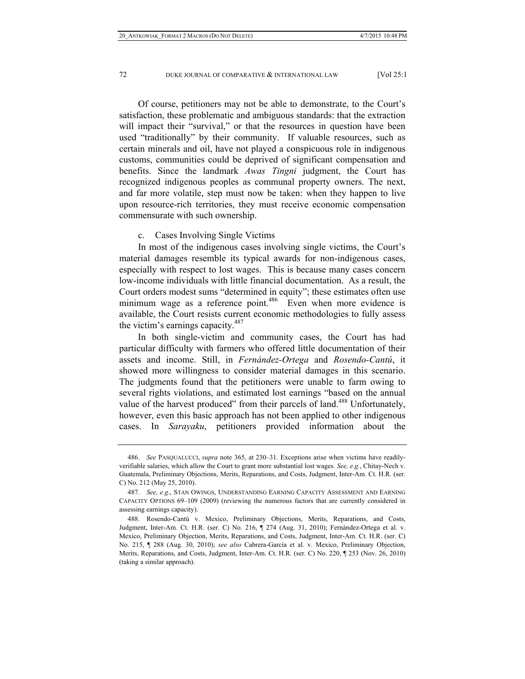Of course, petitioners may not be able to demonstrate, to the Court's satisfaction, these problematic and ambiguous standards: that the extraction will impact their "survival," or that the resources in question have been used "traditionally" by their community. If valuable resources, such as certain minerals and oil, have not played a conspicuous role in indigenous customs, communities could be deprived of significant compensation and benefits. Since the landmark *Awas Tingni* judgment, the Court has recognized indigenous peoples as communal property owners. The next, and far more volatile, step must now be taken: when they happen to live upon resource-rich territories, they must receive economic compensation commensurate with such ownership.

c. Cases Involving Single Victims

In most of the indigenous cases involving single victims, the Court's material damages resemble its typical awards for non-indigenous cases, especially with respect to lost wages. This is because many cases concern low-income individuals with little financial documentation. As a result, the Court orders modest sums "determined in equity"; these estimates often use minimum wage as a reference point.<sup>486</sup> Even when more evidence is available, the Court resists current economic methodologies to fully assess the victim's earnings capacity.<sup>487</sup>

In both single-victim and community cases, the Court has had particular difficulty with farmers who offered little documentation of their assets and income. Still, in *Fernández-Ortega* and *Rosendo-Cantú*, it showed more willingness to consider material damages in this scenario. The judgments found that the petitioners were unable to farm owing to several rights violations, and estimated lost earnings "based on the annual value of the harvest produced" from their parcels of land.<sup>488</sup> Unfortunately, however, even this basic approach has not been applied to other indigenous cases. In *Sarayaku*, petitioners provided information about the

 <sup>486.</sup> *See* PASQUALUCCI, *supra* note 365, at 230–31. Exceptions arise when victims have readilyverifiable salaries, which allow the Court to grant more substantial lost wages. *See, e.g.*, Chitay-Nech v. Guatemala, Preliminary Objections, Merits, Reparations, and Costs, Judgment, Inter-Am. Ct. H.R. (ser. C) No. 212 (May 25, 2010).

 <sup>487.</sup> *See, e.g*., STAN OWINGS, UNDERSTANDING EARNING CAPACITY ASSESSMENT AND EARNING CAPACITY OPTIONS 69–109 (2009) (reviewing the numerous factors that are currently considered in assessing earnings capacity).

 <sup>488.</sup> Rosendo-Cantú v. Mexico, Preliminary Objections, Merits, Reparations, and Costs, Judgment, Inter-Am. Ct. H.R. (ser. C) No. 216, ¶ 274 (Aug. 31, 2010); Fernández-Ortega et al. v. Mexico, Preliminary Objection, Merits, Reparations, and Costs, Judgment, Inter-Am. Ct. H.R. (ser. C) No. 215, ¶ 288 (Aug. 30, 2010); *see also* Cabrera-García et al. v. Mexico, Preliminary Objection, Merits, Reparations, and Costs, Judgment, Inter-Am. Ct. H.R. (ser. C) No. 220, ¶ 253 (Nov. 26, 2010) (taking a similar approach).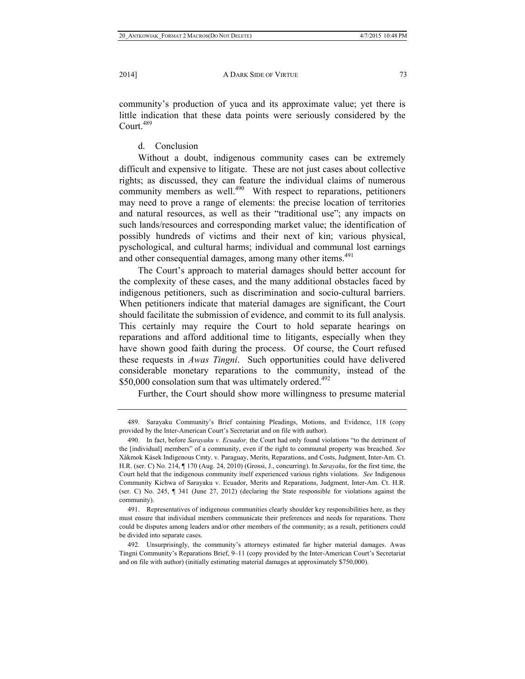community's production of yuca and its approximate value; yet there is little indication that these data points were seriously considered by the Court. $489$ 

## d. Conclusion

Without a doubt, indigenous community cases can be extremely difficult and expensive to litigate. These are not just cases about collective rights; as discussed, they can feature the individual claims of numerous community members as well.<sup>490</sup> With respect to reparations, petitioners may need to prove a range of elements: the precise location of territories and natural resources, as well as their "traditional use"; any impacts on such lands/resources and corresponding market value; the identification of possibly hundreds of victims and their next of kin; various physical, pyschological, and cultural harms; individual and communal lost earnings and other consequential damages, among many other items.<sup>491</sup>

The Court's approach to material damages should better account for the complexity of these cases, and the many additional obstacles faced by indigenous petitioners, such as discrimination and socio-cultural barriers. When petitioners indicate that material damages are significant, the Court should facilitate the submission of evidence, and commit to its full analysis. This certainly may require the Court to hold separate hearings on reparations and afford additional time to litigants, especially when they have shown good faith during the process. Of course, the Court refused these requests in *Awas Tingni*. Such opportunities could have delivered considerable monetary reparations to the community, instead of the  $$50,000$  consolation sum that was ultimately ordered.<sup>492</sup>

Further, the Court should show more willingness to presume material

 <sup>489.</sup> Sarayaku Community's Brief containing Pleadings, Motions, and Evidence, 118 (copy provided by the Inter-American Court's Secretariat and on file with author).

 <sup>490.</sup> In fact, before *Sarayaku v. Ecuador,* the Court had only found violations "to the detriment of the [individual] members" of a community, even if the right to communal property was breached. *See* Xákmok Kásek Indigenous Cmty. v. Paraguay, Merits, Reparations, and Costs, Judgment, Inter-Am. Ct. H.R. (ser. C) No. 214, ¶ 170 (Aug. 24, 2010) (Grossi, J., concurring). In *Sarayaku*, for the first time, the Court held that the indigenous community itself experienced various rights violations. *See* Indigenous Community Kichwa of Sarayaku v. Ecuador, Merits and Reparations, Judgment, Inter-Am. Ct. H.R. (ser. C) No. 245, ¶ 341 (June 27, 2012) (declaring the State responsible for violations against the community).

 <sup>491.</sup> Representatives of indigenous communities clearly shoulder key responsibilities here, as they must ensure that individual members communicate their preferences and needs for reparations. There could be disputes among leaders and/or other members of the community; as a result, petitioners could be divided into separate cases.

 <sup>492.</sup> Unsurprisingly, the community's attorneys estimated far higher material damages. Awas Tingni Community's Reparations Brief, 9–11 (copy provided by the Inter-American Court's Secretariat and on file with author) (initially estimating material damages at approximately \$750,000).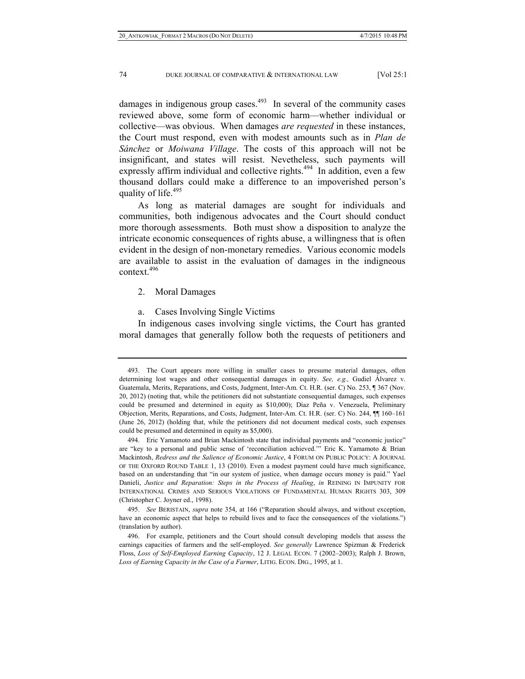damages in indigenous group cases. $493$  In several of the community cases reviewed above, some form of economic harm—whether individual or collective—was obvious. When damages *are requested* in these instances, the Court must respond, even with modest amounts such as in *Plan de Sánchez* or *Moiwana Village*. The costs of this approach will not be insignificant, and states will resist. Nevetheless, such payments will expressly affirm individual and collective rights.<sup>494</sup> In addition, even a few thousand dollars could make a difference to an impoverished person's quality of life.<sup>495</sup>

As long as material damages are sought for individuals and communities, both indigenous advocates and the Court should conduct more thorough assessments. Both must show a disposition to analyze the intricate economic consequences of rights abuse, a willingness that is often evident in the design of non-monetary remedies. Various economic models are available to assist in the evaluation of damages in the indigneous context.496

2. Moral Damages

a. Cases Involving Single Victims

In indigenous cases involving single victims, the Court has granted moral damages that generally follow both the requests of petitioners and

 <sup>493.</sup> The Court appears more willing in smaller cases to presume material damages, often determining lost wages and other consequential damages in equity. *See, e.g.,* Gudiel Álvarez v. Guatemala, Merits, Reparations, and Costs, Judgment, Inter-Am. Ct. H.R. (ser. C) No. 253, ¶ 367 (Nov. 20, 2012) (noting that, while the petitioners did not substantiate consequential damages, such expenses could be presumed and determined in equity as \$10,000); Díaz Peña v. Venezuela, Preliminary Objection, Merits, Reparations, and Costs, Judgment, Inter-Am. Ct. H.R. (ser. C) No. 244, ¶¶ 160–161 (June 26, 2012) (holding that, while the petitioners did not document medical costs, such expenses could be presumed and determined in equity as \$5,000).

 <sup>494.</sup> Eric Yamamoto and Brian Mackintosh state that individual payments and "economic justice" are "key to a personal and public sense of 'reconciliation achieved.'" Eric K. Yamamoto & Brian Mackintosh, *Redress and the Salience of Economic Justice*, 4 FORUM ON PUBLIC POLICY: A JOURNAL OF THE OXFORD ROUND TABLE 1, 13 (2010). Even a modest payment could have much significance, based on an understanding that "in our system of justice, when damage occurs money is paid." Yael Danieli, *Justice and Reparation: Steps in the Process of Healing*, *in* REINING IN IMPUNITY FOR INTERNATIONAL CRIMES AND SERIOUS VIOLATIONS OF FUNDAMENTAL HUMAN RIGHTS 303, 309 (Christopher C. Joyner ed., 1998).

 <sup>495.</sup> *See* BERISTAIN, *supra* note 354, at 166 ("Reparation should always, and without exception, have an economic aspect that helps to rebuild lives and to face the consequences of the violations.") (translation by author).

 <sup>496.</sup> For example, petitioners and the Court should consult developing models that assess the earnings capacities of farmers and the self-employed. *See generally* Lawrence Spizman & Frederick Floss, *Loss of Self-Employed Earning Capacity*, 12 J. LEGAL ECON. 7 (2002–2003); Ralph J. Brown, *Loss of Earning Capacity in the Case of a Farmer*, LITIG. ECON. DIG., 1995, at 1.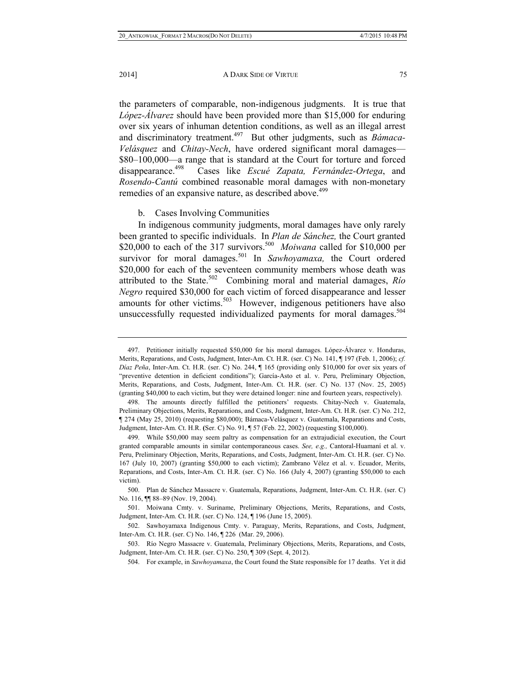the parameters of comparable, non-indigenous judgments. It is true that *López-Álvarez* should have been provided more than \$15,000 for enduring over six years of inhuman detention conditions, as well as an illegal arrest and discriminatory treatment.<sup>497</sup> But other judgments, such as *Bámaca*-*Velásquez* and *Chitay-Nech*, have ordered significant moral damages— \$80–100,000—a range that is standard at the Court for torture and forced disappearance.498 Cases like *Escué Zapata, Fernández-Ortega*, and *Rosendo-Cantú* combined reasonable moral damages with non-monetary remedies of an expansive nature, as described above.<sup>499</sup>

## b. Cases Involving Communities

In indigenous community judgments, moral damages have only rarely been granted to specific individuals. In *Plan de Sánchez,* the Court granted \$20,000 to each of the 317 survivors.<sup>500</sup> *Moiwana* called for \$10,000 per survivor for moral damages.<sup>501</sup> In *Sawhoyamaxa*, the Court ordered \$20,000 for each of the seventeen community members whose death was attributed to the State.502 Combining moral and material damages, *Río Negro* required \$30,000 for each victim of forced disappearance and lesser amounts for other victims. $503$  However, indigenous petitioners have also unsuccessfully requested individualized payments for moral damages.<sup>504</sup>

 <sup>497.</sup> Petitioner initially requested \$50,000 for his moral damages. López-Álvarez v. Honduras, Merits, Reparations, and Costs, Judgment, Inter-Am. Ct. H.R. (ser. C) No. 141, ¶ 197 (Feb. 1, 2006); *cf. Díaz Peña*, Inter-Am. Ct. H.R. (ser. C) No. 244, ¶ 165 (providing only \$10,000 for over six years of "preventive detention in deficient conditions"); García-Asto et al. v. Peru, Preliminary Objection, Merits, Reparations, and Costs, Judgment, Inter-Am. Ct. H.R. (ser. C) No. 137 (Nov. 25, 2005) (granting \$40,000 to each victim, but they were detained longer: nine and fourteen years, respectively).

 <sup>498.</sup> The amounts directly fulfilled the petitioners' requests. Chitay-Nech v. Guatemala, Preliminary Objections, Merits, Reparations, and Costs, Judgment, Inter-Am. Ct. H.R. (ser. C) No. 212, ¶ 274 (May 25, 2010) (requesting \$80,000); Bámaca-Velásquez v. Guatemala, Reparations and Costs, Judgment, Inter-Am. Ct. H.R. **(**Ser. C) No. 91, ¶ 57 (Feb. 22, 2002) (requesting \$100,000).

 <sup>499.</sup> While \$50,000 may seem paltry as compensation for an extrajudicial execution, the Court granted comparable amounts in similar contemporaneous cases. *See, e.g.,* Cantoral-Huamaní et al. v. Peru, Preliminary Objection, Merits, Reparations, and Costs, Judgment, Inter-Am. Ct. H.R. (ser. C) No. 167 (July 10, 2007) (granting \$50,000 to each victim); Zambrano Vélez et al. v. Ecuador, Merits, Reparations, and Costs, Inter-Am. Ct. H.R. (ser. C) No. 166 (July 4, 2007) (granting \$50,000 to each victim).

 <sup>500.</sup> Plan de Sánchez Massacre v. Guatemala, Reparations, Judgment, Inter-Am. Ct. H.R. (ser. C) No. 116, ¶¶ 88–89 (Nov. 19, 2004).

 <sup>501.</sup> Moiwana Cmty. v. Suriname, Preliminary Objections, Merits, Reparations, and Costs, Judgment, Inter-Am. Ct. H.R. (ser. C) No. 124, ¶ 196 (June 15, 2005).

 <sup>502.</sup> Sawhoyamaxa Indigenous Cmty. v. Paraguay, Merits, Reparations, and Costs, Judgment, Inter-Am. Ct. H.R. (ser. C) No. 146, ¶ 226 (Mar. 29, 2006).

 <sup>503.</sup> Río Negro Massacre v. Guatemala, Preliminary Objections, Merits, Reparations, and Costs, Judgment, Inter-Am. Ct. H.R. (ser. C) No. 250, ¶ 309 (Sept. 4, 2012).

 <sup>504.</sup> For example, in *Sawhoyamaxa*, the Court found the State responsible for 17 deaths. Yet it did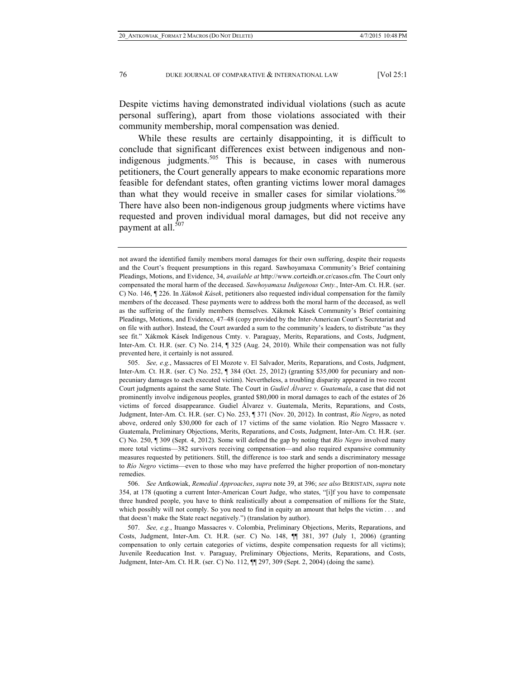Despite victims having demonstrated individual violations (such as acute personal suffering), apart from those violations associated with their community membership, moral compensation was denied.

While these results are certainly disappointing, it is difficult to conclude that significant differences exist between indigenous and nonindigenous judgments.<sup>505</sup> This is because, in cases with numerous petitioners, the Court generally appears to make economic reparations more feasible for defendant states, often granting victims lower moral damages than what they would receive in smaller cases for similar violations.<sup>506</sup> There have also been non-indigenous group judgments where victims have requested and proven individual moral damages, but did not receive any payment at all.<sup>507</sup>

 506. *See* Antkowiak, *Remedial Approaches*, *supra* note 39, at 396; *see also* BERISTAIN, *supra* note 354, at 178 (quoting a current Inter-American Court Judge, who states, "[i]f you have to compensate three hundred people, you have to think realistically about a compensation of millions for the State, which possibly will not comply. So you need to find in equity an amount that helps the victim . . . and that doesn't make the State react negatively.") (translation by author).

 507. *See, e.g.*, Ituango Massacres v. Colombia, Preliminary Objections, Merits, Reparations, and Costs, Judgment, Inter-Am. Ct. H.R. (ser. C) No. 148, ¶¶ 381, 397 (July 1, 2006) (granting compensation to only certain categories of victims, despite compensation requests for all victims); Juvenile Reeducation Inst. v. Paraguay, Preliminary Objections, Merits, Reparations, and Costs, Judgment, Inter-Am. Ct. H.R. (ser. C) No. 112, ¶¶ 297, 309 (Sept. 2, 2004) (doing the same).

not award the identified family members moral damages for their own suffering, despite their requests and the Court's frequent presumptions in this regard. Sawhoyamaxa Community's Brief containing Pleadings, Motions, and Evidence, 34, *available at* http://www.corteidh.or.cr/casos.cfm. The Court only compensated the moral harm of the deceased. *Sawhoyamaxa Indigenous Cmty.*, Inter-Am. Ct. H.R. (ser. C) No. 146, ¶ 226. In *Xákmok Kásek*, petitioners also requested individual compensation for the family members of the deceased. These payments were to address both the moral harm of the deceased, as well as the suffering of the family members themselves. Xákmok Kásek Community's Brief containing Pleadings, Motions, and Evidence, 47–48 (copy provided by the Inter-American Court's Secretariat and on file with author). Instead, the Court awarded a sum to the community's leaders, to distribute "as they see fit." Xákmok Kásek Indigenous Cmty. v. Paraguay, Merits, Reparations, and Costs, Judgment, Inter-Am. Ct. H.R. (ser. C) No. 214, ¶ 325 (Aug. 24, 2010). While their compensation was not fully prevented here, it certainly is not assured.

 <sup>505.</sup> *See, e.g.*, Massacres of El Mozote v. El Salvador, Merits, Reparations, and Costs, Judgment, Inter-Am. Ct. H.R. (ser. C) No. 252, ¶ 384 (Oct. 25, 2012) (granting \$35,000 for pecuniary and nonpecuniary damages to each executed victim). Nevertheless, a troubling disparity appeared in two recent Court judgments against the same State. The Court in *Gudiel Álvarez v. Guatemala*, a case that did not prominently involve indigenous peoples, granted \$80,000 in moral damages to each of the estates of 26 victims of forced disappearance. Gudiel Álvarez v. Guatemala, Merits, Reparations, and Costs, Judgment, Inter-Am. Ct. H.R. (ser. C) No. 253, ¶ 371 (Nov. 20, 2012). In contrast, *Río Negro*, as noted above, ordered only \$30,000 for each of 17 victims of the same violation. Río Negro Massacre v. Guatemala, Preliminary Objections, Merits, Reparations, and Costs, Judgment, Inter-Am. Ct. H.R. (ser. C) No. 250, ¶ 309 (Sept. 4, 2012). Some will defend the gap by noting that *Río Negro* involved many more total victims—382 survivors receiving compensation—and also required expansive community measures requested by petitioners. Still, the difference is too stark and sends a discriminatory message to *Río Negro* victims—even to those who may have preferred the higher proportion of non-monetary remedies.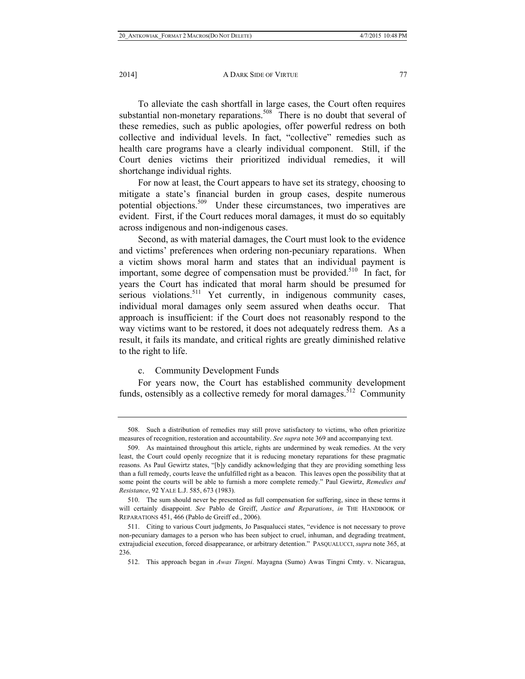2014] **A DARK SIDE OF VIRTUE** 77

To alleviate the cash shortfall in large cases, the Court often requires substantial non-monetary reparations.<sup>508</sup> There is no doubt that several of these remedies, such as public apologies, offer powerful redress on both collective and individual levels. In fact, "collective" remedies such as health care programs have a clearly individual component. Still, if the Court denies victims their prioritized individual remedies, it will shortchange individual rights.

For now at least, the Court appears to have set its strategy, choosing to mitigate a state's financial burden in group cases, despite numerous potential objections.<sup>509</sup> Under these circumstances, two imperatives are evident. First, if the Court reduces moral damages, it must do so equitably across indigenous and non-indigenous cases.

Second, as with material damages, the Court must look to the evidence and victims' preferences when ordering non-pecuniary reparations. When a victim shows moral harm and states that an individual payment is important, some degree of compensation must be provided.<sup>510</sup> In fact, for years the Court has indicated that moral harm should be presumed for serious violations.<sup>511</sup> Yet currently, in indigenous community cases, individual moral damages only seem assured when deaths occur. That approach is insufficient: if the Court does not reasonably respond to the way victims want to be restored, it does not adequately redress them. As a result, it fails its mandate, and critical rights are greatly diminished relative to the right to life.

## c. Community Development Funds

For years now, the Court has established community development funds, ostensibly as a collective remedy for moral damages.<sup> $512$ </sup> Community

 <sup>508.</sup> Such a distribution of remedies may still prove satisfactory to victims, who often prioritize measures of recognition, restoration and accountability. *See supra* note 369 and accompanying text.

 <sup>509.</sup> As maintained throughout this article, rights are undermined by weak remedies. At the very least, the Court could openly recognize that it is reducing monetary reparations for these pragmatic reasons. As Paul Gewirtz states, "[b]y candidly acknowledging that they are providing something less than a full remedy, courts leave the unfulfilled right as a beacon. This leaves open the possibility that at some point the courts will be able to furnish a more complete remedy." Paul Gewirtz, *Remedies and Resistance*, 92 YALE L.J. 585, 673 (1983).

 <sup>510.</sup> The sum should never be presented as full compensation for suffering, since in these terms it will certainly disappoint. *See* Pablo de Greiff, *Justice and Reparations*, *in* THE HANDBOOK OF REPARATIONS 451, 466 (Pablo de Greiff ed., 2006).

 <sup>511.</sup> Citing to various Court judgments, Jo Pasqualucci states, "evidence is not necessary to prove non-pecuniary damages to a person who has been subject to cruel, inhuman, and degrading treatment, extrajudicial execution, forced disappearance, or arbitrary detention." PASQUALUCCI, *supra* note 365, at 236.

 <sup>512.</sup> This approach began in *Awas Tingni*. Mayagna (Sumo) Awas Tingni Cmty. v. Nicaragua,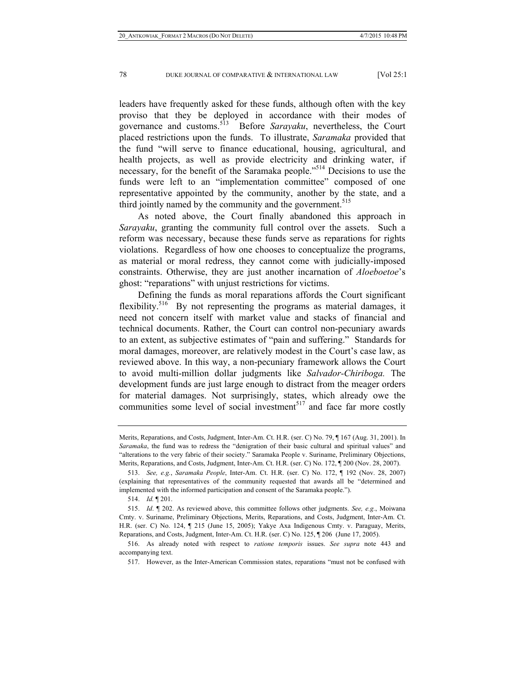leaders have frequently asked for these funds, although often with the key proviso that they be deployed in accordance with their modes of governance and customs.513 Before *Sarayaku*, nevertheless, the Court placed restrictions upon the funds. To illustrate, *Saramaka* provided that the fund "will serve to finance educational, housing, agricultural, and health projects, as well as provide electricity and drinking water, if necessary, for the benefit of the Saramaka people."<sup>514</sup> Decisions to use the funds were left to an "implementation committee" composed of one representative appointed by the community, another by the state, and a third jointly named by the community and the government.<sup>515</sup>

As noted above, the Court finally abandoned this approach in *Sarayaku*, granting the community full control over the assets. Such a reform was necessary, because these funds serve as reparations for rights violations. Regardless of how one chooses to conceptualize the programs, as material or moral redress, they cannot come with judicially-imposed constraints. Otherwise, they are just another incarnation of *Aloeboetoe*'s ghost: "reparations" with unjust restrictions for victims.

Defining the funds as moral reparations affords the Court significant flexibility.<sup>516</sup> By not representing the programs as material damages, it need not concern itself with market value and stacks of financial and technical documents. Rather, the Court can control non-pecuniary awards to an extent, as subjective estimates of "pain and suffering." Standards for moral damages, moreover, are relatively modest in the Court's case law, as reviewed above. In this way, a non-pecuniary framework allows the Court to avoid multi-million dollar judgments like *Salvador-Chiriboga.* The development funds are just large enough to distract from the meager orders for material damages. Not surprisingly, states, which already owe the communities some level of social investment<sup>517</sup> and face far more costly

Merits, Reparations, and Costs, Judgment, Inter-Am. Ct. H.R. (ser. C) No. 79, ¶ 167 (Aug. 31, 2001). In *Saramaka*, the fund was to redress the "denigration of their basic cultural and spiritual values" and "alterations to the very fabric of their society." Saramaka People v. Suriname, Preliminary Objections, Merits, Reparations, and Costs, Judgment, Inter-Am. Ct. H.R. (ser. C) No. 172, ¶ 200 (Nov. 28, 2007).

 <sup>513.</sup> *See, e.g.*, *Saramaka People*, Inter-Am. Ct. H.R. (ser. C) No. 172, ¶ 192 (Nov. 28, 2007) (explaining that representatives of the community requested that awards all be "determined and implemented with the informed participation and consent of the Saramaka people.").

 <sup>514.</sup> *Id.* ¶ 201.

 <sup>515.</sup> *Id*. ¶ 202. As reviewed above, this committee follows other judgments. *See, e.g.*, Moiwana Cmty. v. Suriname, Preliminary Objections, Merits, Reparations, and Costs, Judgment, Inter-Am. Ct. H.R. (ser. C) No. 124, ¶ 215 (June 15, 2005); Yakye Axa Indigenous Cmty. v. Paraguay, Merits, Reparations, and Costs, Judgment, Inter-Am. Ct. H.R. (ser. C) No. 125, ¶ 206 (June 17, 2005).

 <sup>516.</sup> As already noted with respect to *ratione temporis* issues. *See supra* note 443 and accompanying text.

 <sup>517.</sup> However, as the Inter-American Commission states, reparations "must not be confused with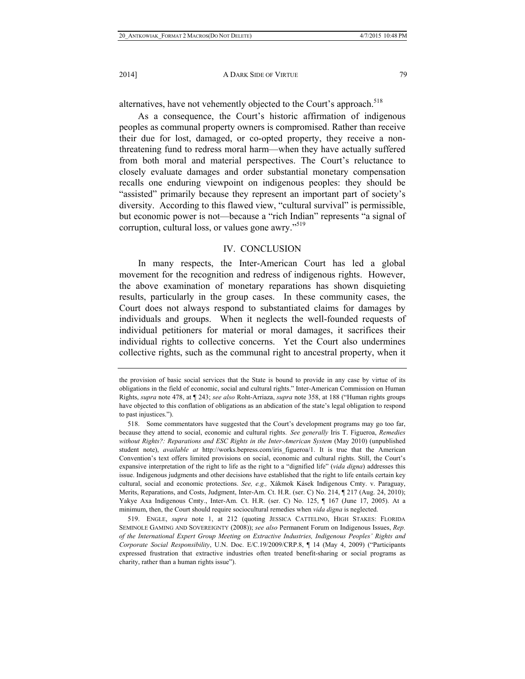alternatives, have not vehemently objected to the Court's approach.<sup>518</sup>

As a consequence, the Court's historic affirmation of indigenous peoples as communal property owners is compromised. Rather than receive their due for lost, damaged, or co-opted property, they receive a nonthreatening fund to redress moral harm—when they have actually suffered from both moral and material perspectives. The Court's reluctance to closely evaluate damages and order substantial monetary compensation recalls one enduring viewpoint on indigenous peoples: they should be "assisted" primarily because they represent an important part of society's diversity. According to this flawed view, "cultural survival" is permissible, but economic power is not—because a "rich Indian" represents "a signal of corruption, cultural loss, or values gone awry."<sup>519</sup>

## IV. CONCLUSION

In many respects, the Inter-American Court has led a global movement for the recognition and redress of indigenous rights. However, the above examination of monetary reparations has shown disquieting results, particularly in the group cases. In these community cases, the Court does not always respond to substantiated claims for damages by individuals and groups. When it neglects the well-founded requests of individual petitioners for material or moral damages, it sacrifices their individual rights to collective concerns. Yet the Court also undermines collective rights, such as the communal right to ancestral property, when it

the provision of basic social services that the State is bound to provide in any case by virtue of its obligations in the field of economic, social and cultural rights." Inter-American Commission on Human Rights, *supra* note 478, at ¶ 243; *see also* Roht-Arriaza, *supra* note 358, at 188 ("Human rights groups have objected to this conflation of obligations as an abdication of the state's legal obligation to respond to past injustices.").

 <sup>518.</sup> Some commentators have suggested that the Court's development programs may go too far, because they attend to social, economic and cultural rights. *See generally* Iris T. Figueroa, *Remedies without Rights?: Reparations and ESC Rights in the Inter-American System* (May 2010) (unpublished student note), *available at* http://works.bepress.com/iris\_figueroa/1. It is true that the American Convention's text offers limited provisions on social, economic and cultural rights. Still, the Court's expansive interpretation of the right to life as the right to a "dignified life" (*vida digna*) addresses this issue. Indigenous judgments and other decisions have established that the right to life entails certain key cultural, social and economic protections. *See, e.g.,* Xákmok Kásek Indigenous Cmty. v. Paraguay, Merits, Reparations, and Costs, Judgment, Inter-Am. Ct. H.R. (ser. C) No. 214, ¶ 217 (Aug. 24, 2010); Yakye Axa Indigenous Cmty., Inter-Am. Ct. H.R. (ser. C) No. 125, ¶ 167 (June 17, 2005). At a minimum, then, the Court should require sociocultural remedies when *vida digna* is neglected.

 <sup>519.</sup> ENGLE, *supra* note 1, at 212 (quoting JESSICA CATTELINO, HIGH STAKES: FLORIDA SEMINOLE GAMING AND SOVEREIGNTY (2008)); *see also* Permanent Forum on Indigenous Issues, *Rep. of the International Expert Group Meeting on Extractive Industries, Indigenous Peoples' Rights and Corporate Social Responsibility*, U.N. Doc. E/C.19/2009/CRP.8, ¶ 14 (May 4, 2009) ("Participants expressed frustration that extractive industries often treated benefit-sharing or social programs as charity, rather than a human rights issue").